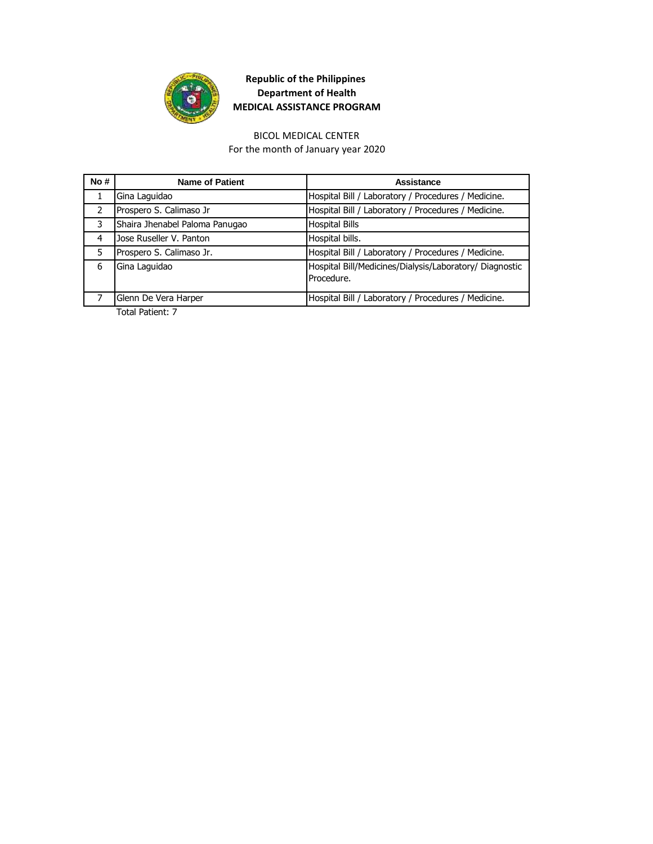

# BICOL MEDICAL CENTER

For the month of January year 2020

| No#           | <b>Name of Patient</b>         | Assistance                                                            |
|---------------|--------------------------------|-----------------------------------------------------------------------|
|               | Gina Laquidao                  | Hospital Bill / Laboratory / Procedures / Medicine.                   |
| $\mathcal{P}$ | Prospero S. Calimaso Jr        | Hospital Bill / Laboratory / Procedures / Medicine.                   |
| 3             | Shaira Jhenabel Paloma Panugao | <b>Hospital Bills</b>                                                 |
| 4             | Jose Ruseller V. Panton        | Hospital bills.                                                       |
| 5             | Prospero S. Calimaso Jr.       | Hospital Bill / Laboratory / Procedures / Medicine.                   |
| 6             | Gina Laquidao                  | Hospital Bill/Medicines/Dialysis/Laboratory/ Diagnostic<br>Procedure. |
|               | Glenn De Vera Harper           | Hospital Bill / Laboratory / Procedures / Medicine.                   |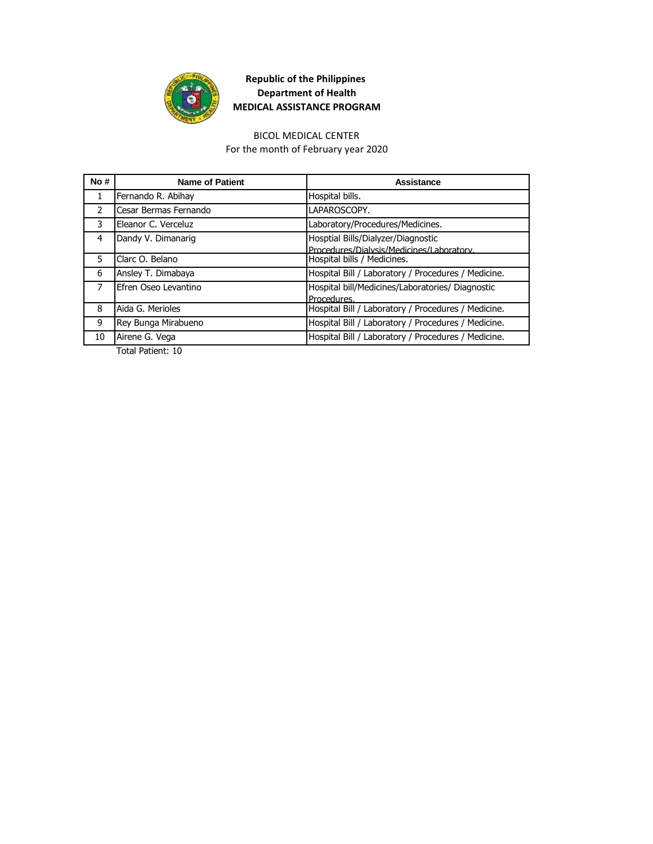

#### BICOL MEDICAL CENTER

For the month of February year 2020

| No#           | <b>Name of Patient</b> | Assistance                                                                     |
|---------------|------------------------|--------------------------------------------------------------------------------|
| 1             | Fernando R. Abihay     | Hospital bills.                                                                |
| $\mathcal{P}$ | Cesar Bermas Fernando  | LAPAROSCOPY.                                                                   |
| 3             | Eleanor C. Verceluz    | Laboratory/Procedures/Medicines.                                               |
| 4             | Dandy V. Dimanarig     | Hosptial Bills/Dialyzer/Diagnostic<br>Procedures/Dialysis/Medicines/Laboratory |
| 5             | Clarc O. Belano        | Hospital bills / Medicines.                                                    |
| 6             | Ansley T. Dimabaya     | Hospital Bill / Laboratory / Procedures / Medicine.                            |
| 7             | Efren Oseo Levantino   | Hospital bill/Medicines/Laboratories/ Diagnostic<br>Procedures.                |
| 8             | Aida G. Merioles       | Hospital Bill / Laboratory / Procedures / Medicine.                            |
| 9             | Rey Bunga Mirabueno    | Hospital Bill / Laboratory / Procedures / Medicine.                            |
| 10            | Airene G. Vega         | Hospital Bill / Laboratory / Procedures / Medicine.                            |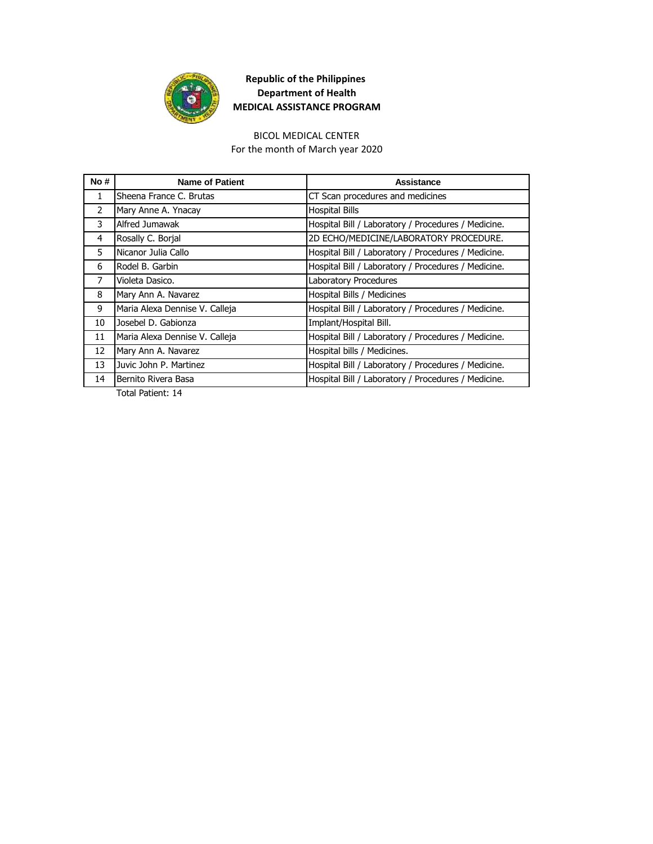

#### BICOL MEDICAL CENTER

For the month of March year 2020

| No#          | <b>Name of Patient</b>         | Assistance                                          |
|--------------|--------------------------------|-----------------------------------------------------|
| $\mathbf{1}$ | Sheena France C. Brutas        | CT Scan procedures and medicines                    |
| 2            | Mary Anne A. Ynacay            | <b>Hospital Bills</b>                               |
| 3            | Alfred Jumawak                 | Hospital Bill / Laboratory / Procedures / Medicine. |
| 4            | Rosally C. Borjal              | 2D ECHO/MEDICINE/LABORATORY PROCEDURE.              |
| 5            | Nicanor Julia Callo            | Hospital Bill / Laboratory / Procedures / Medicine. |
| 6            | Rodel B. Garbin                | Hospital Bill / Laboratory / Procedures / Medicine. |
| 7            | Violeta Dasico.                | Laboratory Procedures                               |
| 8            | Mary Ann A. Navarez            | Hospital Bills / Medicines                          |
| 9            | Maria Alexa Dennise V. Calleja | Hospital Bill / Laboratory / Procedures / Medicine. |
| 10           | Josebel D. Gabionza            | Implant/Hospital Bill.                              |
| 11           | Maria Alexa Dennise V. Calleja | Hospital Bill / Laboratory / Procedures / Medicine. |
| 12           | Mary Ann A. Navarez            | Hospital bills / Medicines.                         |
| 13           | Juvic John P. Martinez         | Hospital Bill / Laboratory / Procedures / Medicine. |
| 14           | Bernito Rivera Basa            | Hospital Bill / Laboratory / Procedures / Medicine. |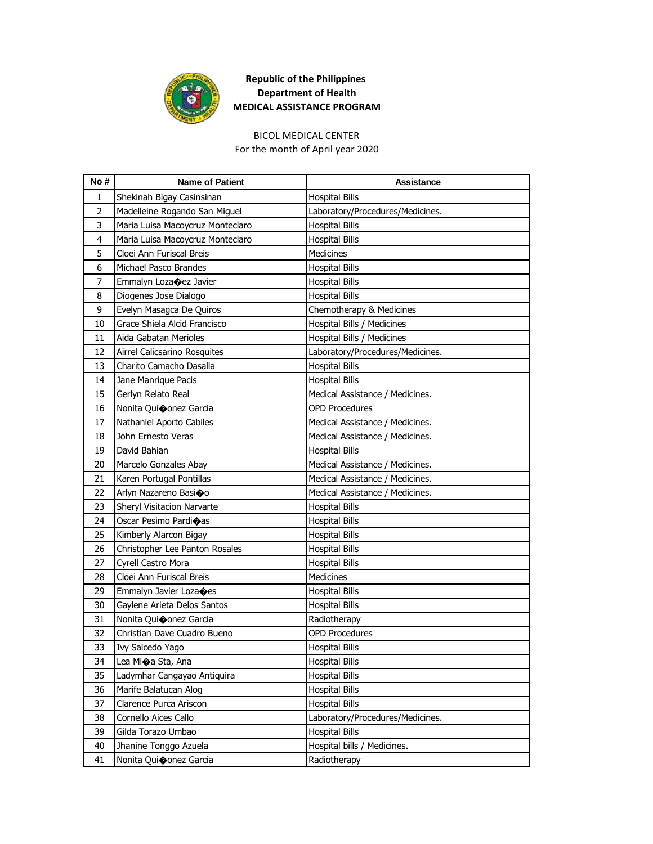

# BICOL MEDICAL CENTER

For the month of April year 2020

| No#            | <b>Name of Patient</b>           | Assistance                       |
|----------------|----------------------------------|----------------------------------|
| $\mathbf{1}$   | Shekinah Bigay Casinsinan        | <b>Hospital Bills</b>            |
| $\overline{2}$ | Madelleine Rogando San Miguel    | Laboratory/Procedures/Medicines. |
| 3              | Maria Luisa Macoycruz Monteclaro | <b>Hospital Bills</b>            |
| 4              | Maria Luisa Macoycruz Monteclaro | <b>Hospital Bills</b>            |
| 5              | Cloei Ann Furiscal Breis         | <b>Medicines</b>                 |
| 6              | Michael Pasco Brandes            | <b>Hospital Bills</b>            |
| 7              | Emmalyn Lozacez Javier           | <b>Hospital Bills</b>            |
| 8              | Diogenes Jose Dialogo            | <b>Hospital Bills</b>            |
| 9              | Evelyn Masagca De Quiros         | Chemotherapy & Medicines         |
| 10             | Grace Shiela Alcid Francisco     | Hospital Bills / Medicines       |
| 11             | Aida Gabatan Merioles            | Hospital Bills / Medicines       |
| 12             | Airrel Calicsarino Rosquites     | Laboratory/Procedures/Medicines. |
| 13             | Charito Camacho Dasalla          | <b>Hospital Bills</b>            |
| 14             | Jane Manrique Pacis              | <b>Hospital Bills</b>            |
| 15             | Gerlyn Relato Real               | Medical Assistance / Medicines.  |
| 16             | Nonita Qui�onez Garcia           | OPD Procedures                   |
| 17             | Nathaniel Aporto Cabiles         | Medical Assistance / Medicines.  |
| 18             | John Ernesto Veras               | Medical Assistance / Medicines.  |
| 19             | David Bahian                     | <b>Hospital Bills</b>            |
| 20             | Marcelo Gonzales Abay            | Medical Assistance / Medicines.  |
| 21             | Karen Portugal Pontillas         | Medical Assistance / Medicines.  |
| 22             | Arlyn Nazareno Basioo            | Medical Assistance / Medicines.  |
| 23             | Sheryl Visitacion Narvarte       | <b>Hospital Bills</b>            |
| 24             | Oscar Pesimo Pardi�as            | <b>Hospital Bills</b>            |
| 25             | Kimberly Alarcon Bigay           | <b>Hospital Bills</b>            |
| 26             | Christopher Lee Panton Rosales   | <b>Hospital Bills</b>            |
| 27             | Cyrell Castro Mora               | <b>Hospital Bills</b>            |
| 28             | Cloei Ann Furiscal Breis         | <b>Medicines</b>                 |
| 29             | Emmalyn Javier Lozaoes           | <b>Hospital Bills</b>            |
| 30             | Gaylene Arieta Delos Santos      | <b>Hospital Bills</b>            |
| 31             | Nonita Quioonez Garcia           | Radiotherapy                     |
| 32             | Christian Dave Cuadro Bueno      | <b>OPD Procedures</b>            |
| 33             | Ivy Salcedo Yago                 | <b>Hospital Bills</b>            |
| 34             | Lea Mi�a Sta, Ana                | <b>Hospital Bills</b>            |
| 35             | Ladymhar Cangayao Antiquira      | <b>Hospital Bills</b>            |
| 36             | Marife Balatucan Alog            | <b>Hospital Bills</b>            |
| 37             | Clarence Purca Ariscon           | <b>Hospital Bills</b>            |
| 38             | Cornello Aices Callo             | Laboratory/Procedures/Medicines. |
| 39             | Gilda Torazo Umbao               | <b>Hospital Bills</b>            |
| 40             | Jhanine Tonggo Azuela            | Hospital bills / Medicines.      |
| 41             | Nonita Quioonez Garcia           | Radiotherapy                     |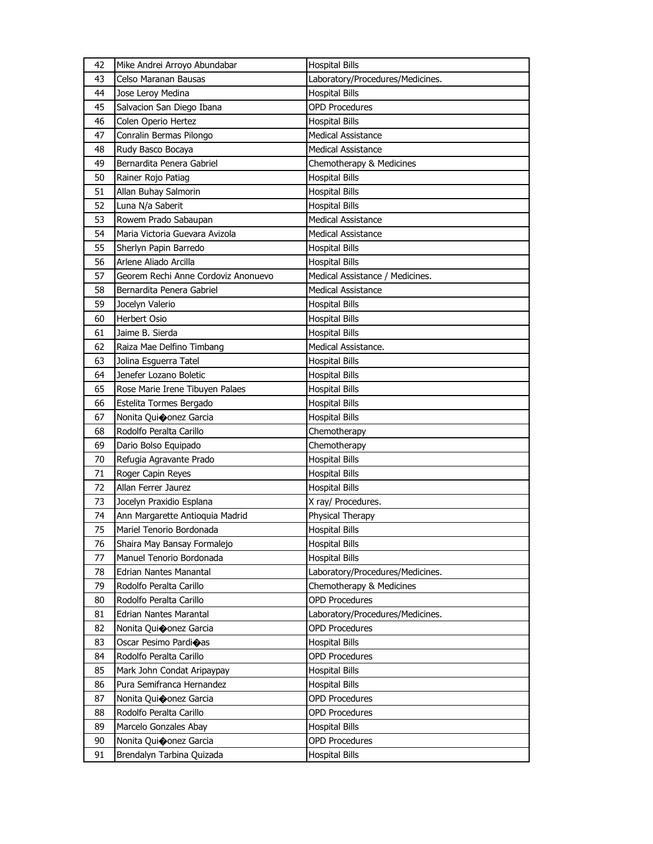| 42 | Mike Andrei Arroyo Abundabar        | <b>Hospital Bills</b>            |
|----|-------------------------------------|----------------------------------|
| 43 | Celso Maranan Bausas                | Laboratory/Procedures/Medicines. |
| 44 | Jose Leroy Medina                   | <b>Hospital Bills</b>            |
| 45 | Salvacion San Diego Ibana           | <b>OPD Procedures</b>            |
| 46 | Colen Operio Hertez                 | <b>Hospital Bills</b>            |
| 47 | Conralin Bermas Pilongo             | <b>Medical Assistance</b>        |
| 48 | Rudy Basco Bocaya                   | Medical Assistance               |
| 49 | Bernardita Penera Gabriel           | Chemotherapy & Medicines         |
| 50 | Rainer Rojo Patiag                  | <b>Hospital Bills</b>            |
| 51 | Allan Buhay Salmorin                | <b>Hospital Bills</b>            |
| 52 | Luna N/a Saberit                    | <b>Hospital Bills</b>            |
| 53 | Rowem Prado Sabaupan                | Medical Assistance               |
| 54 | Maria Victoria Guevara Avizola      | <b>Medical Assistance</b>        |
| 55 | Sherlyn Papin Barredo               | <b>Hospital Bills</b>            |
| 56 | Arlene Aliado Arcilla               | <b>Hospital Bills</b>            |
| 57 | Georem Rechi Anne Cordoviz Anonuevo | Medical Assistance / Medicines.  |
| 58 | Bernardita Penera Gabriel           | Medical Assistance               |
| 59 | Jocelyn Valerio                     | <b>Hospital Bills</b>            |
| 60 | Herbert Osio                        | <b>Hospital Bills</b>            |
| 61 | Jaime B. Sierda                     | <b>Hospital Bills</b>            |
| 62 | Raiza Mae Delfino Timbang           | Medical Assistance.              |
| 63 | Jolina Esquerra Tatel               | <b>Hospital Bills</b>            |
| 64 | Jenefer Lozano Boletic              | <b>Hospital Bills</b>            |
| 65 | Rose Marie Irene Tibuyen Palaes     | <b>Hospital Bills</b>            |
| 66 | Estelita Tormes Bergado             | <b>Hospital Bills</b>            |
| 67 | Nonita Quioonez Garcia              | <b>Hospital Bills</b>            |
| 68 | Rodolfo Peralta Carillo             | Chemotherapy                     |
| 69 | Dario Bolso Equipado                | Chemotherapy                     |
| 70 | Refugia Agravante Prado             | <b>Hospital Bills</b>            |
| 71 | Roger Capin Reyes                   | <b>Hospital Bills</b>            |
| 72 | Allan Ferrer Jaurez                 | <b>Hospital Bills</b>            |
| 73 | Jocelyn Praxidio Esplana            | X ray/ Procedures.               |
| 74 | Ann Margarette Antioquia Madrid     | Physical Therapy                 |
| 75 | Mariel Tenorio Bordonada            | <b>Hospital Bills</b>            |
| 76 | Shaira May Bansay Formalejo         | <b>Hospital Bills</b>            |
| 77 | Manuel Tenorio Bordonada            | <b>Hospital Bills</b>            |
| 78 | <b>Edrian Nantes Manantal</b>       | Laboratory/Procedures/Medicines. |
| 79 | Rodolfo Peralta Carillo             | Chemotherapy & Medicines         |
| 80 | Rodolfo Peralta Carillo             | <b>OPD Procedures</b>            |
| 81 | Edrian Nantes Marantal              | Laboratory/Procedures/Medicines. |
| 82 | Nonita Quioonez Garcia              | <b>OPD Procedures</b>            |
| 83 | Oscar Pesimo Pardioas               | <b>Hospital Bills</b>            |
| 84 | Rodolfo Peralta Carillo             | <b>OPD Procedures</b>            |
| 85 | Mark John Condat Aripaypay          | <b>Hospital Bills</b>            |
| 86 | Pura Semifranca Hernandez           | <b>Hospital Bills</b>            |
| 87 | Nonita Quioonez Garcia              | <b>OPD Procedures</b>            |
| 88 | Rodolfo Peralta Carillo             | <b>OPD Procedures</b>            |
| 89 | Marcelo Gonzales Abay               | <b>Hospital Bills</b>            |
|    |                                     |                                  |
| 90 | Nonita Quiconez Garcia              | <b>OPD Procedures</b>            |
| 91 | Brendalyn Tarbina Quizada           | <b>Hospital Bills</b>            |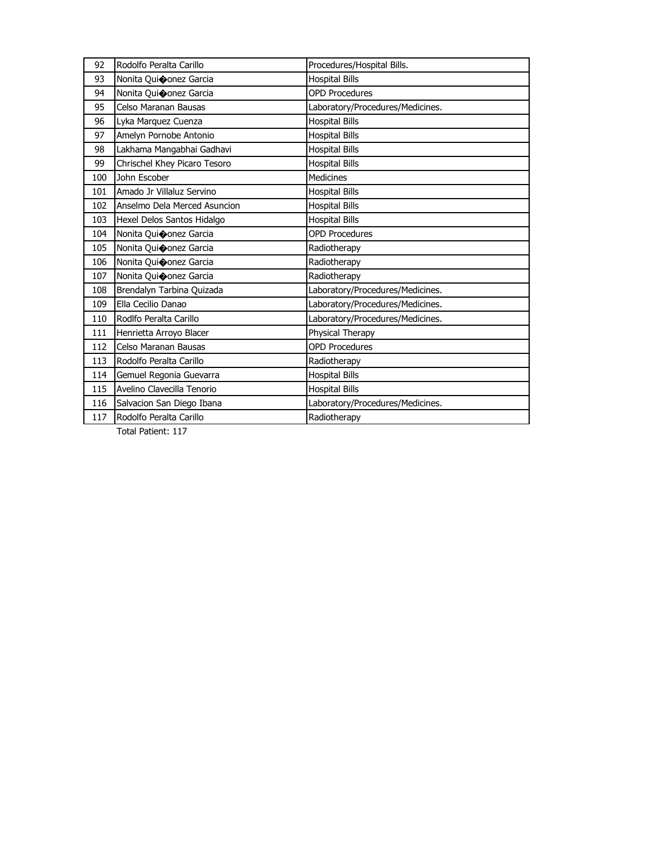| 92  | Rodolfo Peralta Carillo      | Procedures/Hospital Bills.       |
|-----|------------------------------|----------------------------------|
| 93  | Nonita Quioonez Garcia       | <b>Hospital Bills</b>            |
| 94  | Nonita Quioonez Garcia       | <b>OPD Procedures</b>            |
| 95  | Celso Maranan Bausas         | Laboratory/Procedures/Medicines. |
| 96  | Lyka Marquez Cuenza          | <b>Hospital Bills</b>            |
| 97  | Amelyn Pornobe Antonio       | <b>Hospital Bills</b>            |
| 98  | Lakhama Mangabhai Gadhavi    | <b>Hospital Bills</b>            |
| 99  | Chrischel Khey Picaro Tesoro | <b>Hospital Bills</b>            |
| 100 | John Escober                 | <b>Medicines</b>                 |
| 101 | Amado Jr Villaluz Servino    | <b>Hospital Bills</b>            |
| 102 | Anselmo Dela Merced Asuncion | <b>Hospital Bills</b>            |
| 103 | Hexel Delos Santos Hidalgo   | <b>Hospital Bills</b>            |
| 104 | Nonita Qui�onez Garcia       | <b>OPD Procedures</b>            |
| 105 | Nonita Quiconez Garcia       | Radiotherapy                     |
| 106 | Nonita Quioonez Garcia       | Radiotherapy                     |
| 107 | Nonita Quiconez Garcia       | Radiotherapy                     |
| 108 | Brendalyn Tarbina Quizada    | Laboratory/Procedures/Medicines. |
| 109 | Ella Cecilio Danao           | Laboratory/Procedures/Medicines. |
| 110 | Rodlfo Peralta Carillo       | Laboratory/Procedures/Medicines. |
| 111 | Henrietta Arroyo Blacer      | Physical Therapy                 |
| 112 | Celso Maranan Bausas         | <b>OPD Procedures</b>            |
| 113 | Rodolfo Peralta Carillo      | Radiotherapy                     |
| 114 | Gemuel Regonia Guevarra      | <b>Hospital Bills</b>            |
| 115 | Avelino Clavecilla Tenorio   | <b>Hospital Bills</b>            |
| 116 | Salvacion San Diego Ibana    | Laboratory/Procedures/Medicines. |
| 117 | Rodolfo Peralta Carillo      | Radiotherapy                     |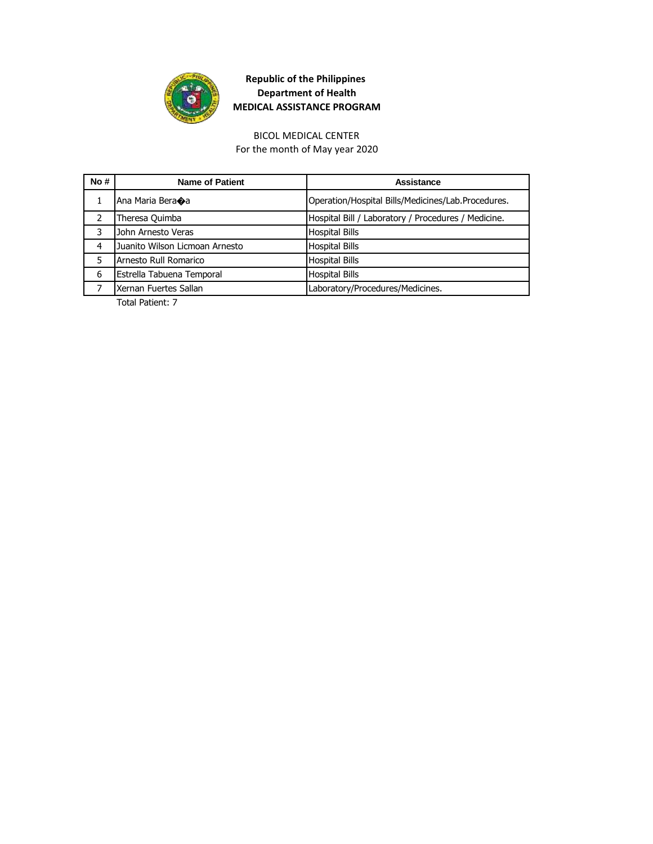

For the month of May year 2020 BICOL MEDICAL CENTER

| No# | <b>Name of Patient</b>         | Assistance                                          |
|-----|--------------------------------|-----------------------------------------------------|
|     | Ana Maria Bera�a               | Operation/Hospital Bills/Medicines/Lab.Procedures.  |
|     | Theresa Quimba                 | Hospital Bill / Laboratory / Procedures / Medicine. |
|     | John Arnesto Veras             | <b>Hospital Bills</b>                               |
| 4   | Juanito Wilson Licmoan Arnesto | <b>Hospital Bills</b>                               |
| 5   | Arnesto Rull Romarico          | <b>Hospital Bills</b>                               |
| 6   | Estrella Tabuena Temporal      | <b>Hospital Bills</b>                               |
|     | Xernan Fuertes Sallan          | Laboratory/Procedures/Medicines.                    |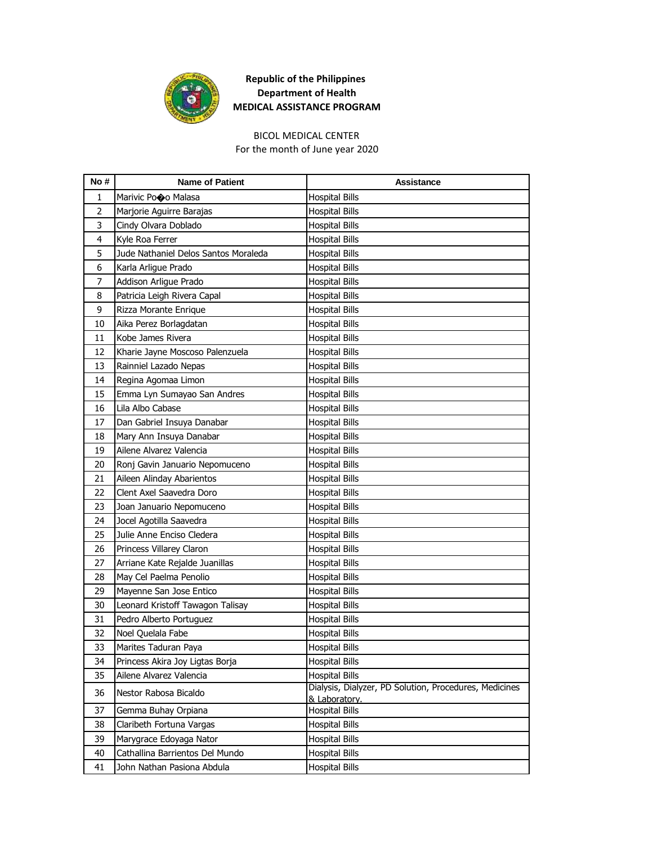

# BICOL MEDICAL CENTER

For the month of June year 2020

| No#            | <b>Name of Patient</b>               | Assistance                                                              |
|----------------|--------------------------------------|-------------------------------------------------------------------------|
| 1              | Marivic Pooo Malasa                  | <b>Hospital Bills</b>                                                   |
| $\overline{2}$ | Marjorie Aguirre Barajas             | <b>Hospital Bills</b>                                                   |
| 3              | Cindy Olvara Doblado                 | <b>Hospital Bills</b>                                                   |
| 4              | Kyle Roa Ferrer                      | <b>Hospital Bills</b>                                                   |
| 5              | Jude Nathaniel Delos Santos Moraleda | <b>Hospital Bills</b>                                                   |
| 6              | Karla Arligue Prado                  | <b>Hospital Bills</b>                                                   |
| 7              | Addison Arligue Prado                | <b>Hospital Bills</b>                                                   |
| 8              | Patricia Leigh Rivera Capal          | <b>Hospital Bills</b>                                                   |
| 9              | Rizza Morante Enrique                | <b>Hospital Bills</b>                                                   |
| 10             | Aika Perez Borlagdatan               | <b>Hospital Bills</b>                                                   |
| 11             | Kobe James Rivera                    | <b>Hospital Bills</b>                                                   |
| 12             | Kharie Jayne Moscoso Palenzuela      | <b>Hospital Bills</b>                                                   |
| 13             | Rainniel Lazado Nepas                | <b>Hospital Bills</b>                                                   |
| 14             | Regina Agomaa Limon                  | <b>Hospital Bills</b>                                                   |
| 15             | Emma Lyn Sumayao San Andres          | <b>Hospital Bills</b>                                                   |
| 16             | Lila Albo Cabase                     | <b>Hospital Bills</b>                                                   |
| 17             | Dan Gabriel Insuya Danabar           | <b>Hospital Bills</b>                                                   |
| 18             | Mary Ann Insuya Danabar              | <b>Hospital Bills</b>                                                   |
| 19             | Ailene Alvarez Valencia              | <b>Hospital Bills</b>                                                   |
| 20             | Ronj Gavin Januario Nepomuceno       | <b>Hospital Bills</b>                                                   |
| 21             | Aileen Alinday Abarientos            | <b>Hospital Bills</b>                                                   |
| 22             | Clent Axel Saavedra Doro             | <b>Hospital Bills</b>                                                   |
| 23             | Joan Januario Nepomuceno             | <b>Hospital Bills</b>                                                   |
| 24             | Jocel Agotilla Saavedra              | <b>Hospital Bills</b>                                                   |
| 25             | Julie Anne Enciso Cledera            | <b>Hospital Bills</b>                                                   |
| 26             | Princess Villarey Claron             | <b>Hospital Bills</b>                                                   |
| 27             | Arriane Kate Rejalde Juanillas       | <b>Hospital Bills</b>                                                   |
| 28             | May Cel Paelma Penolio               | <b>Hospital Bills</b>                                                   |
| 29             | Mayenne San Jose Entico              | <b>Hospital Bills</b>                                                   |
| 30             | Leonard Kristoff Tawagon Talisay     | Hospital Bills                                                          |
| 31             | Pedro Alberto Portuguez              | <b>Hospital Bills</b>                                                   |
| 32             | Noel Quelala Fabe                    | <b>Hospital Bills</b>                                                   |
| 33             | Marites Taduran Paya                 | <b>Hospital Bills</b>                                                   |
| 34             | Princess Akira Joy Ligtas Borja      | <b>Hospital Bills</b>                                                   |
| 35             | Ailene Alvarez Valencia              | <b>Hospital Bills</b>                                                   |
| 36             | Nestor Rabosa Bicaldo                | Dialysis, Dialyzer, PD Solution, Procedures, Medicines<br>& Laboratory. |
| 37             | Gemma Buhay Orpiana                  | <b>Hospital Bills</b>                                                   |
| 38             | Claribeth Fortuna Vargas             | <b>Hospital Bills</b>                                                   |
| 39             | Marygrace Edoyaga Nator              | <b>Hospital Bills</b>                                                   |
| 40             | Cathallina Barrientos Del Mundo      | <b>Hospital Bills</b>                                                   |
| 41             | John Nathan Pasiona Abdula           | <b>Hospital Bills</b>                                                   |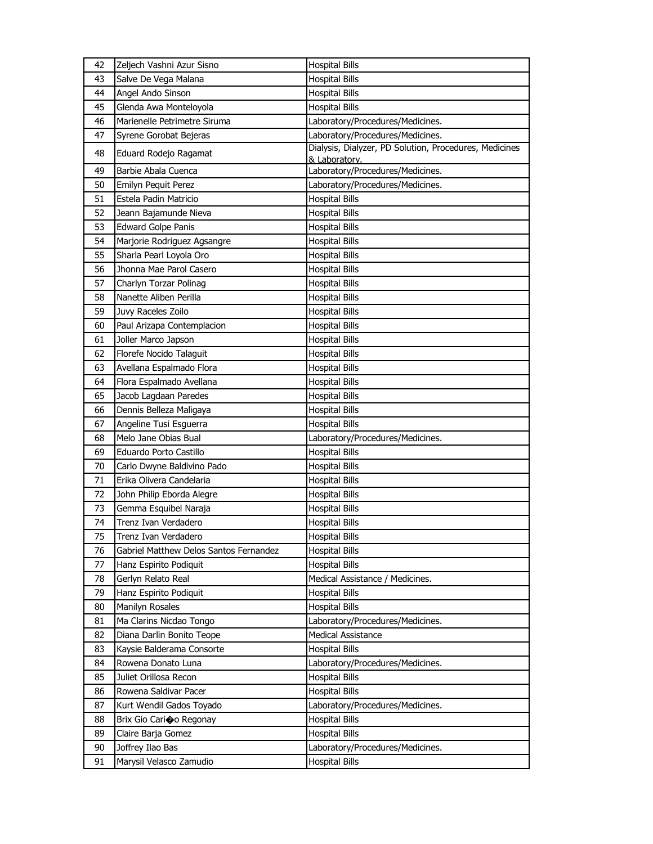| 42 | Zeljech Vashni Azur Sisno              | <b>Hospital Bills</b>                                  |
|----|----------------------------------------|--------------------------------------------------------|
| 43 | Salve De Vega Malana                   | <b>Hospital Bills</b>                                  |
| 44 | Angel Ando Sinson                      | <b>Hospital Bills</b>                                  |
| 45 | Glenda Awa Monteloyola                 | <b>Hospital Bills</b>                                  |
| 46 | Marienelle Petrimetre Siruma           | Laboratory/Procedures/Medicines.                       |
| 47 | Syrene Gorobat Bejeras                 | Laboratory/Procedures/Medicines.                       |
| 48 | Eduard Rodejo Ragamat                  | Dialysis, Dialyzer, PD Solution, Procedures, Medicines |
| 49 | Barbie Abala Cuenca                    | & Laboratory.<br>Laboratory/Procedures/Medicines.      |
| 50 | Emilyn Pequit Perez                    | Laboratory/Procedures/Medicines.                       |
| 51 | Estela Padin Matricio                  | <b>Hospital Bills</b>                                  |
| 52 | Jeann Bajamunde Nieva                  | <b>Hospital Bills</b>                                  |
| 53 | <b>Edward Golpe Panis</b>              | <b>Hospital Bills</b>                                  |
| 54 | Marjorie Rodriguez Agsangre            | <b>Hospital Bills</b>                                  |
| 55 | Sharla Pearl Loyola Oro                | <b>Hospital Bills</b>                                  |
| 56 | Jhonna Mae Parol Casero                | <b>Hospital Bills</b>                                  |
| 57 | Charlyn Torzar Polinag                 | <b>Hospital Bills</b>                                  |
| 58 | Nanette Aliben Perilla                 | <b>Hospital Bills</b>                                  |
| 59 | Juvy Raceles Zoilo                     | Hospital Bills                                         |
| 60 | Paul Arizapa Contemplacion             | <b>Hospital Bills</b>                                  |
| 61 | Joller Marco Japson                    | <b>Hospital Bills</b>                                  |
| 62 | Florefe Nocido Talaguit                | <b>Hospital Bills</b>                                  |
| 63 | Avellana Espalmado Flora               | <b>Hospital Bills</b>                                  |
| 64 | Flora Espalmado Avellana               | <b>Hospital Bills</b>                                  |
| 65 | Jacob Lagdaan Paredes                  | <b>Hospital Bills</b>                                  |
| 66 | Dennis Belleza Maligaya                | <b>Hospital Bills</b>                                  |
| 67 | Angeline Tusi Esguerra                 | <b>Hospital Bills</b>                                  |
| 68 | Melo Jane Obias Bual                   | Laboratory/Procedures/Medicines.                       |
| 69 | Eduardo Porto Castillo                 | <b>Hospital Bills</b>                                  |
| 70 | Carlo Dwyne Baldivino Pado             | <b>Hospital Bills</b>                                  |
| 71 | Erika Olivera Candelaria               | <b>Hospital Bills</b>                                  |
| 72 | John Philip Eborda Alegre              | <b>Hospital Bills</b>                                  |
| 73 | Gemma Esquibel Naraja                  | <b>Hospital Bills</b>                                  |
| 74 | Trenz Ivan Verdadero                   | <b>Hospital Bills</b>                                  |
| 75 | Trenz Ivan Verdadero                   | <b>Hospital Bills</b>                                  |
| 76 | Gabriel Matthew Delos Santos Fernandez | <b>Hospital Bills</b>                                  |
| 77 | Hanz Espirito Podiquit                 | <b>Hospital Bills</b>                                  |
| 78 | Gerlyn Relato Real                     | Medical Assistance / Medicines.                        |
| 79 | Hanz Espirito Podiquit                 | <b>Hospital Bills</b>                                  |
| 80 | Manilyn Rosales                        | <b>Hospital Bills</b>                                  |
| 81 | Ma Clarins Nicdao Tongo                | Laboratory/Procedures/Medicines.                       |
| 82 | Diana Darlin Bonito Teope              | <b>Medical Assistance</b>                              |
| 83 | Kaysie Balderama Consorte              | <b>Hospital Bills</b>                                  |
| 84 | Rowena Donato Luna                     | Laboratory/Procedures/Medicines.                       |
| 85 | Juliet Orillosa Recon                  | <b>Hospital Bills</b>                                  |
| 86 | Rowena Saldivar Pacer                  | <b>Hospital Bills</b>                                  |
| 87 | Kurt Wendil Gados Toyado               | Laboratory/Procedures/Medicines.                       |
| 88 | Brix Gio Cari�o Regonay                | <b>Hospital Bills</b>                                  |
| 89 | Claire Barja Gomez                     | <b>Hospital Bills</b>                                  |
| 90 | Joffrey Ilao Bas                       | Laboratory/Procedures/Medicines.                       |
| 91 | Marysil Velasco Zamudio                | <b>Hospital Bills</b>                                  |
|    |                                        |                                                        |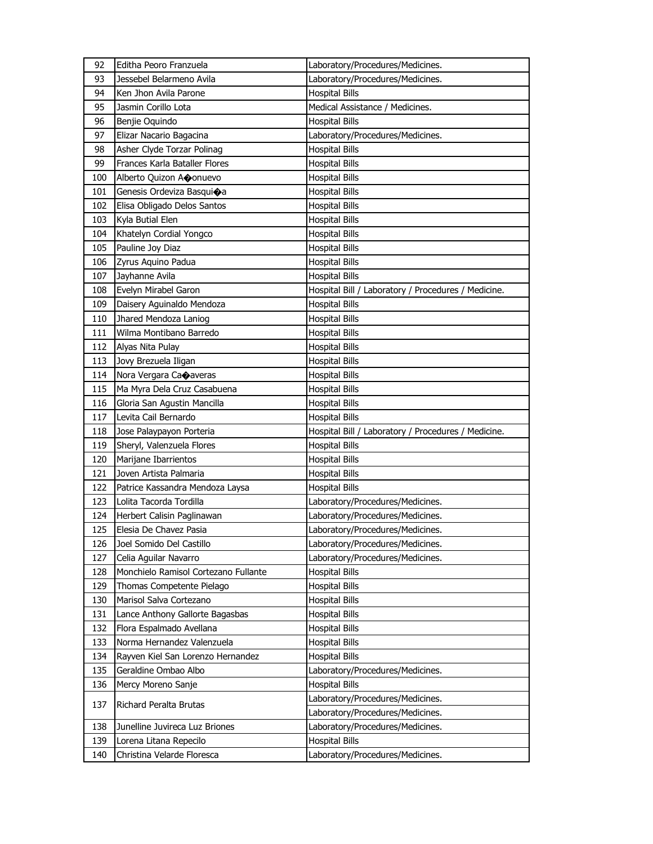| 92  | Editha Peoro Franzuela               | Laboratory/Procedures/Medicines.                    |
|-----|--------------------------------------|-----------------------------------------------------|
| 93  | Jessebel Belarmeno Avila             | Laboratory/Procedures/Medicines.                    |
| 94  | Ken Jhon Avila Parone                | <b>Hospital Bills</b>                               |
| 95  | Jasmin Corillo Lota                  | Medical Assistance / Medicines.                     |
| 96  | Benjie Oquindo                       | <b>Hospital Bills</b>                               |
| 97  | Elizar Nacario Bagacina              | Laboratory/Procedures/Medicines.                    |
| 98  | Asher Clyde Torzar Polinag           | <b>Hospital Bills</b>                               |
| 99  | Frances Karla Bataller Flores        | <b>Hospital Bills</b>                               |
| 100 | Alberto Quizon Aconuevo              | <b>Hospital Bills</b>                               |
| 101 | Genesis Ordeviza Basqui�a            | <b>Hospital Bills</b>                               |
| 102 | Elisa Obligado Delos Santos          | <b>Hospital Bills</b>                               |
| 103 | Kyla Butial Elen                     | <b>Hospital Bills</b>                               |
| 104 | Khatelyn Cordial Yongco              | <b>Hospital Bills</b>                               |
| 105 | Pauline Joy Diaz                     | <b>Hospital Bills</b>                               |
| 106 | Zyrus Aquino Padua                   | <b>Hospital Bills</b>                               |
| 107 | Jayhanne Avila                       | <b>Hospital Bills</b>                               |
| 108 | Evelyn Mirabel Garon                 | Hospital Bill / Laboratory / Procedures / Medicine. |
| 109 | Daisery Aguinaldo Mendoza            | <b>Hospital Bills</b>                               |
| 110 | Jhared Mendoza Laniog                | <b>Hospital Bills</b>                               |
| 111 | Wilma Montibano Barredo              | <b>Hospital Bills</b>                               |
| 112 | Alyas Nita Pulay                     | <b>Hospital Bills</b>                               |
| 113 | Jovy Brezuela Iligan                 | <b>Hospital Bills</b>                               |
| 114 | Nora Vergara Caoaveras               | <b>Hospital Bills</b>                               |
| 115 | Ma Myra Dela Cruz Casabuena          | <b>Hospital Bills</b>                               |
| 116 | Gloria San Agustin Mancilla          | <b>Hospital Bills</b>                               |
|     |                                      |                                                     |
| 117 | Levita Cail Bernardo                 | <b>Hospital Bills</b>                               |
| 118 | Jose Palaypayon Porteria             | Hospital Bill / Laboratory / Procedures / Medicine. |
| 119 | Sheryl, Valenzuela Flores            | Hospital Bills                                      |
| 120 | Marijane Ibarrientos                 | <b>Hospital Bills</b>                               |
| 121 | Joven Artista Palmaria               | <b>Hospital Bills</b>                               |
| 122 | Patrice Kassandra Mendoza Laysa      | <b>Hospital Bills</b>                               |
| 123 | Lolita Tacorda Tordilla              | Laboratory/Procedures/Medicines.                    |
| 124 | Herbert Calisin Paglinawan           | Laboratory/Procedures/Medicines.                    |
| 125 | Elesia De Chavez Pasia               | Laboratory/Procedures/Medicines.                    |
| 126 | Joel Somido Del Castillo             | Laboratory/Procedures/Medicines.                    |
| 127 | Celia Aguilar Navarro                | Laboratory/Procedures/Medicines.                    |
| 128 | Monchielo Ramisol Cortezano Fullante | <b>Hospital Bills</b>                               |
| 129 | Thomas Competente Pielago            | <b>Hospital Bills</b>                               |
| 130 | Marisol Salva Cortezano              | <b>Hospital Bills</b>                               |
| 131 | Lance Anthony Gallorte Bagasbas      | <b>Hospital Bills</b>                               |
| 132 | Flora Espalmado Avellana             | <b>Hospital Bills</b>                               |
| 133 | Norma Hernandez Valenzuela           | <b>Hospital Bills</b>                               |
| 134 | Rayven Kiel San Lorenzo Hernandez    | <b>Hospital Bills</b>                               |
| 135 | Geraldine Ombao Albo                 | Laboratory/Procedures/Medicines.                    |
| 136 | Mercy Moreno Sanje                   | <b>Hospital Bills</b>                               |
|     |                                      | Laboratory/Procedures/Medicines.                    |
| 137 | Richard Peralta Brutas               | Laboratory/Procedures/Medicines.                    |
| 138 | Junelline Juvireca Luz Briones       | Laboratory/Procedures/Medicines.                    |
| 139 | Lorena Litana Repecilo               | <b>Hospital Bills</b>                               |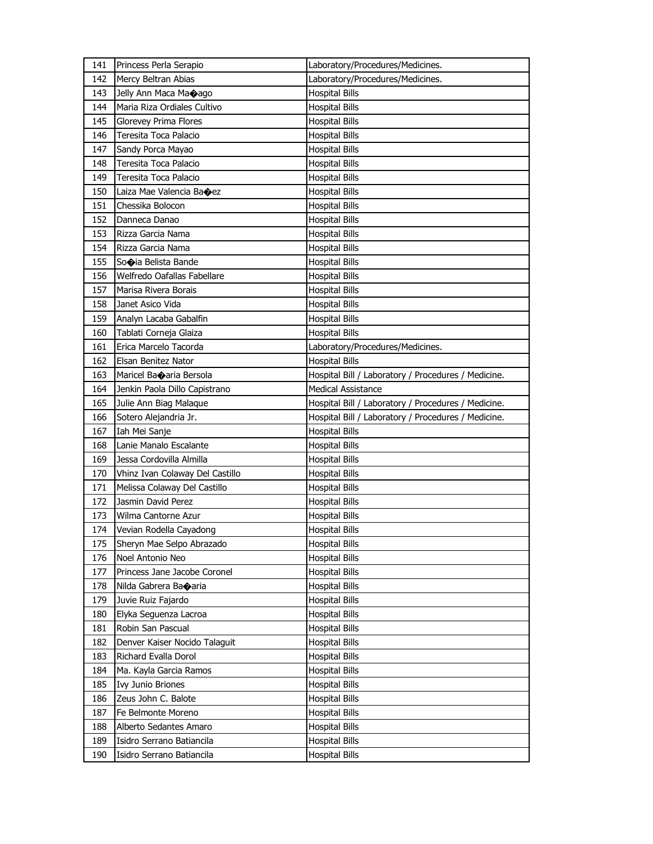| 141 | Princess Perla Serapio           | Laboratory/Procedures/Medicines.                    |
|-----|----------------------------------|-----------------------------------------------------|
| 142 | Mercy Beltran Abias              | Laboratory/Procedures/Medicines.                    |
| 143 | Jelly Ann Maca Ma $\bigcirc$ ago | <b>Hospital Bills</b>                               |
| 144 | Maria Riza Ordiales Cultivo      | <b>Hospital Bills</b>                               |
| 145 | Glorevey Prima Flores            | <b>Hospital Bills</b>                               |
| 146 | Teresita Toca Palacio            | <b>Hospital Bills</b>                               |
| 147 | Sandy Porca Mayao                | <b>Hospital Bills</b>                               |
| 148 | Teresita Toca Palacio            | <b>Hospital Bills</b>                               |
| 149 | Teresita Toca Palacio            | Hospital Bills                                      |
| 150 | Laiza Mae Valencia Baoez         | <b>Hospital Bills</b>                               |
| 151 | Chessika Bolocon                 | <b>Hospital Bills</b>                               |
| 152 | Danneca Danao                    | <b>Hospital Bills</b>                               |
| 153 | Rizza Garcia Nama                | <b>Hospital Bills</b>                               |
| 154 | Rizza Garcia Nama                | Hospital Bills                                      |
| 155 | Sooia Belista Bande              | <b>Hospital Bills</b>                               |
| 156 | Welfredo Oafallas Fabellare      | Hospital Bills                                      |
| 157 | Marisa Rivera Borais             | <b>Hospital Bills</b>                               |
| 158 | Janet Asico Vida                 | <b>Hospital Bills</b>                               |
| 159 | Analyn Lacaba Gabalfin           | Hospital Bills                                      |
| 160 | Tablati Corneja Glaiza           | <b>Hospital Bills</b>                               |
| 161 | Erica Marcelo Tacorda            | Laboratory/Procedures/Medicines.                    |
| 162 | Elsan Benitez Nator              | <b>Hospital Bills</b>                               |
| 163 | Maricel Banaria Bersola          | Hospital Bill / Laboratory / Procedures / Medicine. |
| 164 | Jenkin Paola Dillo Capistrano    | <b>Medical Assistance</b>                           |
| 165 | Julie Ann Biag Malaque           | Hospital Bill / Laboratory / Procedures / Medicine. |
| 166 | Sotero Alejandria Jr.            | Hospital Bill / Laboratory / Procedures / Medicine. |
| 167 | Iah Mei Sanje                    | <b>Hospital Bills</b>                               |
| 168 | Lanie Manalo Escalante           | <b>Hospital Bills</b>                               |
| 169 | Jessa Cordovilla Almilla         | Hospital Bills                                      |
| 170 | Vhinz Ivan Colaway Del Castillo  | <b>Hospital Bills</b>                               |
| 171 | Melissa Colaway Del Castillo     | Hospital Bills                                      |
| 172 | Jasmin David Perez               | Hospital Bills                                      |
| 173 | Wilma Cantorne Azur              | Hospital Bills                                      |
| 174 | Vevian Rodella Cayadong          | <b>Hospital Bills</b>                               |
| 175 | Sheryn Mae Selpo Abrazado        | <b>Hospital Bills</b>                               |
| 176 | Noel Antonio Neo                 | <b>Hospital Bills</b>                               |
| 177 | Princess Jane Jacobe Coronel     | Hospital Bills                                      |
| 178 | Nilda Gabrera Ba $\bullet$ aria  | Hospital Bills                                      |
| 179 | Juvie Ruiz Fajardo               | Hospital Bills                                      |
| 180 | Elyka Seguenza Lacroa            | <b>Hospital Bills</b>                               |
| 181 | Robin San Pascual                | <b>Hospital Bills</b>                               |
| 182 | Denver Kaiser Nocido Talaguit    | <b>Hospital Bills</b>                               |
| 183 | Richard Evalla Dorol             | Hospital Bills                                      |
| 184 | Ma. Kayla Garcia Ramos           | <b>Hospital Bills</b>                               |
| 185 | <b>Ivy Junio Briones</b>         | <b>Hospital Bills</b>                               |
| 186 | Zeus John C. Balote              | <b>Hospital Bills</b>                               |
| 187 | Fe Belmonte Moreno               | <b>Hospital Bills</b>                               |
| 188 | Alberto Sedantes Amaro           | Hospital Bills                                      |
| 189 | Isidro Serrano Batiancila        | Hospital Bills                                      |
| 190 | Isidro Serrano Batiancila        | <b>Hospital Bills</b>                               |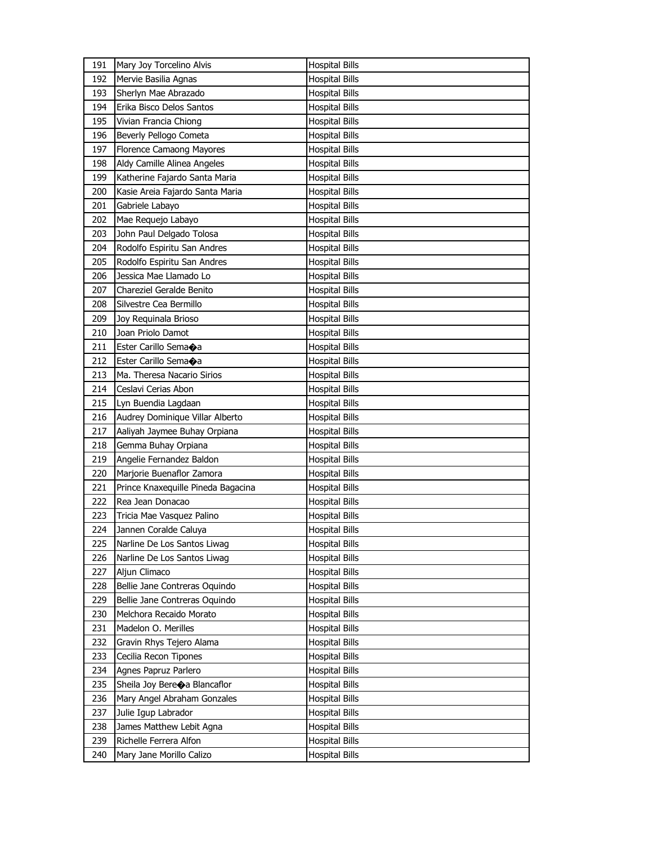| 191 | Mary Joy Torcelino Alvis           | <b>Hospital Bills</b> |
|-----|------------------------------------|-----------------------|
| 192 | Mervie Basilia Agnas               | <b>Hospital Bills</b> |
| 193 | Sherlyn Mae Abrazado               | <b>Hospital Bills</b> |
| 194 | Erika Bisco Delos Santos           | <b>Hospital Bills</b> |
| 195 | Vivian Francia Chiong              | <b>Hospital Bills</b> |
| 196 | Beverly Pellogo Cometa             | <b>Hospital Bills</b> |
| 197 | Florence Camaong Mayores           | <b>Hospital Bills</b> |
| 198 | Aldy Camille Alinea Angeles        | <b>Hospital Bills</b> |
| 199 | Katherine Fajardo Santa Maria      | <b>Hospital Bills</b> |
| 200 | Kasie Areia Fajardo Santa Maria    | <b>Hospital Bills</b> |
| 201 | Gabriele Labayo                    | <b>Hospital Bills</b> |
| 202 | Mae Requejo Labayo                 | <b>Hospital Bills</b> |
| 203 | John Paul Delgado Tolosa           | <b>Hospital Bills</b> |
| 204 | Rodolfo Espiritu San Andres        | <b>Hospital Bills</b> |
| 205 | Rodolfo Espiritu San Andres        | <b>Hospital Bills</b> |
| 206 | Jessica Mae Llamado Lo             | <b>Hospital Bills</b> |
| 207 | Chareziel Geralde Benito           | <b>Hospital Bills</b> |
| 208 | Silvestre Cea Bermillo             | <b>Hospital Bills</b> |
| 209 | Joy Requinala Brioso               | <b>Hospital Bills</b> |
| 210 | Joan Priolo Damot                  | <b>Hospital Bills</b> |
| 211 | Ester Carillo Semaoa               | <b>Hospital Bills</b> |
| 212 | Ester Carillo Sema $\spadesuit$ a  | <b>Hospital Bills</b> |
| 213 | Ma. Theresa Nacario Sirios         | <b>Hospital Bills</b> |
| 214 | Ceslavi Cerias Abon                | <b>Hospital Bills</b> |
| 215 | Lyn Buendia Lagdaan                | <b>Hospital Bills</b> |
| 216 | Audrey Dominique Villar Alberto    | <b>Hospital Bills</b> |
| 217 | Aaliyah Jaymee Buhay Orpiana       | <b>Hospital Bills</b> |
| 218 | Gemma Buhay Orpiana                | <b>Hospital Bills</b> |
| 219 | Angelie Fernandez Baldon           | <b>Hospital Bills</b> |
|     | Marjorie Buenaflor Zamora          |                       |
| 220 | Prince Knaxequille Pineda Bagacina | <b>Hospital Bills</b> |
| 221 |                                    | <b>Hospital Bills</b> |
| 222 | Rea Jean Donacao                   | <b>Hospital Bills</b> |
| 223 | Tricia Mae Vasquez Palino          | <b>Hospital Bills</b> |
| 224 | Jannen Coralde Caluya              | <b>Hospital Bills</b> |
| 225 | Narline De Los Santos Liwag        | <b>Hospital Bills</b> |
| 226 | Narline De Los Santos Liwag        | <b>Hospital Bills</b> |
| 227 | Aljun Climaco                      | <b>Hospital Bills</b> |
| 228 | Bellie Jane Contreras Oquindo      | <b>Hospital Bills</b> |
| 229 | Bellie Jane Contreras Oquindo      | <b>Hospital Bills</b> |
| 230 | Melchora Recaido Morato            | <b>Hospital Bills</b> |
| 231 | Madelon O. Merilles                | <b>Hospital Bills</b> |
| 232 | Gravin Rhys Tejero Alama           | <b>Hospital Bills</b> |
| 233 | Cecilia Recon Tipones              | <b>Hospital Bills</b> |
| 234 | Agnes Papruz Parlero               | <b>Hospital Bills</b> |
| 235 |                                    |                       |
|     | Sheila Joy Bereoa Blancaflor       | <b>Hospital Bills</b> |
| 236 | Mary Angel Abraham Gonzales        | <b>Hospital Bills</b> |
| 237 | Julie Igup Labrador                | <b>Hospital Bills</b> |
| 238 | James Matthew Lebit Agna           | <b>Hospital Bills</b> |
| 239 | Richelle Ferrera Alfon             | <b>Hospital Bills</b> |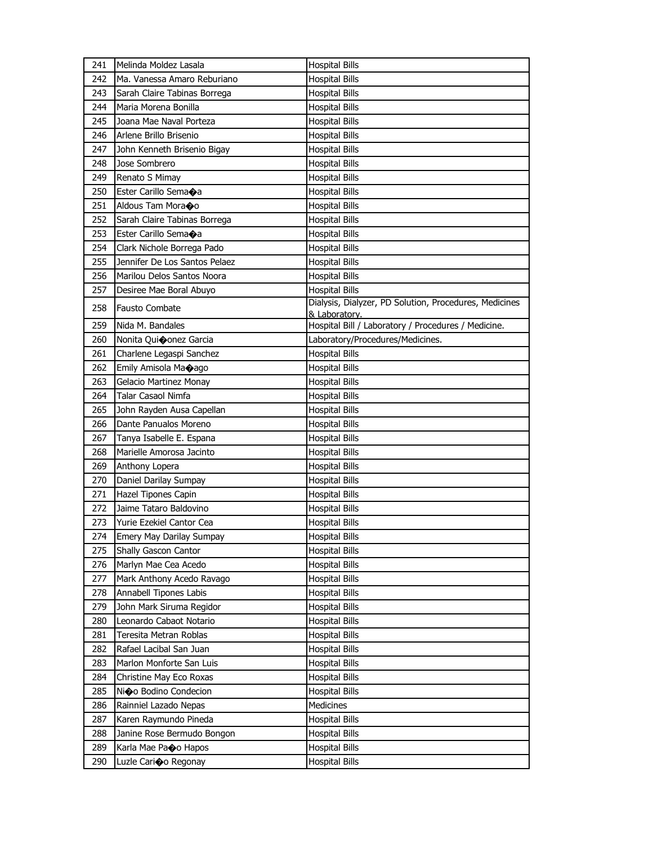| 241 | Melinda Moldez Lasala         | <b>Hospital Bills</b>                                                |
|-----|-------------------------------|----------------------------------------------------------------------|
| 242 | Ma. Vanessa Amaro Reburiano   | <b>Hospital Bills</b>                                                |
| 243 | Sarah Claire Tabinas Borrega  | <b>Hospital Bills</b>                                                |
| 244 | Maria Morena Bonilla          | <b>Hospital Bills</b>                                                |
| 245 | Joana Mae Naval Porteza       | <b>Hospital Bills</b>                                                |
| 246 | Arlene Brillo Brisenio        | <b>Hospital Bills</b>                                                |
| 247 | John Kenneth Brisenio Bigay   | <b>Hospital Bills</b>                                                |
| 248 | Jose Sombrero                 | <b>Hospital Bills</b>                                                |
| 249 | Renato S Mimay                | <b>Hospital Bills</b>                                                |
| 250 | Ester Carillo Semaoa          | <b>Hospital Bills</b>                                                |
| 251 | Aldous Tam Moraco             | <b>Hospital Bills</b>                                                |
| 252 | Sarah Claire Tabinas Borrega  | <b>Hospital Bills</b>                                                |
| 253 | Ester Carillo Semaoa          | <b>Hospital Bills</b>                                                |
| 254 | Clark Nichole Borrega Pado    | <b>Hospital Bills</b>                                                |
| 255 | Jennifer De Los Santos Pelaez | <b>Hospital Bills</b>                                                |
| 256 | Marilou Delos Santos Noora    | <b>Hospital Bills</b>                                                |
| 257 | Desiree Mae Boral Abuyo       | <b>Hospital Bills</b>                                                |
| 258 | <b>Fausto Combate</b>         | Dialysis, Dialyzer, PD Solution, Procedures, Medicines               |
| 259 | Nida M. Bandales              | & Laboratory.<br>Hospital Bill / Laboratory / Procedures / Medicine. |
| 260 | Nonita Quioonez Garcia        | Laboratory/Procedures/Medicines.                                     |
| 261 | Charlene Legaspi Sanchez      | <b>Hospital Bills</b>                                                |
| 262 | Emily Amisola Ma�ago          | <b>Hospital Bills</b>                                                |
| 263 | Gelacio Martinez Monay        | <b>Hospital Bills</b>                                                |
| 264 | <b>Talar Casaol Nimfa</b>     | <b>Hospital Bills</b>                                                |
| 265 | John Rayden Ausa Capellan     | <b>Hospital Bills</b>                                                |
| 266 | Dante Panualos Moreno         | <b>Hospital Bills</b>                                                |
| 267 | Tanya Isabelle E. Espana      | <b>Hospital Bills</b>                                                |
| 268 | Marielle Amorosa Jacinto      | <b>Hospital Bills</b>                                                |
| 269 | Anthony Lopera                | <b>Hospital Bills</b>                                                |
| 270 | Daniel Darilay Sumpay         | <b>Hospital Bills</b>                                                |
| 271 | Hazel Tipones Capin           | <b>Hospital Bills</b>                                                |
| 272 | Jaime Tataro Baldovino        | <b>Hospital Bills</b>                                                |
| 273 | Yurie Ezekiel Cantor Cea      | <b>Hospital Bills</b>                                                |
| 274 | Emery May Darilay Sumpay      | <b>Hospital Bills</b>                                                |
| 275 | Shally Gascon Cantor          | <b>Hospital Bills</b>                                                |
| 276 | Marlyn Mae Cea Acedo          | Hospital Bills                                                       |
| 277 | Mark Anthony Acedo Ravago     | Hospital Bills                                                       |
| 278 | Annabell Tipones Labis        | <b>Hospital Bills</b>                                                |
| 279 | John Mark Siruma Regidor      | <b>Hospital Bills</b>                                                |
| 280 | Leonardo Cabaot Notario       | <b>Hospital Bills</b>                                                |
| 281 | Teresita Metran Roblas        | <b>Hospital Bills</b>                                                |
| 282 | Rafael Lacibal San Juan       | Hospital Bills                                                       |
| 283 | Marlon Monforte San Luis      | <b>Hospital Bills</b>                                                |
| 284 | Christine May Eco Roxas       | <b>Hospital Bills</b>                                                |
| 285 | Ni�o Bodino Condecion         | <b>Hospital Bills</b>                                                |
| 286 | Rainniel Lazado Nepas         | <b>Medicines</b>                                                     |
| 287 | Karen Raymundo Pineda         | Hospital Bills                                                       |
| 288 | Janine Rose Bermudo Bongon    | <b>Hospital Bills</b>                                                |
| 289 | Karla Mae Pao Hapos           | <b>Hospital Bills</b>                                                |
| 290 | Luzle Carioo Regonay          | <b>Hospital Bills</b>                                                |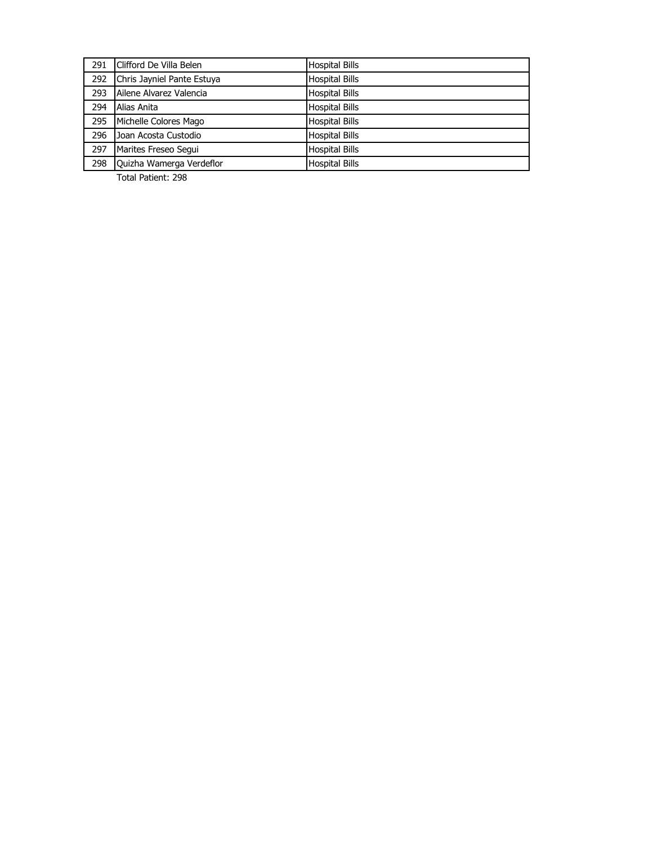| 291 | Clifford De Villa Belen    | <b>Hospital Bills</b> |
|-----|----------------------------|-----------------------|
| 292 | Chris Jayniel Pante Estuya | <b>Hospital Bills</b> |
| 293 | Ailene Alvarez Valencia    | <b>Hospital Bills</b> |
| 294 | Alias Anita                | <b>Hospital Bills</b> |
| 295 | Michelle Colores Mago      | <b>Hospital Bills</b> |
| 296 | Joan Acosta Custodio       | <b>Hospital Bills</b> |
| 297 | Marites Freseo Segui       | <b>Hospital Bills</b> |
| 298 | Quizha Wamerga Verdeflor   | <b>Hospital Bills</b> |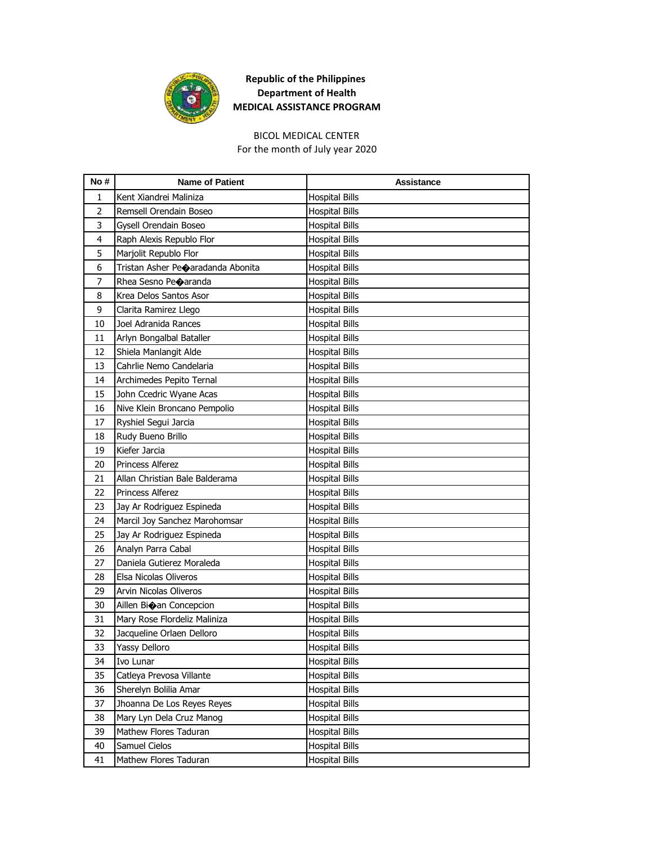

## BICOL MEDICAL CENTER

For the month of July year 2020

| No#            | <b>Name of Patient</b>            | Assistance            |
|----------------|-----------------------------------|-----------------------|
| 1              | Kent Xiandrei Maliniza            | <b>Hospital Bills</b> |
| $\overline{2}$ | Remsell Orendain Boseo            | <b>Hospital Bills</b> |
| 3              | Gysell Orendain Boseo             | <b>Hospital Bills</b> |
| 4              | Raph Alexis Republo Flor          | <b>Hospital Bills</b> |
| 5              | Marjolit Republo Flor             | <b>Hospital Bills</b> |
| 6              | Tristan Asher Pe�aradanda Abonita | <b>Hospital Bills</b> |
| 7              | Rhea Sesno Peoaranda              | <b>Hospital Bills</b> |
| 8              | Krea Delos Santos Asor            | <b>Hospital Bills</b> |
| 9              | Clarita Ramirez Llego             | <b>Hospital Bills</b> |
| 10             | Joel Adranida Rances              | <b>Hospital Bills</b> |
| 11             | Arlyn Bongalbal Bataller          | <b>Hospital Bills</b> |
| 12             | Shiela Manlangit Alde             | <b>Hospital Bills</b> |
| 13             | Cahrlie Nemo Candelaria           | <b>Hospital Bills</b> |
| 14             | Archimedes Pepito Ternal          | <b>Hospital Bills</b> |
| 15             | John Ccedric Wyane Acas           | <b>Hospital Bills</b> |
| 16             | Nive Klein Broncano Pempolio      | <b>Hospital Bills</b> |
| 17             | Ryshiel Segui Jarcia              | <b>Hospital Bills</b> |
| 18             | Rudy Bueno Brillo                 | <b>Hospital Bills</b> |
| 19             | Kiefer Jarcia                     | <b>Hospital Bills</b> |
| 20             | Princess Alferez                  | <b>Hospital Bills</b> |
| 21             | Allan Christian Bale Balderama    | <b>Hospital Bills</b> |
| 22             | Princess Alferez                  | <b>Hospital Bills</b> |
| 23             | Jay Ar Rodriguez Espineda         | <b>Hospital Bills</b> |
| 24             | Marcil Joy Sanchez Marohomsar     | <b>Hospital Bills</b> |
| 25             | Jay Ar Rodriguez Espineda         | <b>Hospital Bills</b> |
| 26             | Analyn Parra Cabal                | <b>Hospital Bills</b> |
| 27             | Daniela Gutierez Moraleda         | <b>Hospital Bills</b> |
| 28             | Elsa Nicolas Oliveros             | <b>Hospital Bills</b> |
| 29             | Arvin Nicolas Oliveros            | <b>Hospital Bills</b> |
| 30             | Aillen Bioan Concepcion           | <b>Hospital Bills</b> |
| 31             | Mary Rose Flordeliz Maliniza      | <b>Hospital Bills</b> |
| 32             | Jacqueline Orlaen Delloro         | <b>Hospital Bills</b> |
| 33             | Yassy Delloro                     | <b>Hospital Bills</b> |
| 34             | Ivo Lunar                         | <b>Hospital Bills</b> |
| 35             | Catleya Prevosa Villante          | <b>Hospital Bills</b> |
| 36             | Sherelyn Bolilia Amar             | <b>Hospital Bills</b> |
| 37             | Jhoanna De Los Reyes Reyes        | <b>Hospital Bills</b> |
| 38             | Mary Lyn Dela Cruz Manog          | <b>Hospital Bills</b> |
| 39             | Mathew Flores Taduran             | <b>Hospital Bills</b> |
| 40             | Samuel Cielos                     | <b>Hospital Bills</b> |
| 41             | Mathew Flores Taduran             | <b>Hospital Bills</b> |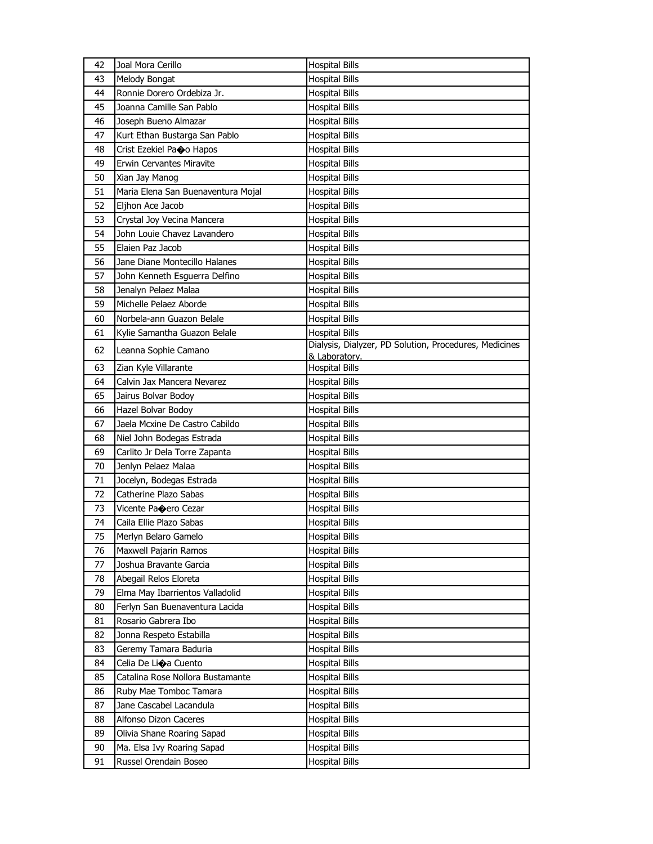| 42 | Joal Mora Cerillo                  | <b>Hospital Bills</b>                                  |
|----|------------------------------------|--------------------------------------------------------|
| 43 | Melody Bongat                      | <b>Hospital Bills</b>                                  |
| 44 | Ronnie Dorero Ordebiza Jr.         | <b>Hospital Bills</b>                                  |
| 45 | Joanna Camille San Pablo           | <b>Hospital Bills</b>                                  |
| 46 | Joseph Bueno Almazar               | <b>Hospital Bills</b>                                  |
| 47 | Kurt Ethan Bustarga San Pablo      | <b>Hospital Bills</b>                                  |
| 48 | Crist Ezekiel Pao Hapos            | <b>Hospital Bills</b>                                  |
| 49 | Erwin Cervantes Miravite           | <b>Hospital Bills</b>                                  |
| 50 | Xian Jay Manog                     | <b>Hospital Bills</b>                                  |
| 51 | Maria Elena San Buenaventura Mojal | <b>Hospital Bills</b>                                  |
| 52 | Eljhon Ace Jacob                   | <b>Hospital Bills</b>                                  |
| 53 | Crystal Joy Vecina Mancera         | <b>Hospital Bills</b>                                  |
| 54 | John Louie Chavez Lavandero        | <b>Hospital Bills</b>                                  |
| 55 | Elaien Paz Jacob                   | <b>Hospital Bills</b>                                  |
| 56 | Jane Diane Montecillo Halanes      | <b>Hospital Bills</b>                                  |
| 57 | John Kenneth Esguerra Delfino      | <b>Hospital Bills</b>                                  |
| 58 | Jenalyn Pelaez Malaa               | <b>Hospital Bills</b>                                  |
| 59 | Michelle Pelaez Aborde             | <b>Hospital Bills</b>                                  |
| 60 | Norbela-ann Guazon Belale          | <b>Hospital Bills</b>                                  |
| 61 | Kylie Samantha Guazon Belale       | <b>Hospital Bills</b>                                  |
| 62 | Leanna Sophie Camano               | Dialysis, Dialyzer, PD Solution, Procedures, Medicines |
|    |                                    | & Laboratory.                                          |
| 63 | Zian Kyle Villarante               | <b>Hospital Bills</b>                                  |
| 64 | Calvin Jax Mancera Nevarez         | <b>Hospital Bills</b>                                  |
| 65 | Jairus Bolvar Bodoy                | <b>Hospital Bills</b>                                  |
| 66 | Hazel Bolvar Bodoy                 | <b>Hospital Bills</b>                                  |
| 67 | Jaela Mcxine De Castro Cabildo     | <b>Hospital Bills</b>                                  |
| 68 | Niel John Bodegas Estrada          | <b>Hospital Bills</b>                                  |
| 69 | Carlito Jr Dela Torre Zapanta      | <b>Hospital Bills</b>                                  |
| 70 | Jenlyn Pelaez Malaa                | <b>Hospital Bills</b>                                  |
| 71 | Jocelyn, Bodegas Estrada           | <b>Hospital Bills</b>                                  |
| 72 | Catherine Plazo Sabas              | <b>Hospital Bills</b>                                  |
| 73 | Vicente Paoero Cezar               | <b>Hospital Bills</b>                                  |
| 74 | Caila Ellie Plazo Sabas            | <b>Hospital Bills</b>                                  |
| 75 | Merlyn Belaro Gamelo               | <b>Hospital Bills</b>                                  |
| 76 | Maxwell Pajarin Ramos              | <b>Hospital Bills</b>                                  |
| 77 | Joshua Bravante Garcia             | <b>Hospital Bills</b>                                  |
| 78 | Abegail Relos Eloreta              | Hospital Bills                                         |
| 79 | Elma May Ibarrientos Valladolid    | Hospital Bills                                         |
| 80 | Ferlyn San Buenaventura Lacida     | <b>Hospital Bills</b>                                  |
| 81 | Rosario Gabrera Ibo                | <b>Hospital Bills</b>                                  |
| 82 | Jonna Respeto Estabilla            | <b>Hospital Bills</b>                                  |
| 83 | Geremy Tamara Baduria              | Hospital Bills                                         |
| 84 | Celia De Lioa Cuento               | Hospital Bills                                         |
| 85 | Catalina Rose Nollora Bustamante   | <b>Hospital Bills</b>                                  |
| 86 | Ruby Mae Tomboc Tamara             | <b>Hospital Bills</b>                                  |
| 87 | Jane Cascabel Lacandula            | <b>Hospital Bills</b>                                  |
| 88 | Alfonso Dizon Caceres              | Hospital Bills                                         |
| 89 | Olivia Shane Roaring Sapad         | Hospital Bills                                         |
| 90 | Ma. Elsa Ivy Roaring Sapad         | <b>Hospital Bills</b>                                  |
| 91 | Russel Orendain Boseo              | <b>Hospital Bills</b>                                  |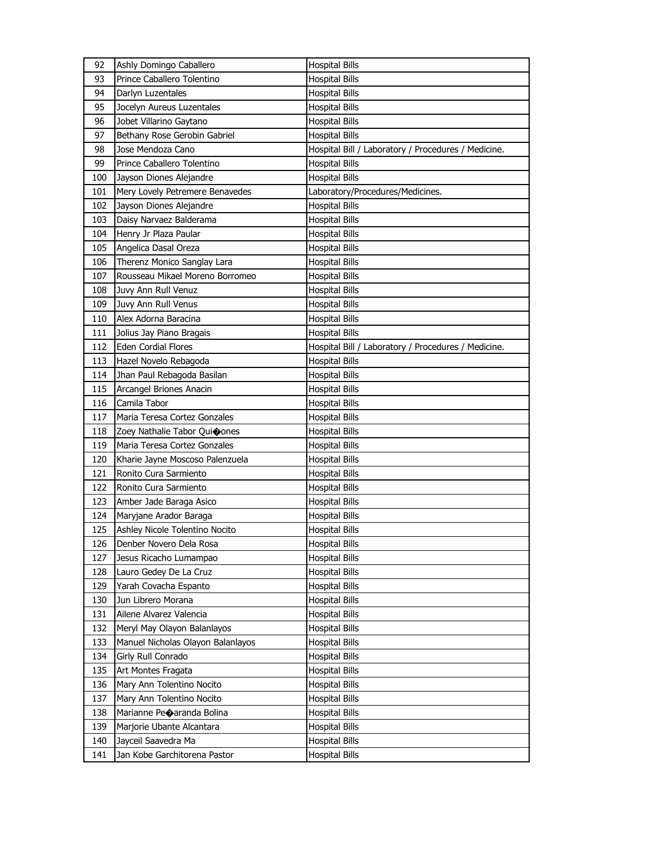| 92         | Ashly Domingo Caballero                                 | <b>Hospital Bills</b>                               |
|------------|---------------------------------------------------------|-----------------------------------------------------|
| 93         | Prince Caballero Tolentino                              | <b>Hospital Bills</b>                               |
| 94         | Darlyn Luzentales                                       | <b>Hospital Bills</b>                               |
| 95         | Jocelyn Aureus Luzentales                               | <b>Hospital Bills</b>                               |
| 96         | Jobet Villarino Gaytano                                 | <b>Hospital Bills</b>                               |
| 97         | Bethany Rose Gerobin Gabriel                            | <b>Hospital Bills</b>                               |
| 98         | Jose Mendoza Cano                                       | Hospital Bill / Laboratory / Procedures / Medicine. |
| 99         | Prince Caballero Tolentino                              | <b>Hospital Bills</b>                               |
| 100        | Jayson Diones Alejandre                                 | <b>Hospital Bills</b>                               |
| 101        | Mery Lovely Petremere Benavedes                         | Laboratory/Procedures/Medicines.                    |
| 102        | Jayson Diones Alejandre                                 | <b>Hospital Bills</b>                               |
| 103        | Daisy Narvaez Balderama                                 | <b>Hospital Bills</b>                               |
| 104        | Henry Jr Plaza Paular                                   | <b>Hospital Bills</b>                               |
| 105        | Angelica Dasal Oreza                                    | <b>Hospital Bills</b>                               |
| 106        | Therenz Monico Sanglay Lara                             | <b>Hospital Bills</b>                               |
| 107        | Rousseau Mikael Moreno Borromeo                         | <b>Hospital Bills</b>                               |
| 108        | Juvy Ann Rull Venuz                                     | <b>Hospital Bills</b>                               |
| 109        | Juvy Ann Rull Venus                                     | <b>Hospital Bills</b>                               |
| 110        | Alex Adorna Baracina                                    | <b>Hospital Bills</b>                               |
| 111        | Jolius Jay Piano Bragais                                | <b>Hospital Bills</b>                               |
| 112        | Eden Cordial Flores                                     | Hospital Bill / Laboratory / Procedures / Medicine. |
| 113        | Hazel Novelo Rebagoda                                   | <b>Hospital Bills</b>                               |
| 114        | Jhan Paul Rebagoda Basilan                              | Hospital Bills                                      |
| 115        | Arcangel Briones Anacin                                 | <b>Hospital Bills</b>                               |
| 116        | Camila Tabor                                            | <b>Hospital Bills</b>                               |
| 117        | Maria Teresa Cortez Gonzales                            | <b>Hospital Bills</b>                               |
| 118        | Zoey Nathalie Tabor Qui�ones                            | <b>Hospital Bills</b>                               |
| 119        | Maria Teresa Cortez Gonzales                            | <b>Hospital Bills</b>                               |
|            |                                                         |                                                     |
|            |                                                         | <b>Hospital Bills</b>                               |
| 120<br>121 | Kharie Jayne Moscoso Palenzuela                         |                                                     |
|            | Ronito Cura Sarmiento<br>Ronito Cura Sarmiento          | <b>Hospital Bills</b>                               |
| 122<br>123 |                                                         | <b>Hospital Bills</b>                               |
| 124        | Amber Jade Baraga Asico                                 | <b>Hospital Bills</b>                               |
|            | Maryjane Arador Baraga                                  | Hospital Bills                                      |
| 125        | Ashley Nicole Tolentino Nocito                          | <b>Hospital Bills</b>                               |
| 126        | Denber Novero Dela Rosa                                 | <b>Hospital Bills</b>                               |
| 127<br>128 | Jesus Ricacho Lumampao                                  | <b>Hospital Bills</b>                               |
|            | Lauro Gedey De La Cruz                                  | <b>Hospital Bills</b>                               |
| 129        | Yarah Covacha Espanto<br>Jun Librero Morana             | <b>Hospital Bills</b><br><b>Hospital Bills</b>      |
| 130        |                                                         |                                                     |
| 131<br>132 | Ailene Alvarez Valencia<br>Meryl May Olayon Balanlayos  | <b>Hospital Bills</b><br><b>Hospital Bills</b>      |
| 133        |                                                         |                                                     |
| 134        | Manuel Nicholas Olayon Balanlayos<br>Girly Rull Conrado | Hospital Bills                                      |
|            |                                                         | <b>Hospital Bills</b>                               |
| 135        | Art Montes Fragata                                      | <b>Hospital Bills</b>                               |
| 136        | Mary Ann Tolentino Nocito                               | <b>Hospital Bills</b>                               |
| 137<br>138 | Mary Ann Tolentino Nocito                               | <b>Hospital Bills</b>                               |
|            | Marianne Peoaranda Bolina                               | <b>Hospital Bills</b>                               |
| 139        | Marjorie Ubante Alcantara                               | <b>Hospital Bills</b>                               |
| 140<br>141 | Jayceil Saavedra Ma<br>Jan Kobe Garchitorena Pastor     | <b>Hospital Bills</b><br><b>Hospital Bills</b>      |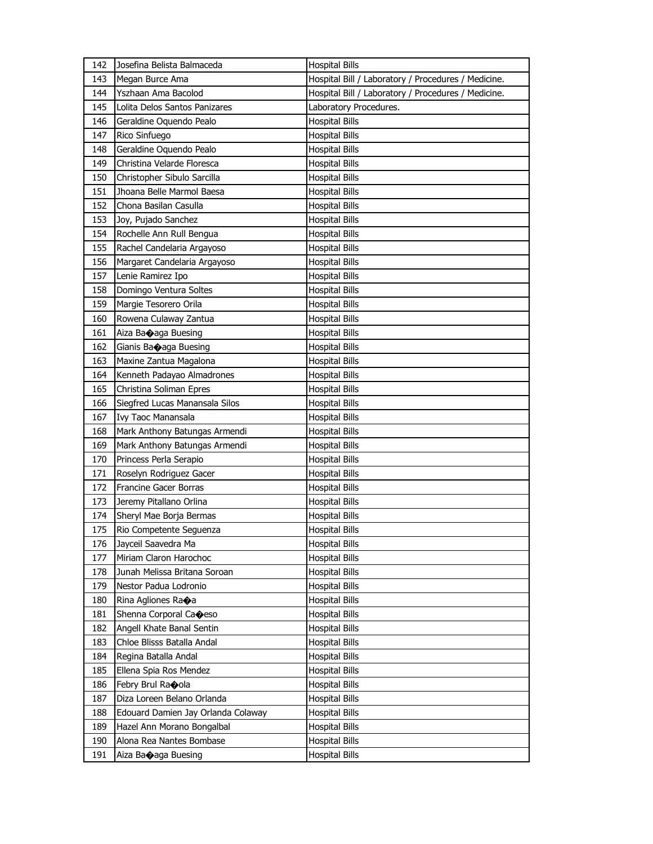| 142 | Josefina Belista Balmaceda         | <b>Hospital Bills</b>                               |
|-----|------------------------------------|-----------------------------------------------------|
| 143 | Megan Burce Ama                    | Hospital Bill / Laboratory / Procedures / Medicine. |
| 144 | Yszhaan Ama Bacolod                | Hospital Bill / Laboratory / Procedures / Medicine. |
| 145 | Lolita Delos Santos Panizares      | Laboratory Procedures.                              |
| 146 | Geraldine Oquendo Pealo            | <b>Hospital Bills</b>                               |
| 147 | Rico Sinfuego                      | <b>Hospital Bills</b>                               |
| 148 | Geraldine Oquendo Pealo            | Hospital Bills                                      |
| 149 | Christina Velarde Floresca         | <b>Hospital Bills</b>                               |
| 150 | Christopher Sibulo Sarcilla        | <b>Hospital Bills</b>                               |
| 151 | Jhoana Belle Marmol Baesa          | <b>Hospital Bills</b>                               |
| 152 | Chona Basilan Casulla              | <b>Hospital Bills</b>                               |
| 153 | Joy, Pujado Sanchez                | Hospital Bills                                      |
| 154 | Rochelle Ann Rull Bengua           | Hospital Bills                                      |
| 155 | Rachel Candelaria Argayoso         | Hospital Bills                                      |
| 156 | Margaret Candelaria Argayoso       | <b>Hospital Bills</b>                               |
| 157 | Lenie Ramirez Ipo                  | Hospital Bills                                      |
| 158 | Domingo Ventura Soltes             | Hospital Bills                                      |
| 159 | Margie Tesorero Orila              | Hospital Bills                                      |
| 160 | Rowena Culaway Zantua              | <b>Hospital Bills</b>                               |
| 161 | Aiza Baoaga Buesing                | <b>Hospital Bills</b>                               |
| 162 | Gianis Baoaga Buesing              | <b>Hospital Bills</b>                               |
| 163 | Maxine Zantua Magalona             | Hospital Bills                                      |
| 164 | Kenneth Padayao Almadrones         | Hospital Bills                                      |
| 165 | Christina Soliman Epres            | Hospital Bills                                      |
| 166 | Siegfred Lucas Manansala Silos     | <b>Hospital Bills</b>                               |
| 167 | Ivy Taoc Manansala                 | Hospital Bills                                      |
| 168 | Mark Anthony Batungas Armendi      | Hospital Bills                                      |
| 169 | Mark Anthony Batungas Armendi      | Hospital Bills                                      |
| 170 | Princess Perla Serapio             | Hospital Bills                                      |
| 171 | Roselyn Rodriguez Gacer            | <b>Hospital Bills</b>                               |
| 172 | Francine Gacer Borras              | Hospital Bills                                      |
| 173 | Jeremy Pitallano Orlina            | <b>Hospital Bills</b>                               |
| 174 | Sheryl Mae Borja Bermas            | Hospital Bills                                      |
| 175 | Rio Competente Seguenza            | <b>Hospital Bills</b>                               |
| 176 | Jayceil Saavedra Ma                | <b>Hospital Bills</b>                               |
| 177 | Miriam Claron Harochoc             | <b>Hospital Bills</b>                               |
| 178 | Junah Melissa Britana Soroan       | <b>Hospital Bills</b>                               |
| 179 | Nestor Padua Lodronio              | <b>Hospital Bills</b>                               |
| 180 | Rina Agliones Raoa                 | <b>Hospital Bills</b>                               |
| 181 | Shenna Corporal Caoeso             | Hospital Bills                                      |
| 182 | Angell Khate Banal Sentin          | <b>Hospital Bills</b>                               |
| 183 | Chloe Blisss Batalla Andal         | <b>Hospital Bills</b>                               |
| 184 | Regina Batalla Andal               | <b>Hospital Bills</b>                               |
| 185 | Ellena Spia Ros Mendez             | <b>Hospital Bills</b>                               |
| 186 | Febry Brul Ra�ola                  | Hospital Bills                                      |
| 187 | Diza Loreen Belano Orlanda         | Hospital Bills                                      |
| 188 | Edouard Damien Jay Orlanda Colaway | Hospital Bills                                      |
| 189 | Hazel Ann Morano Bongalbal         | <b>Hospital Bills</b>                               |
| 190 | Alona Rea Nantes Bombase           | Hospital Bills                                      |
| 191 | Aiza Ba�aga Buesing                | Hospital Bills                                      |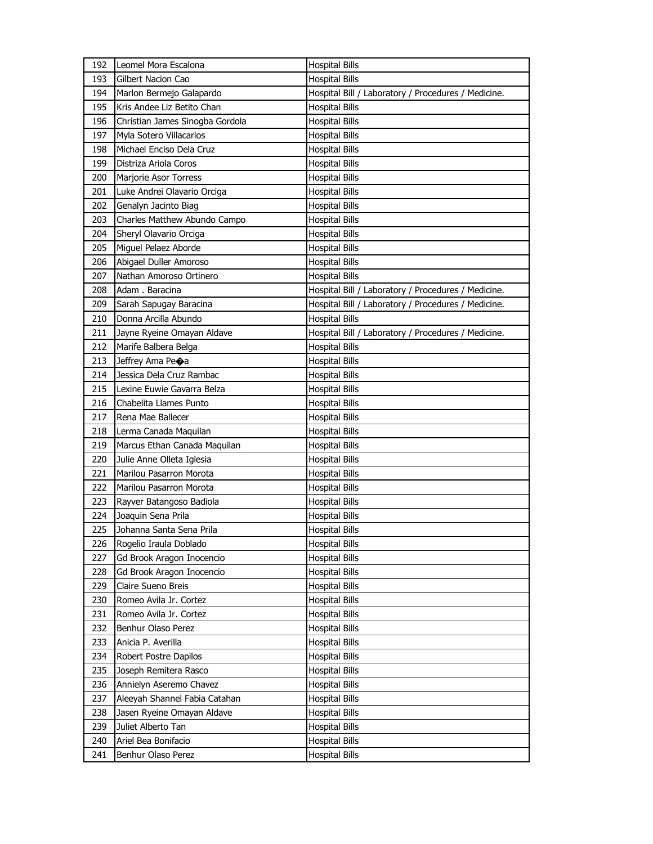| 192 | Leomel Mora Escalona            | <b>Hospital Bills</b>                               |
|-----|---------------------------------|-----------------------------------------------------|
| 193 | Gilbert Nacion Cao              | <b>Hospital Bills</b>                               |
| 194 | Marlon Bermejo Galapardo        | Hospital Bill / Laboratory / Procedures / Medicine. |
| 195 | Kris Andee Liz Betito Chan      | <b>Hospital Bills</b>                               |
| 196 | Christian James Sinogba Gordola | Hospital Bills                                      |
| 197 | Myla Sotero Villacarlos         | Hospital Bills                                      |
| 198 | Michael Enciso Dela Cruz        | <b>Hospital Bills</b>                               |
| 199 | Distriza Ariola Coros           | <b>Hospital Bills</b>                               |
| 200 | Marjorie Asor Torress           | <b>Hospital Bills</b>                               |
| 201 | Luke Andrei Olavario Orciga     | <b>Hospital Bills</b>                               |
| 202 | Genalyn Jacinto Biag            | <b>Hospital Bills</b>                               |
| 203 | Charles Matthew Abundo Campo    | <b>Hospital Bills</b>                               |
| 204 | Sheryl Olavario Orciga          | Hospital Bills                                      |
| 205 | Miguel Pelaez Aborde            | Hospital Bills                                      |
| 206 | Abigael Duller Amoroso          | <b>Hospital Bills</b>                               |
| 207 | Nathan Amoroso Ortinero         | Hospital Bills                                      |
| 208 | Adam . Baracina                 | Hospital Bill / Laboratory / Procedures / Medicine. |
| 209 | Sarah Sapugay Baracina          | Hospital Bill / Laboratory / Procedures / Medicine. |
| 210 | Donna Arcilla Abundo            | <b>Hospital Bills</b>                               |
| 211 | Jayne Ryeine Omayan Aldave      | Hospital Bill / Laboratory / Procedures / Medicine. |
| 212 | Marife Balbera Belga            | <b>Hospital Bills</b>                               |
| 213 | Jeffrey Ama Pe $\bigcirc$ a     | <b>Hospital Bills</b>                               |
| 214 | Jessica Dela Cruz Rambac        | <b>Hospital Bills</b>                               |
| 215 | Lexine Euwie Gavarra Belza      | Hospital Bills                                      |
| 216 | Chabelita Llames Punto          | <b>Hospital Bills</b>                               |
| 217 | Rena Mae Ballecer               | Hospital Bills                                      |
| 218 | Lerma Canada Maquilan           | <b>Hospital Bills</b>                               |
| 219 | Marcus Ethan Canada Maquilan    | Hospital Bills                                      |
| 220 | Julie Anne Olleta Iglesia       | Hospital Bills                                      |
| 221 | Marilou Pasarron Morota         | <b>Hospital Bills</b>                               |
| 222 | Marilou Pasarron Morota         | Hospital Bills                                      |
| 223 | Rayver Batangoso Badiola        | Hospital Bills                                      |
| 224 | Joaquin Sena Prila              | Hospital Bills                                      |
| 225 | Johanna Santa Sena Prila        | <b>Hospital Bills</b>                               |
| 226 | Rogelio Iraula Doblado          | <b>Hospital Bills</b>                               |
| 227 | Gd Brook Aragon Inocencio       | <b>Hospital Bills</b>                               |
| 228 | Gd Brook Aragon Inocencio       | <b>Hospital Bills</b>                               |
| 229 | Claire Sueno Breis              | <b>Hospital Bills</b>                               |
| 230 | Romeo Avila Jr. Cortez          | Hospital Bills                                      |
| 231 | Romeo Avila Jr. Cortez          | <b>Hospital Bills</b>                               |
| 232 | Benhur Olaso Perez              | <b>Hospital Bills</b>                               |
| 233 | Anicia P. Averilla              | <b>Hospital Bills</b>                               |
| 234 | Robert Postre Dapilos           | <b>Hospital Bills</b>                               |
| 235 | Joseph Remitera Rasco           | Hospital Bills                                      |
| 236 | Annielyn Aseremo Chavez         | <b>Hospital Bills</b>                               |
| 237 | Aleeyah Shannel Fabia Catahan   | <b>Hospital Bills</b>                               |
| 238 | Jasen Ryeine Omayan Aldave      | <b>Hospital Bills</b>                               |
| 239 | Juliet Alberto Tan              | <b>Hospital Bills</b>                               |
| 240 | Ariel Bea Bonifacio             | Hospital Bills                                      |
| 241 | Benhur Olaso Perez              | <b>Hospital Bills</b>                               |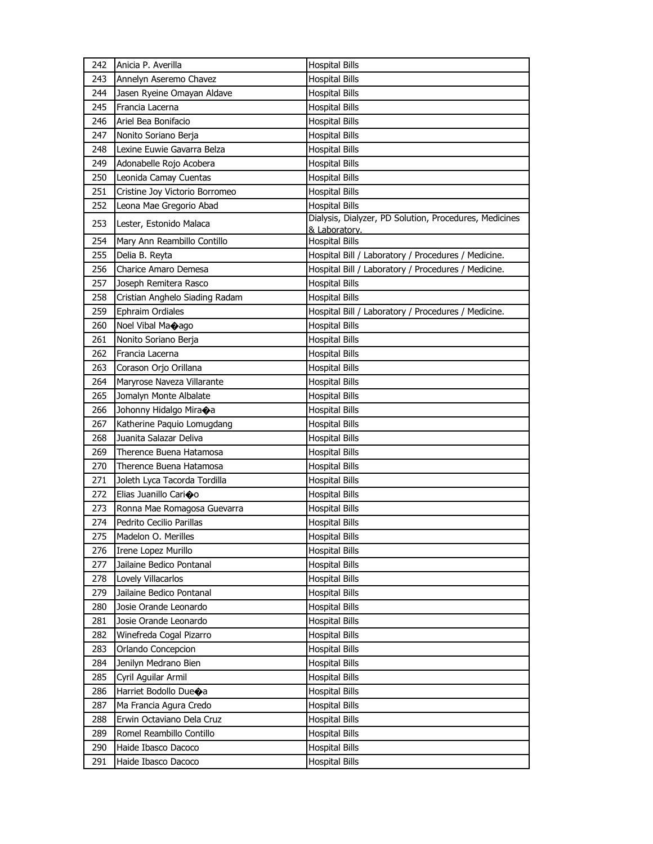| 242 | Anicia P. Averilla                 | <b>Hospital Bills</b>                                                   |
|-----|------------------------------------|-------------------------------------------------------------------------|
| 243 | Annelyn Aseremo Chavez             | <b>Hospital Bills</b>                                                   |
| 244 | Jasen Ryeine Omayan Aldave         | <b>Hospital Bills</b>                                                   |
| 245 | Francia Lacerna                    | <b>Hospital Bills</b>                                                   |
| 246 | Ariel Bea Bonifacio                | <b>Hospital Bills</b>                                                   |
| 247 | Nonito Soriano Berja               | <b>Hospital Bills</b>                                                   |
| 248 | Lexine Euwie Gavarra Belza         | <b>Hospital Bills</b>                                                   |
| 249 | Adonabelle Rojo Acobera            | <b>Hospital Bills</b>                                                   |
| 250 | Leonida Camay Cuentas              | <b>Hospital Bills</b>                                                   |
| 251 | Cristine Joy Victorio Borromeo     | <b>Hospital Bills</b>                                                   |
| 252 | Leona Mae Gregorio Abad            | <b>Hospital Bills</b>                                                   |
| 253 | Lester, Estonido Malaca            | Dialysis, Dialyzer, PD Solution, Procedures, Medicines<br>& Laboratory. |
| 254 | Mary Ann Reambillo Contillo        | <b>Hospital Bills</b>                                                   |
| 255 | Delia B. Reyta                     | Hospital Bill / Laboratory / Procedures / Medicine.                     |
| 256 | <b>Charice Amaro Demesa</b>        | Hospital Bill / Laboratory / Procedures / Medicine.                     |
| 257 | Joseph Remitera Rasco              | <b>Hospital Bills</b>                                                   |
| 258 | Cristian Anghelo Siading Radam     | <b>Hospital Bills</b>                                                   |
| 259 | Ephraim Ordiales                   | Hospital Bill / Laboratory / Procedures / Medicine.                     |
| 260 | Noel Vibal Ma $\diamond$ ago       | <b>Hospital Bills</b>                                                   |
| 261 | Nonito Soriano Berja               | <b>Hospital Bills</b>                                                   |
| 262 | Francia Lacerna                    | <b>Hospital Bills</b>                                                   |
| 263 | Corason Orjo Orillana              | <b>Hospital Bills</b>                                                   |
| 264 | Maryrose Naveza Villarante         | <b>Hospital Bills</b>                                                   |
| 265 | Jomalyn Monte Albalate             | <b>Hospital Bills</b>                                                   |
| 266 | Johonny Hidalgo Miraoa             | <b>Hospital Bills</b>                                                   |
| 267 | Katherine Paquio Lomugdang         | <b>Hospital Bills</b>                                                   |
| 268 | Juanita Salazar Deliva             | <b>Hospital Bills</b>                                                   |
| 269 | Therence Buena Hatamosa            | <b>Hospital Bills</b>                                                   |
| 270 | Therence Buena Hatamosa            | <b>Hospital Bills</b>                                                   |
| 271 | Joleth Lyca Tacorda Tordilla       | <b>Hospital Bills</b>                                                   |
| 272 | Elias Juanillo Carioo              | <b>Hospital Bills</b>                                                   |
| 273 | Ronna Mae Romagosa Guevarra        | <b>Hospital Bills</b>                                                   |
| 274 | Pedrito Cecilio Parillas           | <b>Hospital Bills</b>                                                   |
| 275 | Madelon O. Merilles                | <b>Hospital Bills</b>                                                   |
| 276 | Irene Lopez Murillo                | <b>Hospital Bills</b>                                                   |
| 277 | Jailaine Bedico Pontanal           | <b>Hospital Bills</b>                                                   |
| 278 | Lovely Villacarlos                 | Hospital Bills                                                          |
| 279 | Jailaine Bedico Pontanal           | <b>Hospital Bills</b>                                                   |
| 280 | Josie Orande Leonardo              | <b>Hospital Bills</b>                                                   |
| 281 | Josie Orande Leonardo              | <b>Hospital Bills</b>                                                   |
| 282 | Winefreda Cogal Pizarro            | <b>Hospital Bills</b>                                                   |
| 283 | Orlando Concepcion                 | <b>Hospital Bills</b>                                                   |
| 284 | Jenilyn Medrano Bien               | <b>Hospital Bills</b>                                                   |
| 285 | Cyril Aguilar Armil                | <b>Hospital Bills</b>                                                   |
| 286 | Harriet Bodollo Due $\spadesuit$ a | <b>Hospital Bills</b>                                                   |
| 287 | Ma Francia Agura Credo             | <b>Hospital Bills</b>                                                   |
| 288 | Erwin Octaviano Dela Cruz          | Hospital Bills                                                          |
| 289 | Romel Reambillo Contillo           | <b>Hospital Bills</b>                                                   |
| 290 | Haide Ibasco Dacoco                | <b>Hospital Bills</b>                                                   |
| 291 | Haide Ibasco Dacoco                | <b>Hospital Bills</b>                                                   |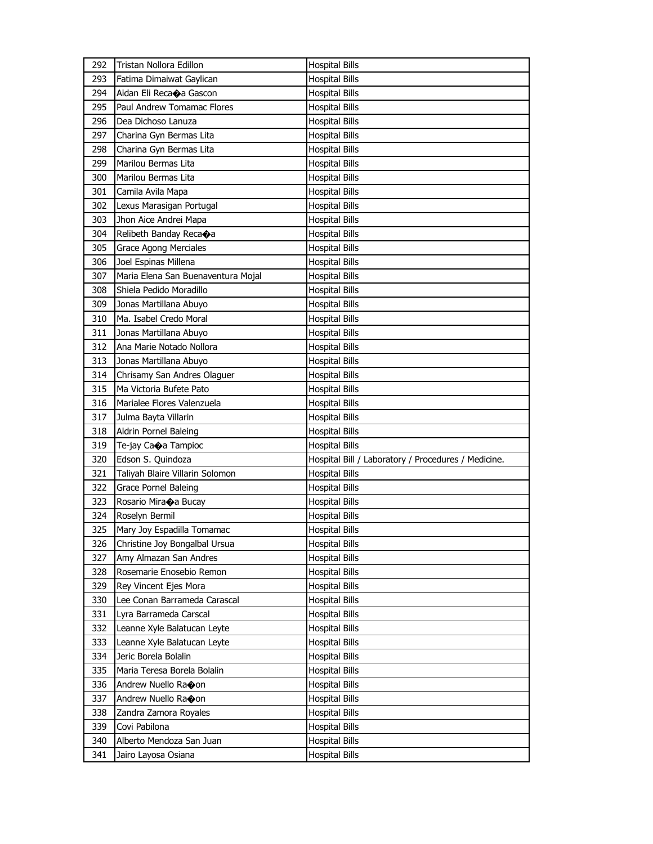| 292        | Tristan Nollora Edillon            | <b>Hospital Bills</b>                               |
|------------|------------------------------------|-----------------------------------------------------|
| 293        | Fatima Dimaiwat Gaylican           | <b>Hospital Bills</b>                               |
| 294        | Aidan Eli Recaoa Gascon            | <b>Hospital Bills</b>                               |
| 295        | Paul Andrew Tomamac Flores         | <b>Hospital Bills</b>                               |
| 296        | Dea Dichoso Lanuza                 | <b>Hospital Bills</b>                               |
| 297        | Charina Gyn Bermas Lita            | <b>Hospital Bills</b>                               |
| 298        | Charina Gyn Bermas Lita            | Hospital Bills                                      |
| 299        | Marilou Bermas Lita                | <b>Hospital Bills</b>                               |
| 300        | Marilou Bermas Lita                | <b>Hospital Bills</b>                               |
| 301        | Camila Avila Mapa                  | <b>Hospital Bills</b>                               |
| 302        | Lexus Marasigan Portugal           | <b>Hospital Bills</b>                               |
| 303        | Jhon Aice Andrei Mapa              | <b>Hospital Bills</b>                               |
| 304        | Relibeth Banday Recaoa             | <b>Hospital Bills</b>                               |
| 305        | <b>Grace Agong Merciales</b>       | <b>Hospital Bills</b>                               |
| 306        | Joel Espinas Millena               | <b>Hospital Bills</b>                               |
| 307        | Maria Elena San Buenaventura Mojal | Hospital Bills                                      |
| 308        | Shiela Pedido Moradillo            | Hospital Bills                                      |
| 309        | Jonas Martillana Abuyo             | <b>Hospital Bills</b>                               |
| 310        | Ma. Isabel Credo Moral             | <b>Hospital Bills</b>                               |
| 311        | Jonas Martillana Abuyo             | <b>Hospital Bills</b>                               |
| 312        | Ana Marie Notado Nollora           | <b>Hospital Bills</b>                               |
| 313        | Jonas Martillana Abuyo             | Hospital Bills                                      |
| 314        | Chrisamy San Andres Olaguer        | <b>Hospital Bills</b>                               |
| 315        | Ma Victoria Bufete Pato            | <b>Hospital Bills</b>                               |
| 316        | Marialee Flores Valenzuela         | <b>Hospital Bills</b>                               |
|            |                                    |                                                     |
| 317        | Julma Bayta Villarin               | <b>Hospital Bills</b>                               |
| 318        | Aldrin Pornel Baleing              | Hospital Bills                                      |
| 319        | Te-jay Caoa Tampioc                | <b>Hospital Bills</b>                               |
| 320        | Edson S. Quindoza                  | Hospital Bill / Laboratory / Procedures / Medicine. |
| 321        | Taliyah Blaire Villarin Solomon    | <b>Hospital Bills</b>                               |
| 322        | Grace Pornel Baleing               | Hospital Bills                                      |
| 323        | Rosario Miraoa Bucay               | Hospital Bills                                      |
| 324        | Roselyn Bermil                     | Hospital Bills                                      |
| 325        | Mary Joy Espadilla Tomamac         | <b>Hospital Bills</b>                               |
| 326        | Christine Joy Bongalbal Ursua      | <b>Hospital Bills</b>                               |
| 327        | Amy Almazan San Andres             | <b>Hospital Bills</b>                               |
| 328        | Rosemarie Enosebio Remon           | <b>Hospital Bills</b>                               |
| 329        | Rey Vincent Ejes Mora              | <b>Hospital Bills</b>                               |
| 330        | Lee Conan Barrameda Carascal       | <b>Hospital Bills</b>                               |
| 331        | Lyra Barrameda Carscal             | <b>Hospital Bills</b>                               |
| 332        | Leanne Xyle Balatucan Leyte        | <b>Hospital Bills</b>                               |
| 333        | Leanne Xyle Balatucan Leyte        | <b>Hospital Bills</b>                               |
| 334        | Jeric Borela Bolalin               | <b>Hospital Bills</b>                               |
| 335        | Maria Teresa Borela Bolalin        | <b>Hospital Bills</b>                               |
| 336        | Andrew Nuello Raoon                | <b>Hospital Bills</b>                               |
| 337        | Andrew Nuello Ra�on                | <b>Hospital Bills</b>                               |
| 338        | Zandra Zamora Royales              | <b>Hospital Bills</b>                               |
| 339        | Covi Pabilona                      | <b>Hospital Bills</b>                               |
| 340<br>341 | Alberto Mendoza San Juan           | <b>Hospital Bills</b>                               |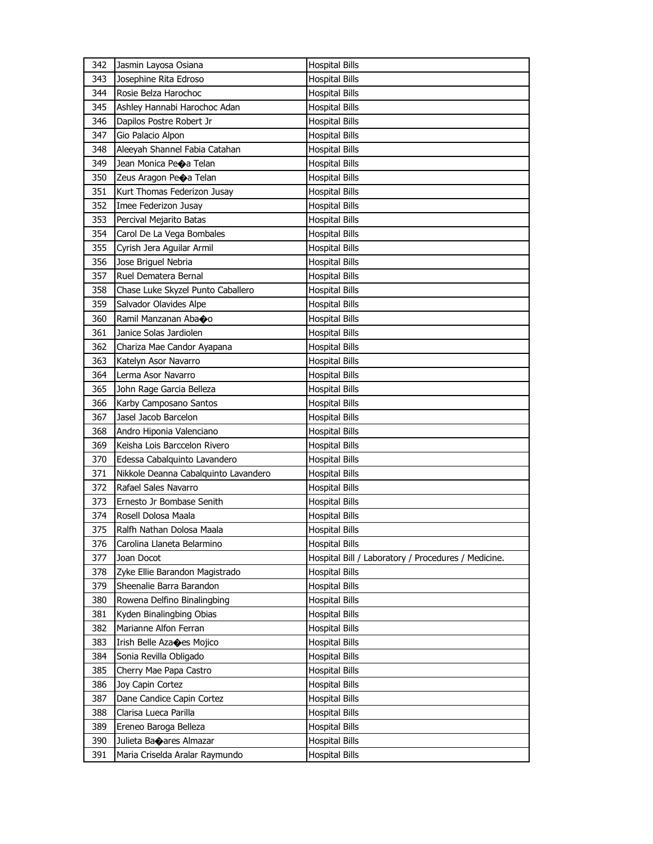| 342        | Jasmin Layosa Osiana                 | <b>Hospital Bills</b>                               |
|------------|--------------------------------------|-----------------------------------------------------|
| 343        | Josephine Rita Edroso                | <b>Hospital Bills</b>                               |
| 344        | Rosie Belza Harochoc                 | <b>Hospital Bills</b>                               |
| 345        | Ashley Hannabi Harochoc Adan         | <b>Hospital Bills</b>                               |
| 346        | Dapilos Postre Robert Jr             | <b>Hospital Bills</b>                               |
| 347        | Gio Palacio Alpon                    | <b>Hospital Bills</b>                               |
| 348        | Aleeyah Shannel Fabia Catahan        | <b>Hospital Bills</b>                               |
| 349        | Jean Monica Peoa Telan               | <b>Hospital Bills</b>                               |
| 350        | Zeus Aragon Peoa Telan               | <b>Hospital Bills</b>                               |
| 351        | Kurt Thomas Federizon Jusay          | <b>Hospital Bills</b>                               |
| 352        | Imee Federizon Jusay                 | <b>Hospital Bills</b>                               |
| 353        | Percival Mejarito Batas              | <b>Hospital Bills</b>                               |
| 354        | Carol De La Vega Bombales            | <b>Hospital Bills</b>                               |
| 355        | Cyrish Jera Aguilar Armil            | <b>Hospital Bills</b>                               |
| 356        | Jose Briguel Nebria                  | <b>Hospital Bills</b>                               |
| 357        | Ruel Dematera Bernal                 | <b>Hospital Bills</b>                               |
| 358        | Chase Luke Skyzel Punto Caballero    | <b>Hospital Bills</b>                               |
| 359        | Salvador Olavides Alpe               | <b>Hospital Bills</b>                               |
| 360        | Ramil Manzanan Aba�o                 | <b>Hospital Bills</b>                               |
| 361        | Janice Solas Jardiolen               | <b>Hospital Bills</b>                               |
| 362        | Chariza Mae Candor Ayapana           | <b>Hospital Bills</b>                               |
| 363        | Katelyn Asor Navarro                 | <b>Hospital Bills</b>                               |
| 364        | Lerma Asor Navarro                   | <b>Hospital Bills</b>                               |
| 365        | John Rage Garcia Belleza             | <b>Hospital Bills</b>                               |
| 366        | Karby Camposano Santos               | <b>Hospital Bills</b>                               |
| 367        | Jasel Jacob Barcelon                 | <b>Hospital Bills</b>                               |
| 368        | Andro Hiponia Valenciano             | <b>Hospital Bills</b>                               |
| 369        | Keisha Lois Barccelon Rivero         | <b>Hospital Bills</b>                               |
| 370        | Edessa Cabalquinto Lavandero         | <b>Hospital Bills</b>                               |
| 371        | Nikkole Deanna Cabalquinto Lavandero | <b>Hospital Bills</b>                               |
| 372        | Rafael Sales Navarro                 | <b>Hospital Bills</b>                               |
| 373        | Ernesto Jr Bombase Senith            | <b>Hospital Bills</b>                               |
| 374        | Rosell Dolosa Maala                  | Hospital Bills                                      |
| 375        | Ralfh Nathan Dolosa Maala            | <b>Hospital Bills</b>                               |
| 376        | Carolina Llaneta Belarmino           | <b>Hospital Bills</b>                               |
| 377        | Joan Docot                           | Hospital Bill / Laboratory / Procedures / Medicine. |
| 378        | Zyke Ellie Barandon Magistrado       | <b>Hospital Bills</b>                               |
| 379        | Sheenalie Barra Barandon             | <b>Hospital Bills</b>                               |
| 380        | Rowena Delfino Binalingbing          | <b>Hospital Bills</b>                               |
| 381        | Kyden Binalingbing Obias             | <b>Hospital Bills</b>                               |
| 382        | Marianne Alfon Ferran                | <b>Hospital Bills</b>                               |
| 383        | Irish Belle Aza $\bigcirc$ es Mojico | <b>Hospital Bills</b>                               |
| 384        | Sonia Revilla Obligado               | <b>Hospital Bills</b>                               |
| 385        | Cherry Mae Papa Castro               | <b>Hospital Bills</b>                               |
| 386        | Joy Capin Cortez                     | <b>Hospital Bills</b>                               |
|            | Dane Candice Capin Cortez            |                                                     |
| 387        | Clarisa Lueca Parilla                | Hospital Bills                                      |
| 388<br>389 |                                      | <b>Hospital Bills</b>                               |
|            | Ereneo Baroga Belleza                | <b>Hospital Bills</b>                               |
| 390        | Julieta Baoares Almazar              | <b>Hospital Bills</b>                               |
| 391        | Maria Criselda Aralar Raymundo       | <b>Hospital Bills</b>                               |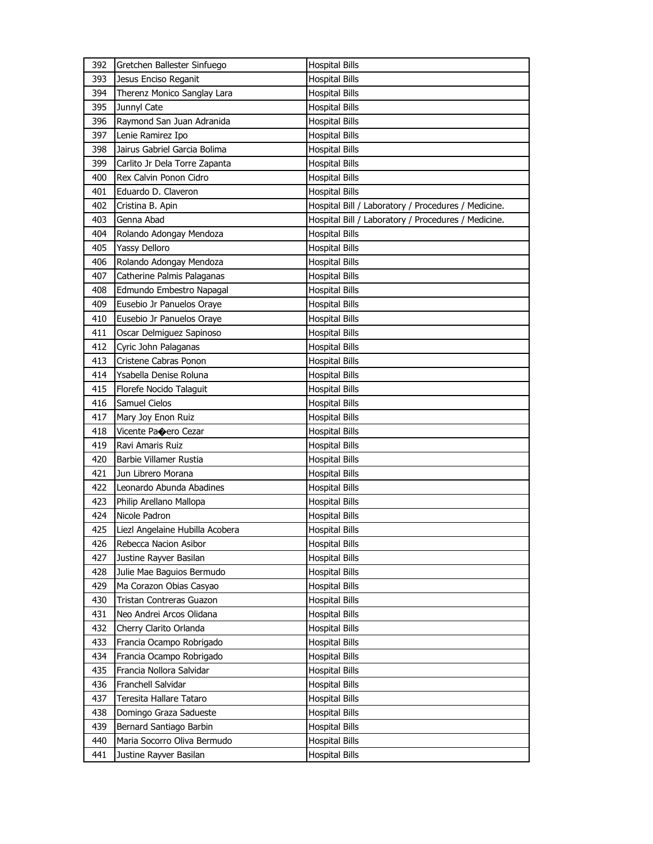| 392        | Gretchen Ballester Sinfuego                           | <b>Hospital Bills</b>                               |
|------------|-------------------------------------------------------|-----------------------------------------------------|
| 393        | Jesus Enciso Reganit                                  | <b>Hospital Bills</b>                               |
| 394        | Therenz Monico Sanglay Lara                           | <b>Hospital Bills</b>                               |
| 395        | Junnyl Cate                                           | <b>Hospital Bills</b>                               |
| 396        | Raymond San Juan Adranida                             | <b>Hospital Bills</b>                               |
| 397        | Lenie Ramirez Ipo                                     | <b>Hospital Bills</b>                               |
| 398        | Jairus Gabriel Garcia Bolima                          | <b>Hospital Bills</b>                               |
| 399        | Carlito Jr Dela Torre Zapanta                         | <b>Hospital Bills</b>                               |
| 400        | Rex Calvin Ponon Cidro                                | <b>Hospital Bills</b>                               |
| 401        | Eduardo D. Claveron                                   | <b>Hospital Bills</b>                               |
| 402        | Cristina B. Apin                                      | Hospital Bill / Laboratory / Procedures / Medicine. |
| 403        | Genna Abad                                            | Hospital Bill / Laboratory / Procedures / Medicine. |
| 404        | Rolando Adongay Mendoza                               | <b>Hospital Bills</b>                               |
| 405        | Yassy Delloro                                         | <b>Hospital Bills</b>                               |
| 406        | Rolando Adongay Mendoza                               | <b>Hospital Bills</b>                               |
| 407        | Catherine Palmis Palaganas                            | <b>Hospital Bills</b>                               |
| 408        | Edmundo Embestro Napagal                              | <b>Hospital Bills</b>                               |
| 409        | Eusebio Jr Panuelos Oraye                             | <b>Hospital Bills</b>                               |
| 410        | Eusebio Jr Panuelos Oraye                             | <b>Hospital Bills</b>                               |
| 411        | Oscar Delmiguez Sapinoso                              | <b>Hospital Bills</b>                               |
| 412        | Cyric John Palaganas                                  | <b>Hospital Bills</b>                               |
| 413        | Cristene Cabras Ponon                                 | <b>Hospital Bills</b>                               |
| 414        | Ysabella Denise Roluna                                | <b>Hospital Bills</b>                               |
| 415        | Florefe Nocido Talaguit                               | <b>Hospital Bills</b>                               |
| 416        | Samuel Cielos                                         | <b>Hospital Bills</b>                               |
| 417        | Mary Joy Enon Ruiz                                    | <b>Hospital Bills</b>                               |
|            |                                                       |                                                     |
|            |                                                       |                                                     |
| 418        | Vicente Pa�ero Cezar                                  | Hospital Bills                                      |
| 419        | Ravi Amaris Ruiz                                      | <b>Hospital Bills</b>                               |
| 420        | Barbie Villamer Rustia                                | <b>Hospital Bills</b>                               |
| 421        | Jun Librero Morana                                    | <b>Hospital Bills</b>                               |
| 422        | Leonardo Abunda Abadines                              | <b>Hospital Bills</b>                               |
| 423        | Philip Arellano Mallopa                               | <b>Hospital Bills</b>                               |
| 424        | Nicole Padron                                         | <b>Hospital Bills</b>                               |
| 425        | Liezl Angelaine Hubilla Acobera                       | <b>Hospital Bills</b>                               |
| 426        | Rebecca Nacion Asibor                                 | <b>Hospital Bills</b>                               |
| 427        | Justine Rayver Basilan                                | <b>Hospital Bills</b>                               |
| 428        | Julie Mae Baguios Bermudo                             | <b>Hospital Bills</b>                               |
| 429        | Ma Corazon Obias Casyao                               | <b>Hospital Bills</b>                               |
| 430        | Tristan Contreras Guazon                              | <b>Hospital Bills</b>                               |
| 431        | Neo Andrei Arcos Olidana                              | <b>Hospital Bills</b>                               |
| 432        | Cherry Clarito Orlanda                                | <b>Hospital Bills</b>                               |
| 433        | Francia Ocampo Robrigado                              | <b>Hospital Bills</b>                               |
| 434        | Francia Ocampo Robrigado                              | <b>Hospital Bills</b>                               |
| 435        | Francia Nollora Salvidar                              | <b>Hospital Bills</b>                               |
| 436        | Franchell Salvidar                                    | <b>Hospital Bills</b>                               |
| 437        | Teresita Hallare Tataro                               | <b>Hospital Bills</b>                               |
| 438        | Domingo Graza Sadueste                                | <b>Hospital Bills</b>                               |
| 439        | Bernard Santiago Barbin                               | <b>Hospital Bills</b>                               |
| 440<br>441 | Maria Socorro Oliva Bermudo<br>Justine Rayver Basilan | <b>Hospital Bills</b><br><b>Hospital Bills</b>      |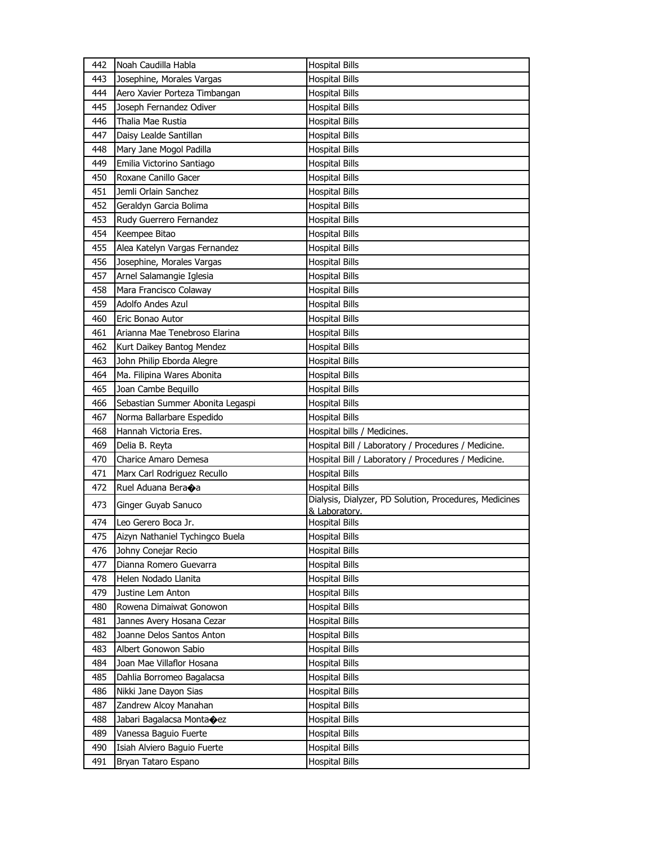| 442 | Noah Caudilla Habla              | <b>Hospital Bills</b>                                  |
|-----|----------------------------------|--------------------------------------------------------|
| 443 | Josephine, Morales Vargas        | <b>Hospital Bills</b>                                  |
| 444 | Aero Xavier Porteza Timbangan    | <b>Hospital Bills</b>                                  |
| 445 | Joseph Fernandez Odiver          | <b>Hospital Bills</b>                                  |
| 446 | Thalia Mae Rustia                | <b>Hospital Bills</b>                                  |
| 447 | Daisy Lealde Santillan           | <b>Hospital Bills</b>                                  |
| 448 | Mary Jane Mogol Padilla          | <b>Hospital Bills</b>                                  |
| 449 | Emilia Victorino Santiago        | <b>Hospital Bills</b>                                  |
| 450 | Roxane Canillo Gacer             | <b>Hospital Bills</b>                                  |
| 451 | Jemli Orlain Sanchez             | <b>Hospital Bills</b>                                  |
| 452 | Geraldyn Garcia Bolima           | <b>Hospital Bills</b>                                  |
| 453 | Rudy Guerrero Fernandez          | <b>Hospital Bills</b>                                  |
| 454 | Keempee Bitao                    | <b>Hospital Bills</b>                                  |
| 455 | Alea Katelyn Vargas Fernandez    | <b>Hospital Bills</b>                                  |
| 456 | Josephine, Morales Vargas        | <b>Hospital Bills</b>                                  |
| 457 | Arnel Salamangie Iglesia         | <b>Hospital Bills</b>                                  |
| 458 | Mara Francisco Colaway           | <b>Hospital Bills</b>                                  |
| 459 | <b>Adolfo Andes Azul</b>         | <b>Hospital Bills</b>                                  |
| 460 | Eric Bonao Autor                 | <b>Hospital Bills</b>                                  |
| 461 | Arianna Mae Tenebroso Elarina    | <b>Hospital Bills</b>                                  |
| 462 | Kurt Daikey Bantog Mendez        | <b>Hospital Bills</b>                                  |
| 463 | John Philip Eborda Alegre        | <b>Hospital Bills</b>                                  |
| 464 | Ma. Filipina Wares Abonita       | <b>Hospital Bills</b>                                  |
| 465 | Joan Cambe Bequillo              | <b>Hospital Bills</b>                                  |
| 466 | Sebastian Summer Abonita Legaspi | <b>Hospital Bills</b>                                  |
| 467 | Norma Ballarbare Espedido        | <b>Hospital Bills</b>                                  |
| 468 | Hannah Victoria Eres.            | Hospital bills / Medicines.                            |
| 469 | Delia B. Reyta                   | Hospital Bill / Laboratory / Procedures / Medicine.    |
| 470 | Charice Amaro Demesa             | Hospital Bill / Laboratory / Procedures / Medicine.    |
| 471 | Marx Carl Rodriguez Recullo      | <b>Hospital Bills</b>                                  |
| 472 | Ruel Aduana Bera�a               | <b>Hospital Bills</b>                                  |
| 473 | Ginger Guyab Sanuco              | Dialysis, Dialyzer, PD Solution, Procedures, Medicines |
|     |                                  | & Laboratory.                                          |
| 474 | Leo Gerero Boca Jr.              | <b>Hospital Bills</b>                                  |
| 475 | Aizyn Nathaniel Tychingco Buela  | <b>Hospital Bills</b>                                  |
| 476 | Johny Conejar Recio              | <b>Hospital Bills</b>                                  |
| 477 | Dianna Romero Guevarra           | <b>Hospital Bills</b>                                  |
| 478 | Helen Nodado Llanita             | <b>Hospital Bills</b>                                  |
| 479 | Justine Lem Anton                | <b>Hospital Bills</b>                                  |
| 480 | Rowena Dimaiwat Gonowon          | <b>Hospital Bills</b>                                  |
| 481 | Jannes Avery Hosana Cezar        | <b>Hospital Bills</b>                                  |
| 482 | Joanne Delos Santos Anton        | <b>Hospital Bills</b>                                  |
| 483 | Albert Gonowon Sabio             | <b>Hospital Bills</b>                                  |
| 484 | Joan Mae Villaflor Hosana        | <b>Hospital Bills</b>                                  |
| 485 | Dahlia Borromeo Bagalacsa        | <b>Hospital Bills</b>                                  |
| 486 | Nikki Jane Dayon Sias            | <b>Hospital Bills</b>                                  |
| 487 | Zandrew Alcoy Manahan            | <b>Hospital Bills</b>                                  |
| 488 | Jabari Bagalacsa Montanez        | <b>Hospital Bills</b>                                  |
| 489 | Vanessa Baguio Fuerte            | <b>Hospital Bills</b>                                  |
| 490 | Isiah Alviero Baguio Fuerte      | <b>Hospital Bills</b>                                  |
| 491 | Bryan Tataro Espano              | <b>Hospital Bills</b>                                  |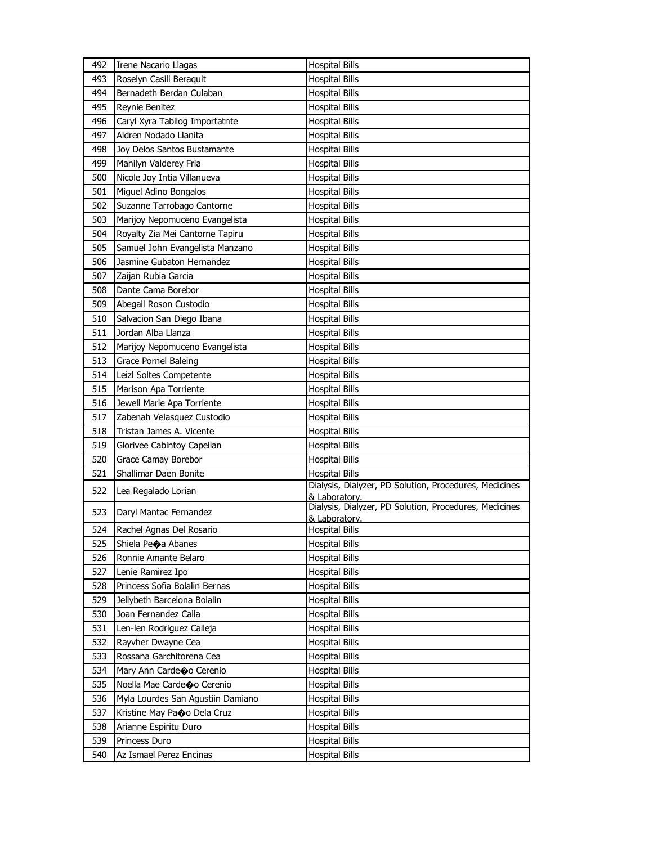| 492 | Irene Nacario Llagas              | <b>Hospital Bills</b>                                                   |
|-----|-----------------------------------|-------------------------------------------------------------------------|
| 493 | Roselyn Casili Beraquit           | <b>Hospital Bills</b>                                                   |
| 494 | Bernadeth Berdan Culaban          | <b>Hospital Bills</b>                                                   |
| 495 | Reynie Benitez                    | <b>Hospital Bills</b>                                                   |
| 496 | Caryl Xyra Tabilog Importatnte    | <b>Hospital Bills</b>                                                   |
| 497 | Aldren Nodado Llanita             | <b>Hospital Bills</b>                                                   |
| 498 | Joy Delos Santos Bustamante       | <b>Hospital Bills</b>                                                   |
| 499 | Manilyn Valderey Fria             | <b>Hospital Bills</b>                                                   |
| 500 | Nicole Joy Intia Villanueva       | <b>Hospital Bills</b>                                                   |
| 501 | Miguel Adino Bongalos             | <b>Hospital Bills</b>                                                   |
| 502 | Suzanne Tarrobago Cantorne        | <b>Hospital Bills</b>                                                   |
| 503 | Marijoy Nepomuceno Evangelista    | <b>Hospital Bills</b>                                                   |
| 504 | Royalty Zia Mei Cantorne Tapiru   | <b>Hospital Bills</b>                                                   |
| 505 | Samuel John Evangelista Manzano   | <b>Hospital Bills</b>                                                   |
| 506 | Jasmine Gubaton Hernandez         | <b>Hospital Bills</b>                                                   |
| 507 | Zaijan Rubia Garcia               | <b>Hospital Bills</b>                                                   |
| 508 | Dante Cama Borebor                | <b>Hospital Bills</b>                                                   |
| 509 | Abegail Roson Custodio            | <b>Hospital Bills</b>                                                   |
| 510 | Salvacion San Diego Ibana         | <b>Hospital Bills</b>                                                   |
| 511 | Jordan Alba Llanza                | <b>Hospital Bills</b>                                                   |
| 512 | Marijoy Nepomuceno Evangelista    | <b>Hospital Bills</b>                                                   |
| 513 | Grace Pornel Baleing              | <b>Hospital Bills</b>                                                   |
| 514 | Leizl Soltes Competente           | <b>Hospital Bills</b>                                                   |
| 515 | Marison Apa Torriente             | <b>Hospital Bills</b>                                                   |
| 516 | Jewell Marie Apa Torriente        | <b>Hospital Bills</b>                                                   |
| 517 | Zabenah Velasquez Custodio        | <b>Hospital Bills</b>                                                   |
| 518 | Tristan James A. Vicente          | <b>Hospital Bills</b>                                                   |
| 519 | Glorivee Cabintoy Capellan        | <b>Hospital Bills</b>                                                   |
| 520 | Grace Camay Borebor               | <b>Hospital Bills</b>                                                   |
| 521 | Shallimar Daen Bonite             | <b>Hospital Bills</b>                                                   |
| 522 | Lea Regalado Lorian               | Dialysis, Dialyzer, PD Solution, Procedures, Medicines<br>& Laboratory. |
| 523 | Daryl Mantac Fernandez            | Dialysis, Dialyzer, PD Solution, Procedures, Medicines<br>& Laboratory. |
| 524 | Rachel Agnas Del Rosario          | <b>Hospital Bills</b>                                                   |
| 525 | Shiela Peoa Abanes                | <b>Hospital Bills</b>                                                   |
| 526 | Ronnie Amante Belaro              | <b>Hospital Bills</b>                                                   |
| 527 | Lenie Ramirez Ipo                 | <b>Hospital Bills</b>                                                   |
| 528 | Princess Sofia Bolalin Bernas     | <b>Hospital Bills</b>                                                   |
| 529 | Jellybeth Barcelona Bolalin       | <b>Hospital Bills</b>                                                   |
| 530 | Joan Fernandez Calla              | <b>Hospital Bills</b>                                                   |
| 531 | Len-len Rodriguez Calleja         | <b>Hospital Bills</b>                                                   |
| 532 | Rayvher Dwayne Cea                | <b>Hospital Bills</b>                                                   |
| 533 | Rossana Garchitorena Cea          | <b>Hospital Bills</b>                                                   |
| 534 | Mary Ann Cardeo Cerenio           | <b>Hospital Bills</b>                                                   |
| 535 | Noella Mae Cardeo Cerenio         | <b>Hospital Bills</b>                                                   |
| 536 | Myla Lourdes San Agustiin Damiano | <b>Hospital Bills</b>                                                   |
| 537 | Kristine May Pao Dela Cruz        | <b>Hospital Bills</b>                                                   |
| 538 | Arianne Espiritu Duro             | <b>Hospital Bills</b>                                                   |
| 539 | Princess Duro                     | <b>Hospital Bills</b>                                                   |
| 540 | Az Ismael Perez Encinas           | <b>Hospital Bills</b>                                                   |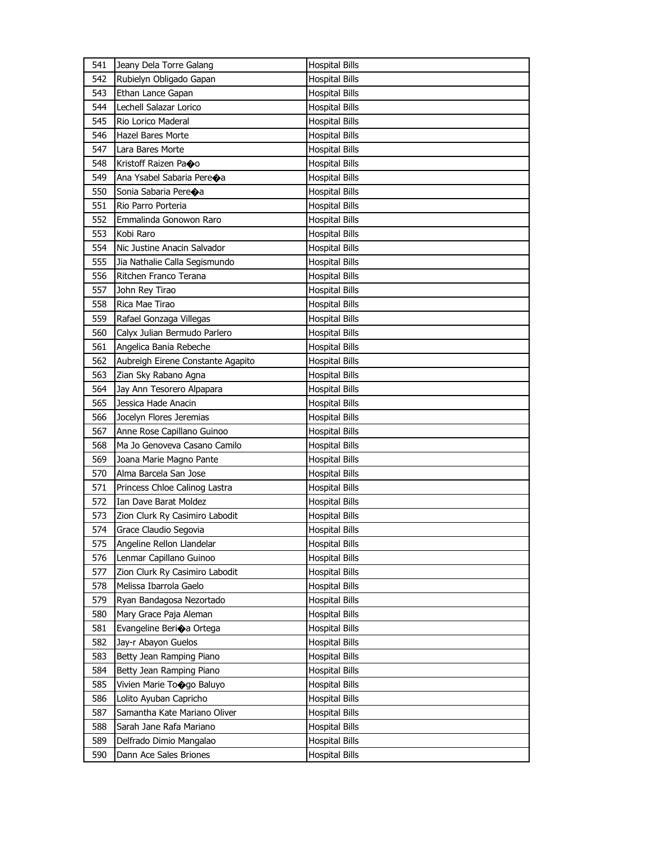| 541 | Jeany Dela Torre Galang               | <b>Hospital Bills</b> |
|-----|---------------------------------------|-----------------------|
| 542 | Rubielyn Obligado Gapan               | <b>Hospital Bills</b> |
| 543 | Ethan Lance Gapan                     | <b>Hospital Bills</b> |
| 544 | Lechell Salazar Lorico                | <b>Hospital Bills</b> |
| 545 | Rio Lorico Maderal                    | <b>Hospital Bills</b> |
| 546 | <b>Hazel Bares Morte</b>              | <b>Hospital Bills</b> |
| 547 | Lara Bares Morte                      | <b>Hospital Bills</b> |
| 548 | Kristoff Raizen Paoo                  | <b>Hospital Bills</b> |
| 549 | Ana Ysabel Sabaria Pere $\clubsuit$ a | <b>Hospital Bills</b> |
| 550 | Sonia Sabaria Pereoa                  | <b>Hospital Bills</b> |
| 551 | Rio Parro Porteria                    | <b>Hospital Bills</b> |
| 552 | Emmalinda Gonowon Raro                | <b>Hospital Bills</b> |
| 553 | Kobi Raro                             | <b>Hospital Bills</b> |
| 554 | Nic Justine Anacin Salvador           | <b>Hospital Bills</b> |
| 555 | Jia Nathalie Calla Segismundo         | <b>Hospital Bills</b> |
| 556 | Ritchen Franco Terana                 | <b>Hospital Bills</b> |
| 557 | John Rey Tirao                        | <b>Hospital Bills</b> |
| 558 | Rica Mae Tirao                        | <b>Hospital Bills</b> |
| 559 | Rafael Gonzaga Villegas               | <b>Hospital Bills</b> |
| 560 | Calyx Julian Bermudo Parlero          | <b>Hospital Bills</b> |
| 561 | Angelica Bania Rebeche                | <b>Hospital Bills</b> |
| 562 | Aubreigh Eirene Constante Agapito     | <b>Hospital Bills</b> |
| 563 | Zian Sky Rabano Agna                  | <b>Hospital Bills</b> |
| 564 | Jay Ann Tesorero Alpapara             | <b>Hospital Bills</b> |
| 565 | Jessica Hade Anacin                   | <b>Hospital Bills</b> |
| 566 | Jocelyn Flores Jeremias               | <b>Hospital Bills</b> |
| 567 | Anne Rose Capillano Guinoo            | <b>Hospital Bills</b> |
| 568 | Ma Jo Genoveva Casano Camilo          |                       |
|     |                                       |                       |
|     |                                       | <b>Hospital Bills</b> |
| 569 | Joana Marie Magno Pante               | <b>Hospital Bills</b> |
| 570 | Alma Barcela San Jose                 | <b>Hospital Bills</b> |
| 571 | Princess Chloe Calinog Lastra         | <b>Hospital Bills</b> |
| 572 | Ian Dave Barat Moldez                 | <b>Hospital Bills</b> |
| 573 | Zion Clurk Ry Casimiro Labodit        | <b>Hospital Bills</b> |
| 574 | Grace Claudio Segovia                 | <b>Hospital Bills</b> |
| 575 | Angeline Rellon Llandelar             | <b>Hospital Bills</b> |
| 576 | Lenmar Capillano Guinoo               | <b>Hospital Bills</b> |
| 577 | Zion Clurk Ry Casimiro Labodit        | <b>Hospital Bills</b> |
| 578 | Melissa Ibarrola Gaelo                | <b>Hospital Bills</b> |
| 579 | Ryan Bandagosa Nezortado              | <b>Hospital Bills</b> |
| 580 | Mary Grace Paja Aleman                | <b>Hospital Bills</b> |
| 581 | Evangeline Berioa Ortega              | <b>Hospital Bills</b> |
| 582 | Jay-r Abayon Guelos                   | <b>Hospital Bills</b> |
| 583 | Betty Jean Ramping Piano              | <b>Hospital Bills</b> |
| 584 | Betty Jean Ramping Piano              | <b>Hospital Bills</b> |
| 585 | Vivien Marie Toogo Baluyo             | <b>Hospital Bills</b> |
| 586 | Lolito Ayuban Capricho                | <b>Hospital Bills</b> |
| 587 | Samantha Kate Mariano Oliver          | <b>Hospital Bills</b> |
| 588 | Sarah Jane Rafa Mariano               | <b>Hospital Bills</b> |
| 589 | Delfrado Dimio Mangalao               | <b>Hospital Bills</b> |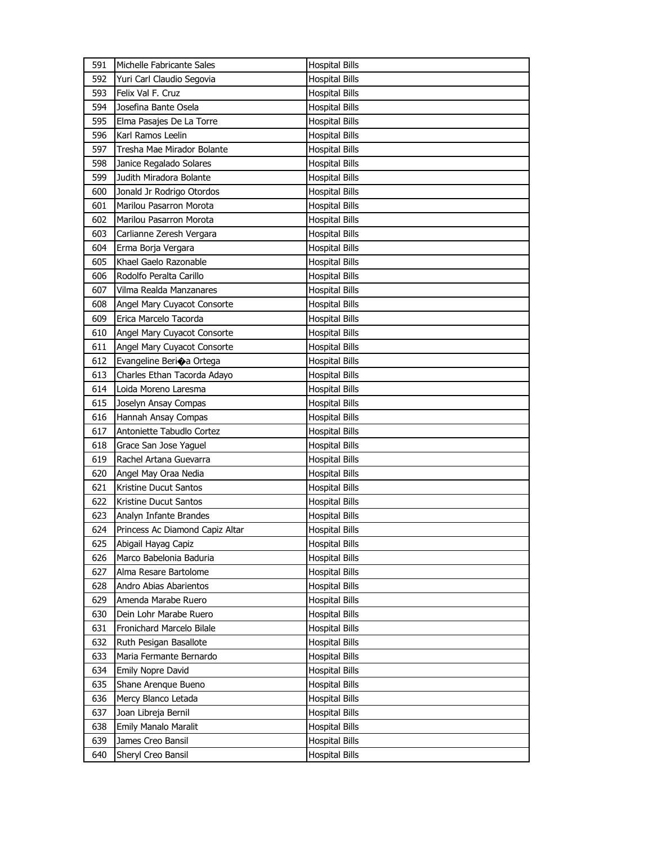| 591        | Michelle Fabricante Sales               | <b>Hospital Bills</b>                   |
|------------|-----------------------------------------|-----------------------------------------|
| 592        | Yuri Carl Claudio Segovia               | <b>Hospital Bills</b>                   |
| 593        | Felix Val F. Cruz                       | <b>Hospital Bills</b>                   |
| 594        | Josefina Bante Osela                    | <b>Hospital Bills</b>                   |
| 595        | Elma Pasajes De La Torre                | <b>Hospital Bills</b>                   |
| 596        | Karl Ramos Leelin                       | <b>Hospital Bills</b>                   |
| 597        | Tresha Mae Mirador Bolante              | <b>Hospital Bills</b>                   |
| 598        | Janice Regalado Solares                 | <b>Hospital Bills</b>                   |
| 599        | Judith Miradora Bolante                 | <b>Hospital Bills</b>                   |
| 600        | Jonald Jr Rodrigo Otordos               | <b>Hospital Bills</b>                   |
| 601        | Marilou Pasarron Morota                 | <b>Hospital Bills</b>                   |
| 602        | Marilou Pasarron Morota                 | <b>Hospital Bills</b>                   |
| 603        | Carlianne Zeresh Vergara                | <b>Hospital Bills</b>                   |
| 604        | Erma Borja Vergara                      | <b>Hospital Bills</b>                   |
| 605        | Khael Gaelo Razonable                   | <b>Hospital Bills</b>                   |
| 606        | Rodolfo Peralta Carillo                 | <b>Hospital Bills</b>                   |
| 607        | Vilma Realda Manzanares                 | Hospital Bills                          |
| 608        | Angel Mary Cuyacot Consorte             | <b>Hospital Bills</b>                   |
| 609        | Erica Marcelo Tacorda                   | <b>Hospital Bills</b>                   |
| 610        | Angel Mary Cuyacot Consorte             | <b>Hospital Bills</b>                   |
| 611        | Angel Mary Cuyacot Consorte             | <b>Hospital Bills</b>                   |
| 612        | Evangeline Berio a Ortega               | <b>Hospital Bills</b>                   |
| 613        | Charles Ethan Tacorda Adayo             | <b>Hospital Bills</b>                   |
| 614        | Loida Moreno Laresma                    | <b>Hospital Bills</b>                   |
| 615        | Joselyn Ansay Compas                    | <b>Hospital Bills</b>                   |
| 616        | Hannah Ansay Compas                     | <b>Hospital Bills</b>                   |
| 617        | Antoniette Tabudlo Cortez               | Hospital Bills                          |
| 618        | Grace San Jose Yaguel                   | <b>Hospital Bills</b>                   |
| 619        | Rachel Artana Guevarra                  | <b>Hospital Bills</b>                   |
| 620        | Angel May Oraa Nedia                    | <b>Hospital Bills</b>                   |
| 621        | Kristine Ducut Santos                   | <b>Hospital Bills</b>                   |
| 622        | Kristine Ducut Santos                   | <b>Hospital Bills</b>                   |
| 623        | Analyn Infante Brandes                  | <b>Hospital Bills</b>                   |
| 624        | Princess Ac Diamond Capiz Altar         | <b>Hospital Bills</b>                   |
| 625        | Abigail Hayag Capiz                     | <b>Hospital Bills</b>                   |
| 626        | Marco Babelonia Baduria                 | <b>Hospital Bills</b>                   |
| 627        | Alma Resare Bartolome                   | Hospital Bills                          |
| 628        | Andro Abias Abarientos                  | Hospital Bills                          |
| 629        | Amenda Marabe Ruero                     | <b>Hospital Bills</b>                   |
| 630        | Dein Lohr Marabe Ruero                  | <b>Hospital Bills</b>                   |
| 631        | Fronichard Marcelo Bilale               | <b>Hospital Bills</b>                   |
| 632        | Ruth Pesigan Basallote                  | <b>Hospital Bills</b>                   |
| 633        | Maria Fermante Bernardo                 | <b>Hospital Bills</b>                   |
| 634        | Emily Nopre David                       | <b>Hospital Bills</b>                   |
| 635        | Shane Arenque Bueno                     | <b>Hospital Bills</b>                   |
| 636        | Mercy Blanco Letada                     | Hospital Bills                          |
| 637        | Joan Libreja Bernil                     | <b>Hospital Bills</b>                   |
|            | <b>Emily Manalo Maralit</b>             | <b>Hospital Bills</b>                   |
| 638        |                                         |                                         |
|            |                                         |                                         |
| 639<br>640 | James Creo Bansil<br>Sheryl Creo Bansil | Hospital Bills<br><b>Hospital Bills</b> |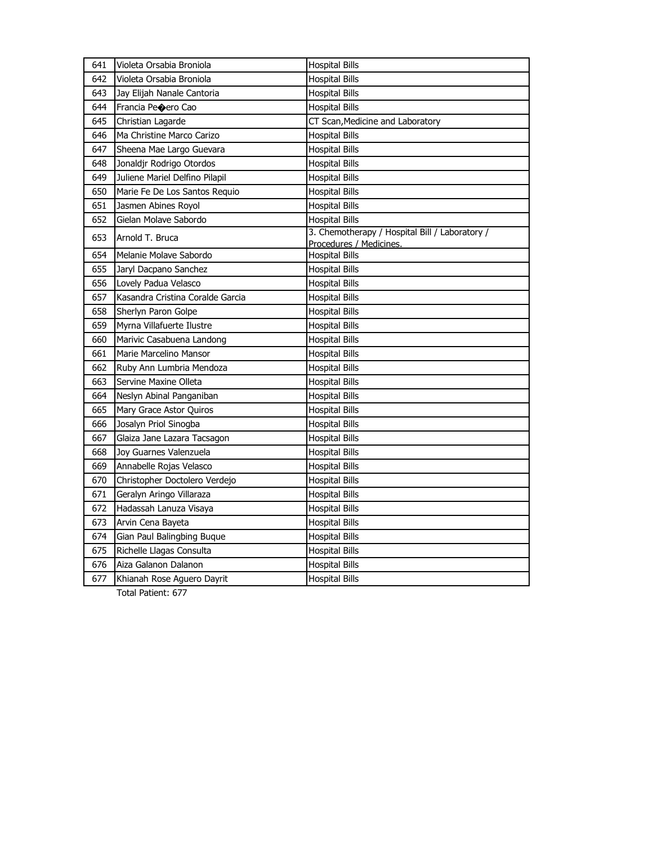| <b>Hospital Bills</b><br>642<br>Violeta Orsabia Broniola<br>643<br>Jay Elijah Nanale Cantoria<br><b>Hospital Bills</b><br>Francia Peoero Cao<br><b>Hospital Bills</b><br>644<br>Christian Lagarde<br>CT Scan, Medicine and Laboratory<br>645<br><b>Hospital Bills</b><br>Ma Christine Marco Carizo<br>646<br>647<br>Sheena Mae Largo Guevara<br><b>Hospital Bills</b><br>Jonaldjr Rodrigo Otordos<br>648<br><b>Hospital Bills</b><br>649<br>Juliene Mariel Delfino Pilapil<br><b>Hospital Bills</b><br>650<br>Marie Fe De Los Santos Requio<br><b>Hospital Bills</b><br>651<br>Jasmen Abines Royol<br><b>Hospital Bills</b><br>Gielan Molave Sabordo<br><b>Hospital Bills</b><br>652<br>3. Chemotherapy / Hospital Bill / Laboratory /<br>653<br>Arnold T. Bruca<br>Procedures / Medicines.<br>Melanie Molave Sabordo<br>654<br><b>Hospital Bills</b><br>655<br>Jaryl Dacpano Sanchez<br><b>Hospital Bills</b><br>Lovely Padua Velasco<br>656<br><b>Hospital Bills</b><br>Kasandra Cristina Coralde Garcia<br>657<br><b>Hospital Bills</b><br>658<br>Sherlyn Paron Golpe<br><b>Hospital Bills</b><br>659<br>Myrna Villafuerte Ilustre<br><b>Hospital Bills</b><br>660<br>Marivic Casabuena Landong<br><b>Hospital Bills</b><br>661<br>Marie Marcelino Mansor<br><b>Hospital Bills</b><br>662<br>Ruby Ann Lumbria Mendoza<br><b>Hospital Bills</b><br>Servine Maxine Olleta<br>663<br><b>Hospital Bills</b><br>664<br>Neslyn Abinal Panganiban<br><b>Hospital Bills</b><br>665<br>Mary Grace Astor Quiros<br><b>Hospital Bills</b><br>666<br>Josalyn Priol Sinogba<br><b>Hospital Bills</b><br>667<br>Glaiza Jane Lazara Tacsagon<br><b>Hospital Bills</b><br>668<br>Joy Guarnes Valenzuela<br><b>Hospital Bills</b><br>669<br>Annabelle Rojas Velasco<br><b>Hospital Bills</b><br>Christopher Doctolero Verdejo<br>670<br><b>Hospital Bills</b><br>671<br>Geralyn Aringo Villaraza<br><b>Hospital Bills</b><br>672<br>Hadassah Lanuza Visaya<br><b>Hospital Bills</b><br>673<br>Arvin Cena Bayeta<br><b>Hospital Bills</b><br>674<br>Gian Paul Balingbing Buque<br><b>Hospital Bills</b><br>675<br>Richelle Llagas Consulta<br><b>Hospital Bills</b><br>676<br>Aiza Galanon Dalanon<br><b>Hospital Bills</b> | 641 | Violeta Orsabia Broniola   | <b>Hospital Bills</b> |
|--------------------------------------------------------------------------------------------------------------------------------------------------------------------------------------------------------------------------------------------------------------------------------------------------------------------------------------------------------------------------------------------------------------------------------------------------------------------------------------------------------------------------------------------------------------------------------------------------------------------------------------------------------------------------------------------------------------------------------------------------------------------------------------------------------------------------------------------------------------------------------------------------------------------------------------------------------------------------------------------------------------------------------------------------------------------------------------------------------------------------------------------------------------------------------------------------------------------------------------------------------------------------------------------------------------------------------------------------------------------------------------------------------------------------------------------------------------------------------------------------------------------------------------------------------------------------------------------------------------------------------------------------------------------------------------------------------------------------------------------------------------------------------------------------------------------------------------------------------------------------------------------------------------------------------------------------------------------------------------------------------------------------------------------------------------------------------------------------------------------------------------------------------------------------------------------------------------|-----|----------------------------|-----------------------|
|                                                                                                                                                                                                                                                                                                                                                                                                                                                                                                                                                                                                                                                                                                                                                                                                                                                                                                                                                                                                                                                                                                                                                                                                                                                                                                                                                                                                                                                                                                                                                                                                                                                                                                                                                                                                                                                                                                                                                                                                                                                                                                                                                                                                              |     |                            |                       |
|                                                                                                                                                                                                                                                                                                                                                                                                                                                                                                                                                                                                                                                                                                                                                                                                                                                                                                                                                                                                                                                                                                                                                                                                                                                                                                                                                                                                                                                                                                                                                                                                                                                                                                                                                                                                                                                                                                                                                                                                                                                                                                                                                                                                              |     |                            |                       |
|                                                                                                                                                                                                                                                                                                                                                                                                                                                                                                                                                                                                                                                                                                                                                                                                                                                                                                                                                                                                                                                                                                                                                                                                                                                                                                                                                                                                                                                                                                                                                                                                                                                                                                                                                                                                                                                                                                                                                                                                                                                                                                                                                                                                              |     |                            |                       |
|                                                                                                                                                                                                                                                                                                                                                                                                                                                                                                                                                                                                                                                                                                                                                                                                                                                                                                                                                                                                                                                                                                                                                                                                                                                                                                                                                                                                                                                                                                                                                                                                                                                                                                                                                                                                                                                                                                                                                                                                                                                                                                                                                                                                              |     |                            |                       |
|                                                                                                                                                                                                                                                                                                                                                                                                                                                                                                                                                                                                                                                                                                                                                                                                                                                                                                                                                                                                                                                                                                                                                                                                                                                                                                                                                                                                                                                                                                                                                                                                                                                                                                                                                                                                                                                                                                                                                                                                                                                                                                                                                                                                              |     |                            |                       |
|                                                                                                                                                                                                                                                                                                                                                                                                                                                                                                                                                                                                                                                                                                                                                                                                                                                                                                                                                                                                                                                                                                                                                                                                                                                                                                                                                                                                                                                                                                                                                                                                                                                                                                                                                                                                                                                                                                                                                                                                                                                                                                                                                                                                              |     |                            |                       |
|                                                                                                                                                                                                                                                                                                                                                                                                                                                                                                                                                                                                                                                                                                                                                                                                                                                                                                                                                                                                                                                                                                                                                                                                                                                                                                                                                                                                                                                                                                                                                                                                                                                                                                                                                                                                                                                                                                                                                                                                                                                                                                                                                                                                              |     |                            |                       |
|                                                                                                                                                                                                                                                                                                                                                                                                                                                                                                                                                                                                                                                                                                                                                                                                                                                                                                                                                                                                                                                                                                                                                                                                                                                                                                                                                                                                                                                                                                                                                                                                                                                                                                                                                                                                                                                                                                                                                                                                                                                                                                                                                                                                              |     |                            |                       |
|                                                                                                                                                                                                                                                                                                                                                                                                                                                                                                                                                                                                                                                                                                                                                                                                                                                                                                                                                                                                                                                                                                                                                                                                                                                                                                                                                                                                                                                                                                                                                                                                                                                                                                                                                                                                                                                                                                                                                                                                                                                                                                                                                                                                              |     |                            |                       |
|                                                                                                                                                                                                                                                                                                                                                                                                                                                                                                                                                                                                                                                                                                                                                                                                                                                                                                                                                                                                                                                                                                                                                                                                                                                                                                                                                                                                                                                                                                                                                                                                                                                                                                                                                                                                                                                                                                                                                                                                                                                                                                                                                                                                              |     |                            |                       |
|                                                                                                                                                                                                                                                                                                                                                                                                                                                                                                                                                                                                                                                                                                                                                                                                                                                                                                                                                                                                                                                                                                                                                                                                                                                                                                                                                                                                                                                                                                                                                                                                                                                                                                                                                                                                                                                                                                                                                                                                                                                                                                                                                                                                              |     |                            |                       |
|                                                                                                                                                                                                                                                                                                                                                                                                                                                                                                                                                                                                                                                                                                                                                                                                                                                                                                                                                                                                                                                                                                                                                                                                                                                                                                                                                                                                                                                                                                                                                                                                                                                                                                                                                                                                                                                                                                                                                                                                                                                                                                                                                                                                              |     |                            |                       |
|                                                                                                                                                                                                                                                                                                                                                                                                                                                                                                                                                                                                                                                                                                                                                                                                                                                                                                                                                                                                                                                                                                                                                                                                                                                                                                                                                                                                                                                                                                                                                                                                                                                                                                                                                                                                                                                                                                                                                                                                                                                                                                                                                                                                              |     |                            |                       |
|                                                                                                                                                                                                                                                                                                                                                                                                                                                                                                                                                                                                                                                                                                                                                                                                                                                                                                                                                                                                                                                                                                                                                                                                                                                                                                                                                                                                                                                                                                                                                                                                                                                                                                                                                                                                                                                                                                                                                                                                                                                                                                                                                                                                              |     |                            |                       |
|                                                                                                                                                                                                                                                                                                                                                                                                                                                                                                                                                                                                                                                                                                                                                                                                                                                                                                                                                                                                                                                                                                                                                                                                                                                                                                                                                                                                                                                                                                                                                                                                                                                                                                                                                                                                                                                                                                                                                                                                                                                                                                                                                                                                              |     |                            |                       |
|                                                                                                                                                                                                                                                                                                                                                                                                                                                                                                                                                                                                                                                                                                                                                                                                                                                                                                                                                                                                                                                                                                                                                                                                                                                                                                                                                                                                                                                                                                                                                                                                                                                                                                                                                                                                                                                                                                                                                                                                                                                                                                                                                                                                              |     |                            |                       |
|                                                                                                                                                                                                                                                                                                                                                                                                                                                                                                                                                                                                                                                                                                                                                                                                                                                                                                                                                                                                                                                                                                                                                                                                                                                                                                                                                                                                                                                                                                                                                                                                                                                                                                                                                                                                                                                                                                                                                                                                                                                                                                                                                                                                              |     |                            |                       |
|                                                                                                                                                                                                                                                                                                                                                                                                                                                                                                                                                                                                                                                                                                                                                                                                                                                                                                                                                                                                                                                                                                                                                                                                                                                                                                                                                                                                                                                                                                                                                                                                                                                                                                                                                                                                                                                                                                                                                                                                                                                                                                                                                                                                              |     |                            |                       |
|                                                                                                                                                                                                                                                                                                                                                                                                                                                                                                                                                                                                                                                                                                                                                                                                                                                                                                                                                                                                                                                                                                                                                                                                                                                                                                                                                                                                                                                                                                                                                                                                                                                                                                                                                                                                                                                                                                                                                                                                                                                                                                                                                                                                              |     |                            |                       |
|                                                                                                                                                                                                                                                                                                                                                                                                                                                                                                                                                                                                                                                                                                                                                                                                                                                                                                                                                                                                                                                                                                                                                                                                                                                                                                                                                                                                                                                                                                                                                                                                                                                                                                                                                                                                                                                                                                                                                                                                                                                                                                                                                                                                              |     |                            |                       |
|                                                                                                                                                                                                                                                                                                                                                                                                                                                                                                                                                                                                                                                                                                                                                                                                                                                                                                                                                                                                                                                                                                                                                                                                                                                                                                                                                                                                                                                                                                                                                                                                                                                                                                                                                                                                                                                                                                                                                                                                                                                                                                                                                                                                              |     |                            |                       |
|                                                                                                                                                                                                                                                                                                                                                                                                                                                                                                                                                                                                                                                                                                                                                                                                                                                                                                                                                                                                                                                                                                                                                                                                                                                                                                                                                                                                                                                                                                                                                                                                                                                                                                                                                                                                                                                                                                                                                                                                                                                                                                                                                                                                              |     |                            |                       |
|                                                                                                                                                                                                                                                                                                                                                                                                                                                                                                                                                                                                                                                                                                                                                                                                                                                                                                                                                                                                                                                                                                                                                                                                                                                                                                                                                                                                                                                                                                                                                                                                                                                                                                                                                                                                                                                                                                                                                                                                                                                                                                                                                                                                              |     |                            |                       |
|                                                                                                                                                                                                                                                                                                                                                                                                                                                                                                                                                                                                                                                                                                                                                                                                                                                                                                                                                                                                                                                                                                                                                                                                                                                                                                                                                                                                                                                                                                                                                                                                                                                                                                                                                                                                                                                                                                                                                                                                                                                                                                                                                                                                              |     |                            |                       |
|                                                                                                                                                                                                                                                                                                                                                                                                                                                                                                                                                                                                                                                                                                                                                                                                                                                                                                                                                                                                                                                                                                                                                                                                                                                                                                                                                                                                                                                                                                                                                                                                                                                                                                                                                                                                                                                                                                                                                                                                                                                                                                                                                                                                              |     |                            |                       |
|                                                                                                                                                                                                                                                                                                                                                                                                                                                                                                                                                                                                                                                                                                                                                                                                                                                                                                                                                                                                                                                                                                                                                                                                                                                                                                                                                                                                                                                                                                                                                                                                                                                                                                                                                                                                                                                                                                                                                                                                                                                                                                                                                                                                              |     |                            |                       |
|                                                                                                                                                                                                                                                                                                                                                                                                                                                                                                                                                                                                                                                                                                                                                                                                                                                                                                                                                                                                                                                                                                                                                                                                                                                                                                                                                                                                                                                                                                                                                                                                                                                                                                                                                                                                                                                                                                                                                                                                                                                                                                                                                                                                              |     |                            |                       |
|                                                                                                                                                                                                                                                                                                                                                                                                                                                                                                                                                                                                                                                                                                                                                                                                                                                                                                                                                                                                                                                                                                                                                                                                                                                                                                                                                                                                                                                                                                                                                                                                                                                                                                                                                                                                                                                                                                                                                                                                                                                                                                                                                                                                              |     |                            |                       |
|                                                                                                                                                                                                                                                                                                                                                                                                                                                                                                                                                                                                                                                                                                                                                                                                                                                                                                                                                                                                                                                                                                                                                                                                                                                                                                                                                                                                                                                                                                                                                                                                                                                                                                                                                                                                                                                                                                                                                                                                                                                                                                                                                                                                              |     |                            |                       |
|                                                                                                                                                                                                                                                                                                                                                                                                                                                                                                                                                                                                                                                                                                                                                                                                                                                                                                                                                                                                                                                                                                                                                                                                                                                                                                                                                                                                                                                                                                                                                                                                                                                                                                                                                                                                                                                                                                                                                                                                                                                                                                                                                                                                              |     |                            |                       |
|                                                                                                                                                                                                                                                                                                                                                                                                                                                                                                                                                                                                                                                                                                                                                                                                                                                                                                                                                                                                                                                                                                                                                                                                                                                                                                                                                                                                                                                                                                                                                                                                                                                                                                                                                                                                                                                                                                                                                                                                                                                                                                                                                                                                              |     |                            |                       |
|                                                                                                                                                                                                                                                                                                                                                                                                                                                                                                                                                                                                                                                                                                                                                                                                                                                                                                                                                                                                                                                                                                                                                                                                                                                                                                                                                                                                                                                                                                                                                                                                                                                                                                                                                                                                                                                                                                                                                                                                                                                                                                                                                                                                              |     |                            |                       |
|                                                                                                                                                                                                                                                                                                                                                                                                                                                                                                                                                                                                                                                                                                                                                                                                                                                                                                                                                                                                                                                                                                                                                                                                                                                                                                                                                                                                                                                                                                                                                                                                                                                                                                                                                                                                                                                                                                                                                                                                                                                                                                                                                                                                              |     |                            |                       |
|                                                                                                                                                                                                                                                                                                                                                                                                                                                                                                                                                                                                                                                                                                                                                                                                                                                                                                                                                                                                                                                                                                                                                                                                                                                                                                                                                                                                                                                                                                                                                                                                                                                                                                                                                                                                                                                                                                                                                                                                                                                                                                                                                                                                              |     |                            |                       |
|                                                                                                                                                                                                                                                                                                                                                                                                                                                                                                                                                                                                                                                                                                                                                                                                                                                                                                                                                                                                                                                                                                                                                                                                                                                                                                                                                                                                                                                                                                                                                                                                                                                                                                                                                                                                                                                                                                                                                                                                                                                                                                                                                                                                              |     |                            |                       |
|                                                                                                                                                                                                                                                                                                                                                                                                                                                                                                                                                                                                                                                                                                                                                                                                                                                                                                                                                                                                                                                                                                                                                                                                                                                                                                                                                                                                                                                                                                                                                                                                                                                                                                                                                                                                                                                                                                                                                                                                                                                                                                                                                                                                              |     |                            |                       |
|                                                                                                                                                                                                                                                                                                                                                                                                                                                                                                                                                                                                                                                                                                                                                                                                                                                                                                                                                                                                                                                                                                                                                                                                                                                                                                                                                                                                                                                                                                                                                                                                                                                                                                                                                                                                                                                                                                                                                                                                                                                                                                                                                                                                              | 677 | Khianah Rose Aguero Dayrit | <b>Hospital Bills</b> |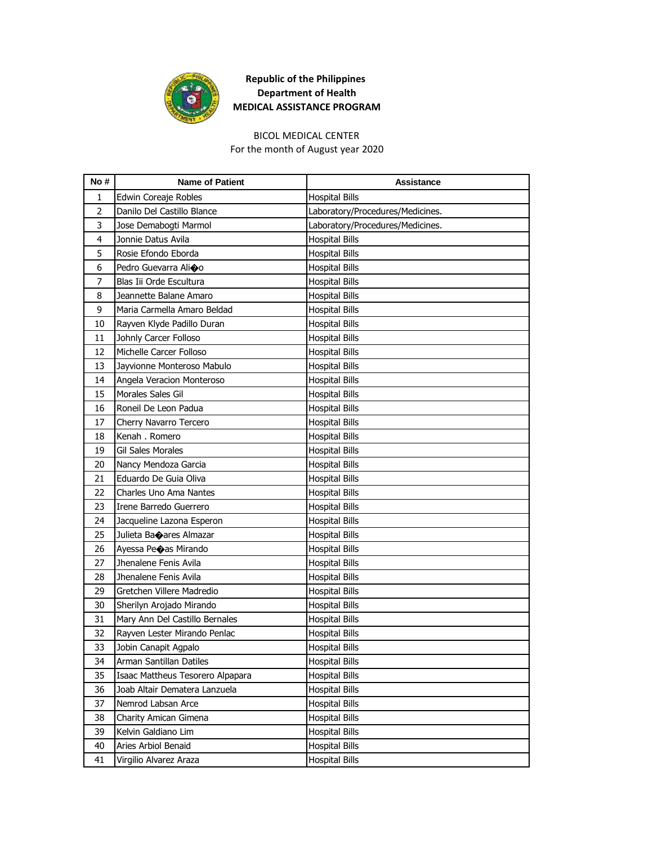

#### BICOL MEDICAL CENTER

For the month of August year 2020

| No#            | <b>Name of Patient</b>           | <b>Assistance</b>                |
|----------------|----------------------------------|----------------------------------|
| $\mathbf{1}$   | Edwin Coreaje Robles             | <b>Hospital Bills</b>            |
| $\overline{2}$ | Danilo Del Castillo Blance       | Laboratory/Procedures/Medicines. |
| 3              | Jose Demabogti Marmol            | Laboratory/Procedures/Medicines. |
| 4              | Jonnie Datus Avila               | <b>Hospital Bills</b>            |
| 5              | Rosie Efondo Eborda              | <b>Hospital Bills</b>            |
| 6              | Pedro Guevarra Alioo             | <b>Hospital Bills</b>            |
| 7              | Blas Iii Orde Escultura          | <b>Hospital Bills</b>            |
| 8              | Jeannette Balane Amaro           | <b>Hospital Bills</b>            |
| 9              | Maria Carmella Amaro Beldad      | <b>Hospital Bills</b>            |
| 10             | Rayven Klyde Padillo Duran       | <b>Hospital Bills</b>            |
| 11             | Johnly Carcer Folloso            | <b>Hospital Bills</b>            |
| 12             | Michelle Carcer Folloso          | <b>Hospital Bills</b>            |
| 13             | Jayvionne Monteroso Mabulo       | <b>Hospital Bills</b>            |
| 14             | Angela Veracion Monteroso        | <b>Hospital Bills</b>            |
| 15             | Morales Sales Gil                | <b>Hospital Bills</b>            |
| 16             | Roneil De Leon Padua             | <b>Hospital Bills</b>            |
| 17             | Cherry Navarro Tercero           | <b>Hospital Bills</b>            |
| 18             | Kenah . Romero                   | <b>Hospital Bills</b>            |
| 19             | Gil Sales Morales                | <b>Hospital Bills</b>            |
| 20             | Nancy Mendoza Garcia             | <b>Hospital Bills</b>            |
| 21             | Eduardo De Guia Oliva            | <b>Hospital Bills</b>            |
| 22             | Charles Uno Ama Nantes           | <b>Hospital Bills</b>            |
| 23             | Irene Barredo Guerrero           | <b>Hospital Bills</b>            |
| 24             | Jacqueline Lazona Esperon        | <b>Hospital Bills</b>            |
| 25             | Julieta Baoares Almazar          | <b>Hospital Bills</b>            |
| 26             | Ayessa Peoas Mirando             | <b>Hospital Bills</b>            |
| 27             | Jhenalene Fenis Avila            | <b>Hospital Bills</b>            |
| 28             | Jhenalene Fenis Avila            | <b>Hospital Bills</b>            |
| 29             | Gretchen Villere Madredio        | <b>Hospital Bills</b>            |
| 30             | Sherilyn Arojado Mirando         | <b>Hospital Bills</b>            |
| 31             | Mary Ann Del Castillo Bernales   | <b>Hospital Bills</b>            |
| 32             | Rayven Lester Mirando Penlac     | <b>Hospital Bills</b>            |
| 33             | Jobin Canapit Agpalo             | <b>Hospital Bills</b>            |
| 34             | Arman Santillan Datiles          | <b>Hospital Bills</b>            |
| 35             | Isaac Mattheus Tesorero Alpapara | <b>Hospital Bills</b>            |
| 36             | Joab Altair Dematera Lanzuela    | <b>Hospital Bills</b>            |
| 37             | Nemrod Labsan Arce               | <b>Hospital Bills</b>            |
| 38             | Charity Amican Gimena            | <b>Hospital Bills</b>            |
| 39             | Kelvin Galdiano Lim              | <b>Hospital Bills</b>            |
| 40             | Aries Arbiol Benaid              | <b>Hospital Bills</b>            |
| 41             | Virgilio Alvarez Araza           | <b>Hospital Bills</b>            |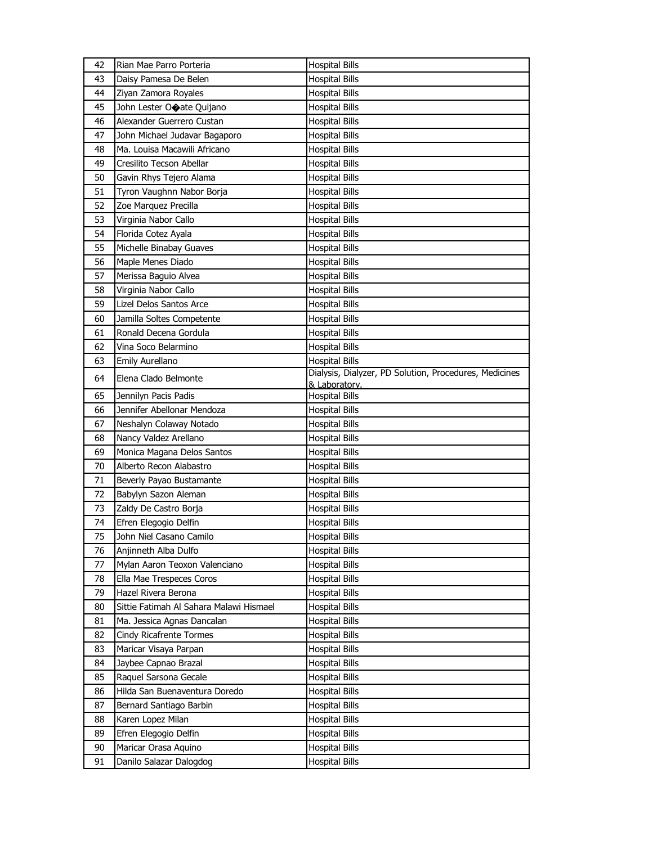| 42 | Rian Mae Parro Porteria                 | <b>Hospital Bills</b>                                                   |
|----|-----------------------------------------|-------------------------------------------------------------------------|
| 43 | Daisy Pamesa De Belen                   | <b>Hospital Bills</b>                                                   |
| 44 | Ziyan Zamora Royales                    | <b>Hospital Bills</b>                                                   |
| 45 | John Lester Ocate Quijano               | <b>Hospital Bills</b>                                                   |
| 46 | Alexander Guerrero Custan               | <b>Hospital Bills</b>                                                   |
| 47 | John Michael Judavar Bagaporo           | <b>Hospital Bills</b>                                                   |
| 48 | Ma. Louisa Macawili Africano            | <b>Hospital Bills</b>                                                   |
| 49 | Cresilito Tecson Abellar                | <b>Hospital Bills</b>                                                   |
| 50 | Gavin Rhys Tejero Alama                 | <b>Hospital Bills</b>                                                   |
| 51 | Tyron Vaughnn Nabor Borja               | <b>Hospital Bills</b>                                                   |
| 52 | Zoe Marquez Precilla                    | <b>Hospital Bills</b>                                                   |
| 53 | Virginia Nabor Callo                    | <b>Hospital Bills</b>                                                   |
| 54 | Florida Cotez Ayala                     | <b>Hospital Bills</b>                                                   |
| 55 | Michelle Binabay Guaves                 | <b>Hospital Bills</b>                                                   |
| 56 | Maple Menes Diado                       | <b>Hospital Bills</b>                                                   |
| 57 | Merissa Baguio Alvea                    | <b>Hospital Bills</b>                                                   |
| 58 | Virginia Nabor Callo                    | <b>Hospital Bills</b>                                                   |
| 59 | Lizel Delos Santos Arce                 | <b>Hospital Bills</b>                                                   |
| 60 | Jamilla Soltes Competente               | <b>Hospital Bills</b>                                                   |
| 61 | Ronald Decena Gordula                   | <b>Hospital Bills</b>                                                   |
| 62 | Vina Soco Belarmino                     | <b>Hospital Bills</b>                                                   |
| 63 | Emily Aurellano                         | <b>Hospital Bills</b>                                                   |
| 64 | Elena Clado Belmonte                    | Dialysis, Dialyzer, PD Solution, Procedures, Medicines<br>& Laboratory. |
| 65 | Jennilyn Pacis Padis                    | <b>Hospital Bills</b>                                                   |
| 66 | Jennifer Abellonar Mendoza              | <b>Hospital Bills</b>                                                   |
| 67 | Neshalyn Colaway Notado                 | <b>Hospital Bills</b>                                                   |
| 68 | Nancy Valdez Arellano                   | <b>Hospital Bills</b>                                                   |
| 69 | Monica Magana Delos Santos              | <b>Hospital Bills</b>                                                   |
| 70 | Alberto Recon Alabastro                 | <b>Hospital Bills</b>                                                   |
| 71 | Beverly Payao Bustamante                | <b>Hospital Bills</b>                                                   |
| 72 | Babylyn Sazon Aleman                    | <b>Hospital Bills</b>                                                   |
| 73 | Zaldy De Castro Borja                   | <b>Hospital Bills</b>                                                   |
| 74 | Efren Elegogio Delfin                   | <b>Hospital Bills</b>                                                   |
| 75 | John Niel Casano Camilo                 | <b>Hospital Bills</b>                                                   |
| 76 | Anjinneth Alba Dulfo                    | <b>Hospital Bills</b>                                                   |
| 77 | Mylan Aaron Teoxon Valenciano           | <b>Hospital Bills</b>                                                   |
| 78 | Ella Mae Trespeces Coros                | <b>Hospital Bills</b>                                                   |
| 79 | Hazel Rivera Berona                     | <b>Hospital Bills</b>                                                   |
| 80 | Sittie Fatimah Al Sahara Malawi Hismael | <b>Hospital Bills</b>                                                   |
| 81 | Ma. Jessica Agnas Dancalan              | <b>Hospital Bills</b>                                                   |
| 82 | <b>Cindy Ricafrente Tormes</b>          | <b>Hospital Bills</b>                                                   |
| 83 | Maricar Visaya Parpan                   | <b>Hospital Bills</b>                                                   |
| 84 | Jaybee Capnao Brazal                    | <b>Hospital Bills</b>                                                   |
| 85 | Raquel Sarsona Gecale                   | <b>Hospital Bills</b>                                                   |
| 86 | Hilda San Buenaventura Doredo           | <b>Hospital Bills</b>                                                   |
| 87 | Bernard Santiago Barbin                 | <b>Hospital Bills</b>                                                   |
| 88 | Karen Lopez Milan                       | Hospital Bills                                                          |
| 89 | Efren Elegogio Delfin                   | <b>Hospital Bills</b>                                                   |
| 90 | Maricar Orasa Aquino                    | <b>Hospital Bills</b>                                                   |
| 91 | Danilo Salazar Dalogdog                 | <b>Hospital Bills</b>                                                   |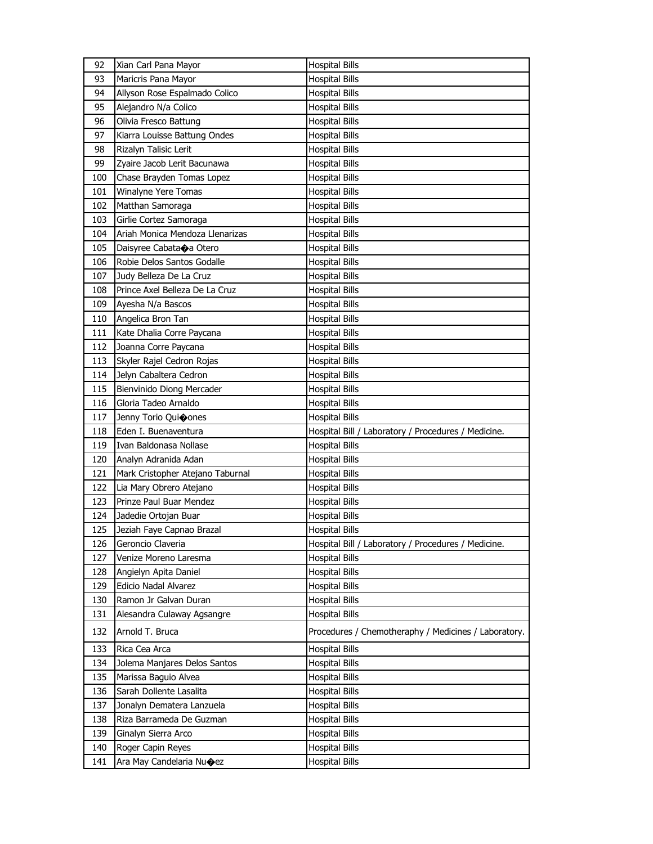| 92  | Xian Carl Pana Mayor                | <b>Hospital Bills</b>                                |
|-----|-------------------------------------|------------------------------------------------------|
| 93  | Maricris Pana Mayor                 | <b>Hospital Bills</b>                                |
| 94  | Allyson Rose Espalmado Colico       | Hospital Bills                                       |
| 95  | Alejandro N/a Colico                | <b>Hospital Bills</b>                                |
| 96  | Olivia Fresco Battung               | <b>Hospital Bills</b>                                |
| 97  | Kiarra Louisse Battung Ondes        | <b>Hospital Bills</b>                                |
| 98  | Rizalyn Talisic Lerit               | <b>Hospital Bills</b>                                |
| 99  | Zyaire Jacob Lerit Bacunawa         | Hospital Bills                                       |
| 100 | Chase Brayden Tomas Lopez           | <b>Hospital Bills</b>                                |
| 101 | Winalyne Yere Tomas                 | <b>Hospital Bills</b>                                |
| 102 | Matthan Samoraga                    | <b>Hospital Bills</b>                                |
| 103 | Girlie Cortez Samoraga              | <b>Hospital Bills</b>                                |
| 104 | Ariah Monica Mendoza Llenarizas     | Hospital Bills                                       |
| 105 | Daisyree Cabata $\bigcirc$ a Otero  | <b>Hospital Bills</b>                                |
| 106 | Robie Delos Santos Godalle          | <b>Hospital Bills</b>                                |
| 107 | Judy Belleza De La Cruz             | Hospital Bills                                       |
| 108 | Prince Axel Belleza De La Cruz      | <b>Hospital Bills</b>                                |
| 109 | Ayesha N/a Bascos                   | Hospital Bills                                       |
| 110 | Angelica Bron Tan                   | <b>Hospital Bills</b>                                |
| 111 | Kate Dhalia Corre Paycana           | <b>Hospital Bills</b>                                |
| 112 | Joanna Corre Paycana                | <b>Hospital Bills</b>                                |
| 113 | Skyler Rajel Cedron Rojas           | <b>Hospital Bills</b>                                |
| 114 | Jelyn Cabaltera Cedron              | Hospital Bills                                       |
| 115 | Bienvinido Diong Mercader           | <b>Hospital Bills</b>                                |
| 116 | Gloria Tadeo Arnaldo                | <b>Hospital Bills</b>                                |
| 117 | Jenny Torio Quioones                | <b>Hospital Bills</b>                                |
| 118 | Eden I. Buenaventura                | Hospital Bill / Laboratory / Procedures / Medicine.  |
| 119 | Ivan Baldonasa Nollase              | <b>Hospital Bills</b>                                |
| 120 | Analyn Adranida Adan                | Hospital Bills                                       |
| 121 | Mark Cristopher Atejano Taburnal    | <b>Hospital Bills</b>                                |
| 122 | Lia Mary Obrero Atejano             | Hospital Bills                                       |
| 123 | Prinze Paul Buar Mendez             | Hospital Bills                                       |
| 124 | Jadedie Ortojan Buar                | Hospital Bills                                       |
| 125 | Jeziah Faye Capnao Brazal           | <b>Hospital Bills</b>                                |
| 126 | Geroncio Claveria                   | Hospital Bill / Laboratory / Procedures / Medicine.  |
| 127 | Venize Moreno Laresma               | <b>Hospital Bills</b>                                |
| 128 | Angielyn Apita Daniel               | <b>Hospital Bills</b>                                |
| 129 | Edicio Nadal Alvarez                | <b>Hospital Bills</b>                                |
| 130 | Ramon Jr Galvan Duran               | <b>Hospital Bills</b>                                |
| 131 | Alesandra Culaway Agsangre          | <b>Hospital Bills</b>                                |
| 132 | Arnold T. Bruca                     | Procedures / Chemotheraphy / Medicines / Laboratory. |
| 133 | Rica Cea Arca                       | <b>Hospital Bills</b>                                |
| 134 | Jolema Manjares Delos Santos        | <b>Hospital Bills</b>                                |
| 135 | Marissa Baguio Alvea                | <b>Hospital Bills</b>                                |
| 136 | Sarah Dollente Lasalita             | <b>Hospital Bills</b>                                |
| 137 | Jonalyn Dematera Lanzuela           | Hospital Bills                                       |
| 138 | Riza Barrameda De Guzman            | <b>Hospital Bills</b>                                |
| 139 | Ginalyn Sierra Arco                 | <b>Hospital Bills</b>                                |
| 140 | Roger Capin Reyes                   | <b>Hospital Bills</b>                                |
| 141 | Ara May Candelaria Nu $\bigcirc$ ez | <b>Hospital Bills</b>                                |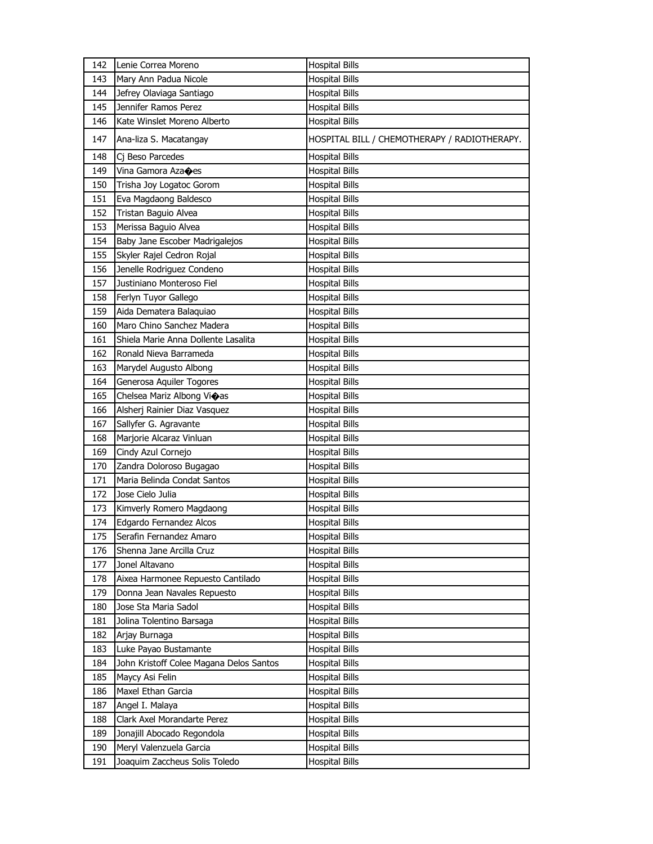| 142 | Lenie Correa Moreno                     | <b>Hospital Bills</b>                        |
|-----|-----------------------------------------|----------------------------------------------|
| 143 | Mary Ann Padua Nicole                   | <b>Hospital Bills</b>                        |
| 144 | Jefrey Olaviaga Santiago                | <b>Hospital Bills</b>                        |
| 145 | Jennifer Ramos Perez                    | <b>Hospital Bills</b>                        |
| 146 | Kate Winslet Moreno Alberto             | <b>Hospital Bills</b>                        |
| 147 | Ana-liza S. Macatangay                  | HOSPITAL BILL / CHEMOTHERAPY / RADIOTHERAPY. |
| 148 | Cj Beso Parcedes                        | <b>Hospital Bills</b>                        |
| 149 | Vina Gamora Aza $\spadesuit$ es         | <b>Hospital Bills</b>                        |
| 150 | Trisha Joy Logatoc Gorom                | <b>Hospital Bills</b>                        |
| 151 | Eva Magdaong Baldesco                   | <b>Hospital Bills</b>                        |
| 152 | <b>Tristan Baguio Alvea</b>             | <b>Hospital Bills</b>                        |
| 153 | Merissa Baguio Alvea                    | <b>Hospital Bills</b>                        |
| 154 | Baby Jane Escober Madrigalejos          | <b>Hospital Bills</b>                        |
| 155 | Skyler Rajel Cedron Rojal               | <b>Hospital Bills</b>                        |
| 156 | Jenelle Rodriguez Condeno               | <b>Hospital Bills</b>                        |
| 157 | Justiniano Monteroso Fiel               | <b>Hospital Bills</b>                        |
| 158 | Ferlyn Tuyor Gallego                    | <b>Hospital Bills</b>                        |
| 159 | Aida Dematera Balaquiao                 | <b>Hospital Bills</b>                        |
| 160 | Maro Chino Sanchez Madera               | <b>Hospital Bills</b>                        |
| 161 | Shiela Marie Anna Dollente Lasalita     | <b>Hospital Bills</b>                        |
| 162 | Ronald Nieva Barrameda                  | <b>Hospital Bills</b>                        |
| 163 | Marydel Augusto Albong                  | <b>Hospital Bills</b>                        |
| 164 | Generosa Aquiler Togores                | <b>Hospital Bills</b>                        |
| 165 | Chelsea Mariz Albong Vioas              | <b>Hospital Bills</b>                        |
| 166 | Alsherj Rainier Diaz Vasquez            | <b>Hospital Bills</b>                        |
| 167 | Sallyfer G. Agravante                   | <b>Hospital Bills</b>                        |
| 168 | Marjorie Alcaraz Vinluan                | <b>Hospital Bills</b>                        |
| 169 | Cindy Azul Cornejo                      | <b>Hospital Bills</b>                        |
| 170 | Zandra Doloroso Bugagao                 | <b>Hospital Bills</b>                        |
| 171 | Maria Belinda Condat Santos             | <b>Hospital Bills</b>                        |
| 172 | Jose Cielo Julia                        | <b>Hospital Bills</b>                        |
| 173 | Kimverly Romero Magdaong                | <b>Hospital Bills</b>                        |
| 174 | Edgardo Fernandez Alcos                 | <b>Hospital Bills</b>                        |
| 175 | Serafin Fernandez Amaro                 | <b>Hospital Bills</b>                        |
| 176 | Shenna Jane Arcilla Cruz                | <b>Hospital Bills</b>                        |
| 177 | Jonel Altavano                          | Hospital Bills                               |
| 178 | Aixea Harmonee Repuesto Cantilado       | <b>Hospital Bills</b>                        |
| 179 | Donna Jean Navales Repuesto             | Hospital Bills                               |
| 180 | Jose Sta Maria Sadol                    | <b>Hospital Bills</b>                        |
| 181 | Jolina Tolentino Barsaga                | <b>Hospital Bills</b>                        |
| 182 | Arjay Burnaga                           | <b>Hospital Bills</b>                        |
| 183 | Luke Payao Bustamante                   | <b>Hospital Bills</b>                        |
| 184 | John Kristoff Colee Magana Delos Santos | Hospital Bills                               |
| 185 | Maycy Asi Felin                         | <b>Hospital Bills</b>                        |
| 186 | Maxel Ethan Garcia                      | <b>Hospital Bills</b>                        |
| 187 | Angel I. Malaya                         | Hospital Bills                               |
| 188 | Clark Axel Morandarte Perez             | Hospital Bills                               |
| 189 | Jonajill Abocado Regondola              | Hospital Bills                               |
| 190 | Meryl Valenzuela Garcia                 | <b>Hospital Bills</b>                        |
| 191 | Joaquim Zaccheus Solis Toledo           | <b>Hospital Bills</b>                        |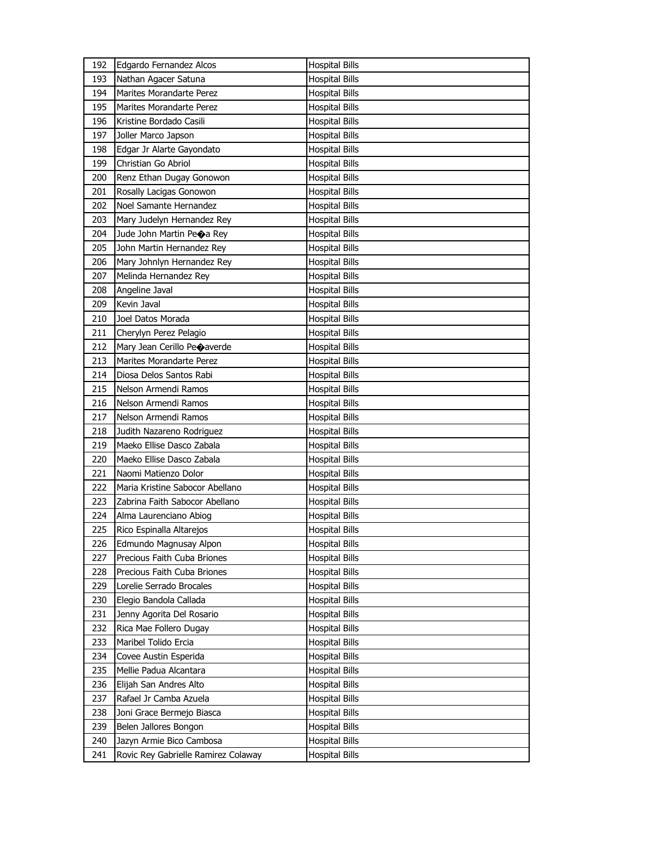| 192 | Edgardo Fernandez Alcos             | <b>Hospital Bills</b> |
|-----|-------------------------------------|-----------------------|
| 193 | Nathan Agacer Satuna                | <b>Hospital Bills</b> |
| 194 | Marites Morandarte Perez            | <b>Hospital Bills</b> |
| 195 | Marites Morandarte Perez            | <b>Hospital Bills</b> |
| 196 | Kristine Bordado Casili             | <b>Hospital Bills</b> |
| 197 | Joller Marco Japson                 | <b>Hospital Bills</b> |
| 198 | Edgar Jr Alarte Gayondato           | <b>Hospital Bills</b> |
| 199 | Christian Go Abriol                 | <b>Hospital Bills</b> |
| 200 | Renz Ethan Dugay Gonowon            | <b>Hospital Bills</b> |
| 201 | Rosally Lacigas Gonowon             | <b>Hospital Bills</b> |
| 202 | Noel Samante Hernandez              | <b>Hospital Bills</b> |
| 203 | Mary Judelyn Hernandez Rey          | <b>Hospital Bills</b> |
| 204 | Jude John Martin Peoa Rey           | <b>Hospital Bills</b> |
| 205 | John Martin Hernandez Rey           | <b>Hospital Bills</b> |
| 206 | Mary Johnlyn Hernandez Rey          | <b>Hospital Bills</b> |
| 207 | Melinda Hernandez Rey               | <b>Hospital Bills</b> |
| 208 | Angeline Javal                      | <b>Hospital Bills</b> |
| 209 | Kevin Javal                         | <b>Hospital Bills</b> |
| 210 | Joel Datos Morada                   | <b>Hospital Bills</b> |
| 211 | Cherylyn Perez Pelagio              | <b>Hospital Bills</b> |
| 212 | Mary Jean Cerillo Peoaverde         | <b>Hospital Bills</b> |
| 213 | <b>Marites Morandarte Perez</b>     | <b>Hospital Bills</b> |
| 214 | Diosa Delos Santos Rabi             | Hospital Bills        |
| 215 | Nelson Armendi Ramos                | <b>Hospital Bills</b> |
| 216 | Nelson Armendi Ramos                | <b>Hospital Bills</b> |
| 217 | Nelson Armendi Ramos                | <b>Hospital Bills</b> |
| 218 | Judith Nazareno Rodriguez           | <b>Hospital Bills</b> |
| 219 | Maeko Ellise Dasco Zabala           | Hospital Bills        |
| 220 | Maeko Ellise Dasco Zabala           | <b>Hospital Bills</b> |
| 221 | Naomi Matienzo Dolor                | <b>Hospital Bills</b> |
| 222 | Maria Kristine Sabocor Abellano     | <b>Hospital Bills</b> |
| 223 | Zabrina Faith Sabocor Abellano      | Hospital Bills        |
| 224 | Alma Laurenciano Abiog              | Hospital Bills        |
| 225 | Rico Espinalla Altarejos            | <b>Hospital Bills</b> |
| 226 | Edmundo Magnusay Alpon              | <b>Hospital Bills</b> |
| 227 | Precious Faith Cuba Briones         | <b>Hospital Bills</b> |
| 228 | Precious Faith Cuba Briones         | <b>Hospital Bills</b> |
| 229 | Lorelie Serrado Brocales            | <b>Hospital Bills</b> |
| 230 | Elegio Bandola Callada              | <b>Hospital Bills</b> |
| 231 | Jenny Agorita Del Rosario           | <b>Hospital Bills</b> |
| 232 | Rica Mae Follero Dugay              | <b>Hospital Bills</b> |
| 233 | Maribel Tolido Ercia                | <b>Hospital Bills</b> |
| 234 | Covee Austin Esperida               | <b>Hospital Bills</b> |
| 235 | Mellie Padua Alcantara              | <b>Hospital Bills</b> |
| 236 | Elijah San Andres Alto              | <b>Hospital Bills</b> |
| 237 | Rafael Jr Camba Azuela              | <b>Hospital Bills</b> |
| 238 | Joni Grace Bermejo Biasca           | <b>Hospital Bills</b> |
| 239 | Belen Jallores Bongon               | <b>Hospital Bills</b> |
| 240 | Jazyn Armie Bico Cambosa            | <b>Hospital Bills</b> |
| 241 | Rovic Rey Gabrielle Ramirez Colaway | <b>Hospital Bills</b> |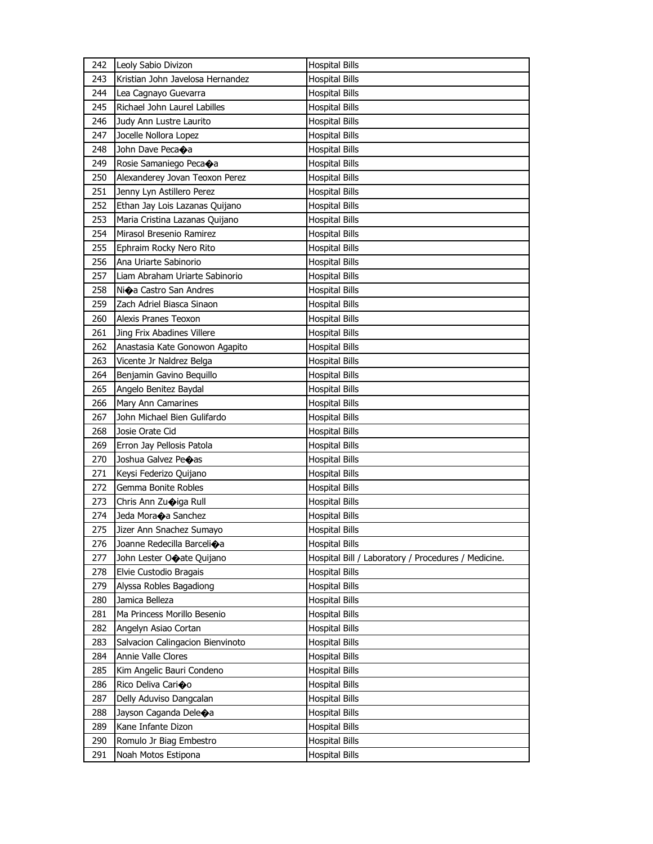| 242 | Leoly Sabio Divizon                | <b>Hospital Bills</b>                               |
|-----|------------------------------------|-----------------------------------------------------|
| 243 | Kristian John Javelosa Hernandez   | <b>Hospital Bills</b>                               |
| 244 | Lea Cagnayo Guevarra               | <b>Hospital Bills</b>                               |
| 245 | Richael John Laurel Labilles       | <b>Hospital Bills</b>                               |
| 246 | Judy Ann Lustre Laurito            | <b>Hospital Bills</b>                               |
| 247 | Jocelle Nollora Lopez              | <b>Hospital Bills</b>                               |
| 248 | John Dave Peca◆a                   | <b>Hospital Bills</b>                               |
| 249 | Rosie Samaniego Pecaoa             | <b>Hospital Bills</b>                               |
| 250 | Alexanderey Jovan Teoxon Perez     | <b>Hospital Bills</b>                               |
| 251 | Jenny Lyn Astillero Perez          | <b>Hospital Bills</b>                               |
| 252 | Ethan Jay Lois Lazanas Quijano     | <b>Hospital Bills</b>                               |
| 253 | Maria Cristina Lazanas Quijano     | <b>Hospital Bills</b>                               |
| 254 | Mirasol Bresenio Ramirez           | <b>Hospital Bills</b>                               |
| 255 | Ephraim Rocky Nero Rito            | <b>Hospital Bills</b>                               |
| 256 | Ana Uriarte Sabinorio              | <b>Hospital Bills</b>                               |
| 257 | Liam Abraham Uriarte Sabinorio     | <b>Hospital Bills</b>                               |
| 258 | Ni $\bigcirc$ a Castro San Andres  | <b>Hospital Bills</b>                               |
| 259 | Zach Adriel Biasca Sinaon          | <b>Hospital Bills</b>                               |
| 260 | Alexis Pranes Teoxon               | <b>Hospital Bills</b>                               |
| 261 | Jing Frix Abadines Villere         | <b>Hospital Bills</b>                               |
| 262 | Anastasia Kate Gonowon Agapito     | <b>Hospital Bills</b>                               |
| 263 | Vicente Jr Naldrez Belga           | <b>Hospital Bills</b>                               |
| 264 | Benjamin Gavino Bequillo           | <b>Hospital Bills</b>                               |
| 265 | Angelo Benitez Baydal              | <b>Hospital Bills</b>                               |
| 266 | Mary Ann Camarines                 | <b>Hospital Bills</b>                               |
| 267 | John Michael Bien Gulifardo        | <b>Hospital Bills</b>                               |
| 268 | Josie Orate Cid                    | Hospital Bills                                      |
| 269 | Erron Jay Pellosis Patola          | <b>Hospital Bills</b>                               |
| 270 | Joshua Galvez Peoas                | <b>Hospital Bills</b>                               |
| 271 | Keysi Federizo Quijano             | <b>Hospital Bills</b>                               |
| 272 | Gemma Bonite Robles                | <b>Hospital Bills</b>                               |
| 273 | Chris Ann Zuoiga Rull              | <b>Hospital Bills</b>                               |
| 274 | Jeda Mora $\bigcirc$ a Sanchez     | <b>Hospital Bills</b>                               |
| 275 | Jizer Ann Snachez Sumayo           | <b>Hospital Bills</b>                               |
| 276 | Joanne Redecilla Barcelioa         | <b>Hospital Bills</b>                               |
| 277 | John Lester Orate Quijano          | Hospital Bill / Laboratory / Procedures / Medicine. |
| 278 | Elvie Custodio Bragais             | <b>Hospital Bills</b>                               |
| 279 | Alyssa Robles Bagadiong            | <b>Hospital Bills</b>                               |
| 280 | Jamica Belleza                     | <b>Hospital Bills</b>                               |
| 281 | Ma Princess Morillo Besenio        | <b>Hospital Bills</b>                               |
| 282 | Angelyn Asiao Cortan               | <b>Hospital Bills</b>                               |
| 283 | Salvacion Calingacion Bienvinoto   | <b>Hospital Bills</b>                               |
| 284 | Annie Valle Clores                 | <b>Hospital Bills</b>                               |
| 285 | Kim Angelic Bauri Condeno          | <b>Hospital Bills</b>                               |
| 286 | Rico Deliva Cari�o                 | <b>Hospital Bills</b>                               |
| 287 | Delly Aduviso Dangcalan            | <b>Hospital Bills</b>                               |
| 288 | Jayson Caganda Dele $\spadesuit$ a | <b>Hospital Bills</b>                               |
| 289 | Kane Infante Dizon                 | <b>Hospital Bills</b>                               |
| 290 | Romulo Jr Biag Embestro            | <b>Hospital Bills</b>                               |
| 291 | Noah Motos Estipona                | <b>Hospital Bills</b>                               |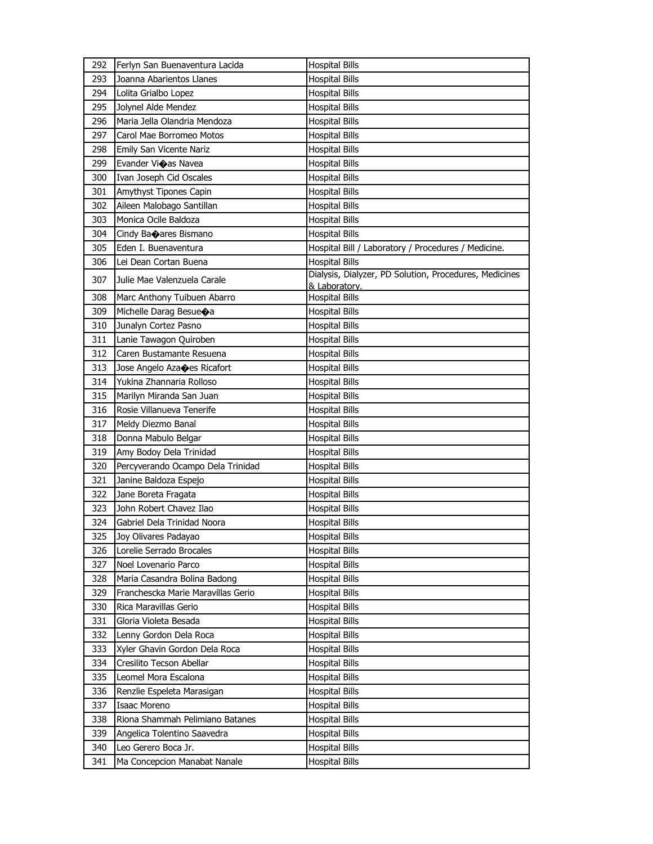| 292 | Ferlyn San Buenaventura Lacida     | <b>Hospital Bills</b>                                                   |
|-----|------------------------------------|-------------------------------------------------------------------------|
| 293 | Joanna Abarientos Llanes           | <b>Hospital Bills</b>                                                   |
| 294 | Lolita Grialbo Lopez               | <b>Hospital Bills</b>                                                   |
| 295 | Jolynel Alde Mendez                | <b>Hospital Bills</b>                                                   |
| 296 | Maria Jella Olandria Mendoza       | <b>Hospital Bills</b>                                                   |
| 297 | Carol Mae Borromeo Motos           | <b>Hospital Bills</b>                                                   |
| 298 | Emily San Vicente Nariz            | <b>Hospital Bills</b>                                                   |
| 299 | Evander Vi�as Navea                | <b>Hospital Bills</b>                                                   |
| 300 | Ivan Joseph Cid Oscales            | <b>Hospital Bills</b>                                                   |
| 301 | Amythyst Tipones Capin             | <b>Hospital Bills</b>                                                   |
| 302 | Aileen Malobago Santillan          | <b>Hospital Bills</b>                                                   |
| 303 | Monica Ocile Baldoza               | <b>Hospital Bills</b>                                                   |
| 304 | Cindy Banares Bismano              | <b>Hospital Bills</b>                                                   |
| 305 | Eden I. Buenaventura               | Hospital Bill / Laboratory / Procedures / Medicine.                     |
| 306 | Lei Dean Cortan Buena              | <b>Hospital Bills</b>                                                   |
| 307 | Julie Mae Valenzuela Carale        | Dialysis, Dialyzer, PD Solution, Procedures, Medicines<br>& Laboratory. |
| 308 | Marc Anthony Tuibuen Abarro        | <b>Hospital Bills</b>                                                   |
| 309 | Michelle Darag Besue $\bigcirc$ a  | <b>Hospital Bills</b>                                                   |
| 310 | Junalyn Cortez Pasno               | <b>Hospital Bills</b>                                                   |
| 311 | Lanie Tawagon Quiroben             | <b>Hospital Bills</b>                                                   |
| 312 | Caren Bustamante Resuena           | <b>Hospital Bills</b>                                                   |
| 313 | Jose Angelo Azaoes Ricafort        | <b>Hospital Bills</b>                                                   |
| 314 | Yukina Zhannaria Rolloso           | <b>Hospital Bills</b>                                                   |
| 315 | Marilyn Miranda San Juan           | <b>Hospital Bills</b>                                                   |
| 316 | Rosie Villanueva Tenerife          | <b>Hospital Bills</b>                                                   |
| 317 | Meldy Diezmo Banal                 | <b>Hospital Bills</b>                                                   |
| 318 | Donna Mabulo Belgar                | <b>Hospital Bills</b>                                                   |
| 319 | Amy Bodoy Dela Trinidad            | <b>Hospital Bills</b>                                                   |
| 320 | Percyverando Ocampo Dela Trinidad  | <b>Hospital Bills</b>                                                   |
| 321 | Janine Baldoza Espejo              | <b>Hospital Bills</b>                                                   |
| 322 | Jane Boreta Fragata                | <b>Hospital Bills</b>                                                   |
| 323 | John Robert Chavez Ilao            | <b>Hospital Bills</b>                                                   |
| 324 | Gabriel Dela Trinidad Noora        | <b>Hospital Bills</b>                                                   |
| 325 | Joy Olivares Padayao               | <b>Hospital Bills</b>                                                   |
| 326 | Lorelie Serrado Brocales           | Hospital Bills                                                          |
| 327 | Noel Lovenario Parco               | <b>Hospital Bills</b>                                                   |
| 328 | Maria Casandra Bolina Badong       | Hospital Bills                                                          |
| 329 | Franchescka Marie Maravillas Gerio | <b>Hospital Bills</b>                                                   |
| 330 | Rica Maravillas Gerio              | <b>Hospital Bills</b>                                                   |
| 331 | Gloria Violeta Besada              | <b>Hospital Bills</b>                                                   |
| 332 | Lenny Gordon Dela Roca             | <b>Hospital Bills</b>                                                   |
| 333 | Xyler Ghavin Gordon Dela Roca      | <b>Hospital Bills</b>                                                   |
| 334 | Cresilito Tecson Abellar           | <b>Hospital Bills</b>                                                   |
| 335 | Leomel Mora Escalona               | <b>Hospital Bills</b>                                                   |
| 336 | Renzlie Espeleta Marasigan         | <b>Hospital Bills</b>                                                   |
| 337 | Isaac Moreno                       | <b>Hospital Bills</b>                                                   |
| 338 | Riona Shammah Pelimiano Batanes    | Hospital Bills                                                          |
| 339 | Angelica Tolentino Saavedra        | <b>Hospital Bills</b>                                                   |
| 340 | Leo Gerero Boca Jr.                | <b>Hospital Bills</b>                                                   |
| 341 | Ma Concepcion Manabat Nanale       | <b>Hospital Bills</b>                                                   |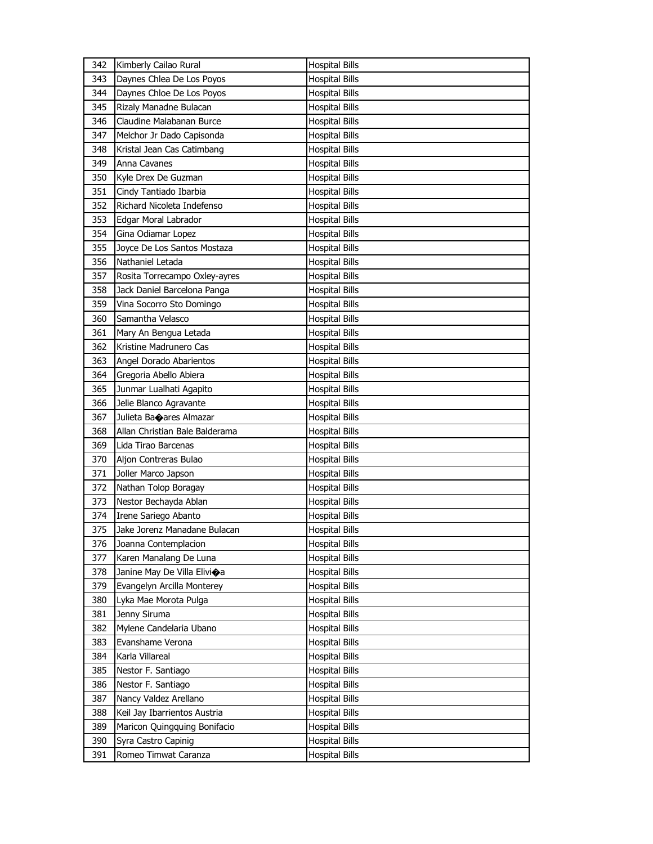| 342 | Kimberly Cailao Rural          | <b>Hospital Bills</b> |
|-----|--------------------------------|-----------------------|
| 343 | Daynes Chlea De Los Poyos      | <b>Hospital Bills</b> |
| 344 | Daynes Chloe De Los Poyos      | <b>Hospital Bills</b> |
| 345 | Rizaly Manadne Bulacan         | <b>Hospital Bills</b> |
| 346 | Claudine Malabanan Burce       | <b>Hospital Bills</b> |
| 347 | Melchor Jr Dado Capisonda      | <b>Hospital Bills</b> |
| 348 | Kristal Jean Cas Catimbang     | <b>Hospital Bills</b> |
| 349 | Anna Cavanes                   | <b>Hospital Bills</b> |
| 350 | Kyle Drex De Guzman            | <b>Hospital Bills</b> |
| 351 | Cindy Tantiado Ibarbia         | <b>Hospital Bills</b> |
| 352 | Richard Nicoleta Indefenso     | <b>Hospital Bills</b> |
| 353 | Edgar Moral Labrador           | <b>Hospital Bills</b> |
| 354 | Gina Odiamar Lopez             | <b>Hospital Bills</b> |
| 355 | Joyce De Los Santos Mostaza    | <b>Hospital Bills</b> |
| 356 | Nathaniel Letada               | <b>Hospital Bills</b> |
| 357 | Rosita Torrecampo Oxley-ayres  | <b>Hospital Bills</b> |
| 358 | Jack Daniel Barcelona Panga    | Hospital Bills        |
| 359 | Vina Socorro Sto Domingo       | <b>Hospital Bills</b> |
| 360 | Samantha Velasco               | <b>Hospital Bills</b> |
| 361 | Mary An Bengua Letada          | <b>Hospital Bills</b> |
| 362 | Kristine Madrunero Cas         | <b>Hospital Bills</b> |
| 363 | Angel Dorado Abarientos        | <b>Hospital Bills</b> |
| 364 | Gregoria Abello Abiera         | <b>Hospital Bills</b> |
| 365 | Junmar Lualhati Agapito        | <b>Hospital Bills</b> |
| 366 | Jelie Blanco Agravante         | <b>Hospital Bills</b> |
| 367 | Julieta Baoares Almazar        | <b>Hospital Bills</b> |
|     |                                |                       |
| 368 | Allan Christian Bale Balderama | Hospital Bills        |
| 369 | Lida Tirao Barcenas            | <b>Hospital Bills</b> |
| 370 | Aljon Contreras Bulao          | <b>Hospital Bills</b> |
| 371 | Joller Marco Japson            | <b>Hospital Bills</b> |
| 372 | Nathan Tolop Boragay           | <b>Hospital Bills</b> |
| 373 | Nestor Bechayda Ablan          | <b>Hospital Bills</b> |
| 374 | Irene Sariego Abanto           | <b>Hospital Bills</b> |
| 375 | Jake Jorenz Manadane Bulacan   | <b>Hospital Bills</b> |
| 376 | Joanna Contemplacion           | <b>Hospital Bills</b> |
| 377 | Karen Manalang De Luna         | <b>Hospital Bills</b> |
| 378 | Janine May De Villa Elivioa    | <b>Hospital Bills</b> |
| 379 | Evangelyn Arcilla Monterey     | <b>Hospital Bills</b> |
| 380 | Lyka Mae Morota Pulga          | <b>Hospital Bills</b> |
| 381 | Jenny Siruma                   | <b>Hospital Bills</b> |
| 382 | Mylene Candelaria Ubano        | <b>Hospital Bills</b> |
| 383 | Evanshame Verona               | <b>Hospital Bills</b> |
| 384 | Karla Villareal                | <b>Hospital Bills</b> |
| 385 | Nestor F. Santiago             | <b>Hospital Bills</b> |
| 386 | Nestor F. Santiago             | <b>Hospital Bills</b> |
| 387 | Nancy Valdez Arellano          | <b>Hospital Bills</b> |
| 388 | Keil Jay Ibarrientos Austria   | <b>Hospital Bills</b> |
| 389 | Maricon Quingquing Bonifacio   | <b>Hospital Bills</b> |
| 390 | Syra Castro Capinig            | <b>Hospital Bills</b> |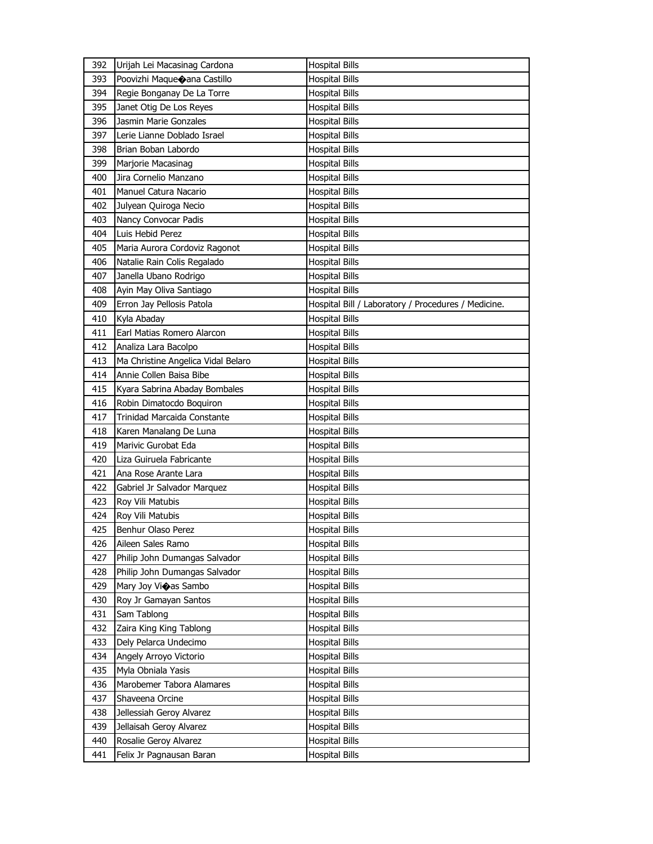| 392 | Urijah Lei Macasinag Cardona       | <b>Hospital Bills</b>                               |
|-----|------------------------------------|-----------------------------------------------------|
| 393 | Poovizhi Maqueoana Castillo        | <b>Hospital Bills</b>                               |
| 394 | Regie Bonganay De La Torre         | <b>Hospital Bills</b>                               |
| 395 | Janet Otig De Los Reyes            | <b>Hospital Bills</b>                               |
| 396 | Jasmin Marie Gonzales              | <b>Hospital Bills</b>                               |
| 397 | Lerie Lianne Doblado Israel        | <b>Hospital Bills</b>                               |
| 398 | Brian Boban Labordo                | <b>Hospital Bills</b>                               |
| 399 | Marjorie Macasinag                 | <b>Hospital Bills</b>                               |
| 400 | Jira Cornelio Manzano              | <b>Hospital Bills</b>                               |
| 401 | Manuel Catura Nacario              | <b>Hospital Bills</b>                               |
| 402 | Julyean Quiroga Necio              | <b>Hospital Bills</b>                               |
| 403 | Nancy Convocar Padis               | <b>Hospital Bills</b>                               |
| 404 | Luis Hebid Perez                   | <b>Hospital Bills</b>                               |
| 405 | Maria Aurora Cordoviz Ragonot      | <b>Hospital Bills</b>                               |
| 406 | Natalie Rain Colis Regalado        | <b>Hospital Bills</b>                               |
| 407 | Janella Ubano Rodrigo              | <b>Hospital Bills</b>                               |
| 408 | Ayin May Oliva Santiago            | <b>Hospital Bills</b>                               |
| 409 | Erron Jay Pellosis Patola          | Hospital Bill / Laboratory / Procedures / Medicine. |
| 410 | Kyla Abaday                        | <b>Hospital Bills</b>                               |
| 411 | Earl Matias Romero Alarcon         | <b>Hospital Bills</b>                               |
| 412 | Analiza Lara Bacolpo               | <b>Hospital Bills</b>                               |
| 413 | Ma Christine Angelica Vidal Belaro | <b>Hospital Bills</b>                               |
| 414 | Annie Collen Baisa Bibe            | <b>Hospital Bills</b>                               |
| 415 | Kyara Sabrina Abaday Bombales      | <b>Hospital Bills</b>                               |
| 416 | Robin Dimatocdo Boquiron           | <b>Hospital Bills</b>                               |
| 417 | Trinidad Marcaida Constante        | <b>Hospital Bills</b>                               |
| 418 | Karen Manalang De Luna             | <b>Hospital Bills</b>                               |
| 419 | Marivic Gurobat Eda                | <b>Hospital Bills</b>                               |
| 420 | Liza Guiruela Fabricante           | <b>Hospital Bills</b>                               |
| 421 | Ana Rose Arante Lara               | <b>Hospital Bills</b>                               |
| 422 | Gabriel Jr Salvador Marquez        | <b>Hospital Bills</b>                               |
| 423 | Roy Vili Matubis                   | <b>Hospital Bills</b>                               |
| 424 | Roy Vili Matubis                   | <b>Hospital Bills</b>                               |
| 425 | Benhur Olaso Perez                 | <b>Hospital Bills</b>                               |
| 426 | Aileen Sales Ramo                  | <b>Hospital Bills</b>                               |
| 427 | Philip John Dumangas Salvador      | <b>Hospital Bills</b>                               |
| 428 | Philip John Dumangas Salvador      | <b>Hospital Bills</b>                               |
| 429 | Mary Joy Vioas Sambo               | <b>Hospital Bills</b>                               |
| 430 | Roy Jr Gamayan Santos              | <b>Hospital Bills</b>                               |
| 431 | Sam Tablong                        | <b>Hospital Bills</b>                               |
| 432 | Zaira King King Tablong            | <b>Hospital Bills</b>                               |
| 433 | Dely Pelarca Undecimo              | <b>Hospital Bills</b>                               |
| 434 | Angely Arroyo Victorio             | <b>Hospital Bills</b>                               |
| 435 | Myla Obniala Yasis                 | <b>Hospital Bills</b>                               |
| 436 | Marobemer Tabora Alamares          | <b>Hospital Bills</b>                               |
| 437 | Shaveena Orcine                    | <b>Hospital Bills</b>                               |
| 438 | Jellessiah Geroy Alvarez           | <b>Hospital Bills</b>                               |
| 439 | Jellaisah Geroy Alvarez            | <b>Hospital Bills</b>                               |
| 440 | Rosalie Geroy Alvarez              | <b>Hospital Bills</b>                               |
| 441 | Felix Jr Pagnausan Baran           | <b>Hospital Bills</b>                               |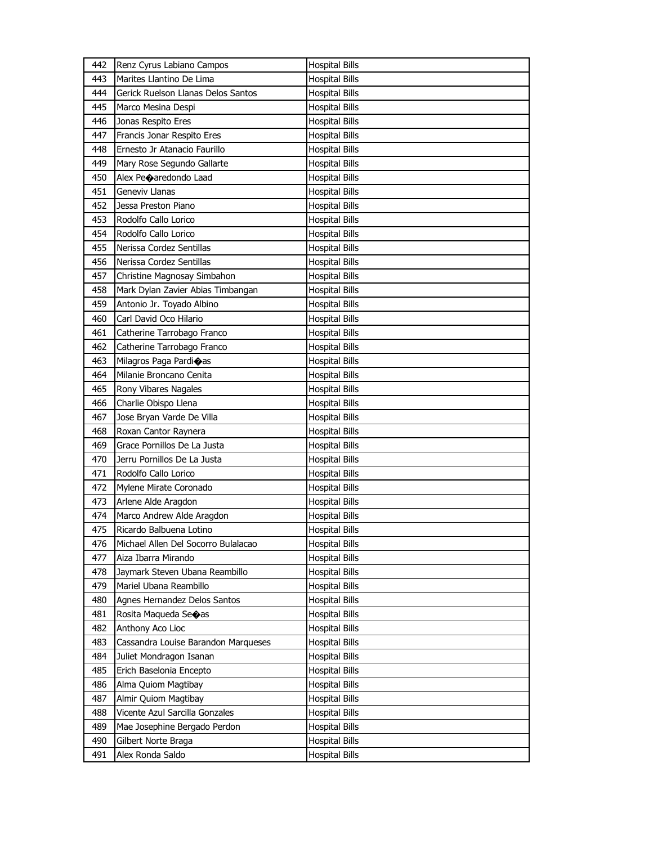| 442 | Renz Cyrus Labiano Campos           | <b>Hospital Bills</b> |
|-----|-------------------------------------|-----------------------|
| 443 | Marites Llantino De Lima            | <b>Hospital Bills</b> |
| 444 | Gerick Ruelson Llanas Delos Santos  | <b>Hospital Bills</b> |
| 445 | Marco Mesina Despi                  | <b>Hospital Bills</b> |
| 446 | Jonas Respito Eres                  | <b>Hospital Bills</b> |
| 447 | Francis Jonar Respito Eres          | <b>Hospital Bills</b> |
| 448 | Ernesto Jr Atanacio Faurillo        | <b>Hospital Bills</b> |
| 449 | Mary Rose Segundo Gallarte          | <b>Hospital Bills</b> |
| 450 | Alex Peoaredondo Laad               | <b>Hospital Bills</b> |
| 451 | Geneviv Llanas                      | <b>Hospital Bills</b> |
| 452 | Jessa Preston Piano                 | <b>Hospital Bills</b> |
| 453 | Rodolfo Callo Lorico                | <b>Hospital Bills</b> |
| 454 | Rodolfo Callo Lorico                | <b>Hospital Bills</b> |
| 455 | Nerissa Cordez Sentillas            | <b>Hospital Bills</b> |
| 456 | Nerissa Cordez Sentillas            | <b>Hospital Bills</b> |
| 457 | Christine Magnosay Simbahon         | <b>Hospital Bills</b> |
| 458 | Mark Dylan Zavier Abias Timbangan   | <b>Hospital Bills</b> |
| 459 | Antonio Jr. Toyado Albino           | <b>Hospital Bills</b> |
| 460 | Carl David Oco Hilario              | <b>Hospital Bills</b> |
| 461 | Catherine Tarrobago Franco          | <b>Hospital Bills</b> |
| 462 | Catherine Tarrobago Franco          | <b>Hospital Bills</b> |
| 463 | Milagros Paga Pardi�as              | <b>Hospital Bills</b> |
| 464 | Milanie Broncano Cenita             | <b>Hospital Bills</b> |
| 465 | Rony Vibares Nagales                | <b>Hospital Bills</b> |
| 466 | Charlie Obispo Llena                | <b>Hospital Bills</b> |
|     |                                     |                       |
| 467 | Jose Bryan Varde De Villa           | <b>Hospital Bills</b> |
| 468 | Roxan Cantor Raynera                | <b>Hospital Bills</b> |
| 469 | Grace Pornillos De La Justa         | <b>Hospital Bills</b> |
| 470 | Jerru Pornillos De La Justa         | <b>Hospital Bills</b> |
| 471 | Rodolfo Callo Lorico                | <b>Hospital Bills</b> |
| 472 | Mylene Mirate Coronado              | <b>Hospital Bills</b> |
| 473 | Arlene Alde Aragdon                 | <b>Hospital Bills</b> |
| 474 | Marco Andrew Alde Aragdon           | <b>Hospital Bills</b> |
| 475 | Ricardo Balbuena Lotino             | <b>Hospital Bills</b> |
| 476 | Michael Allen Del Socorro Bulalacao | <b>Hospital Bills</b> |
| 477 | Aiza Ibarra Mirando                 | <b>Hospital Bills</b> |
| 478 | Jaymark Steven Ubana Reambillo      | <b>Hospital Bills</b> |
| 479 | Mariel Ubana Reambillo              | <b>Hospital Bills</b> |
| 480 | Agnes Hernandez Delos Santos        | <b>Hospital Bills</b> |
| 481 | Rosita Maqueda Seoas                | <b>Hospital Bills</b> |
| 482 | Anthony Aco Lioc                    | <b>Hospital Bills</b> |
| 483 | Cassandra Louise Barandon Marqueses | <b>Hospital Bills</b> |
| 484 | Juliet Mondragon Isanan             | <b>Hospital Bills</b> |
| 485 | Erich Baselonia Encepto             | <b>Hospital Bills</b> |
| 486 | Alma Quiom Magtibay                 | <b>Hospital Bills</b> |
| 487 | Almir Quiom Magtibay                | <b>Hospital Bills</b> |
| 488 | Vicente Azul Sarcilla Gonzales      | <b>Hospital Bills</b> |
| 489 | Mae Josephine Bergado Perdon        | <b>Hospital Bills</b> |
| 490 | Gilbert Norte Braga                 | <b>Hospital Bills</b> |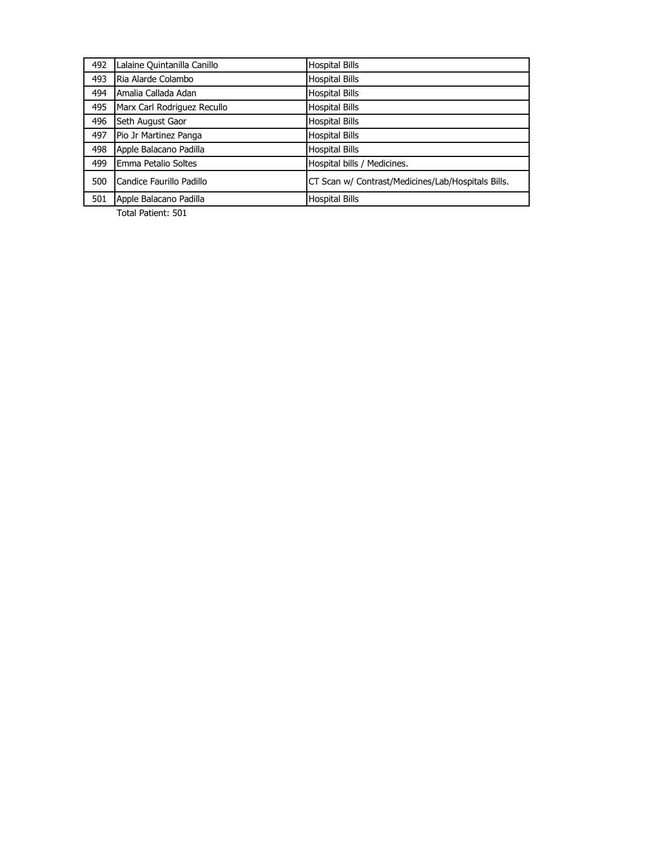| 492 | Lalaine Quintanilla Canillo | <b>Hospital Bills</b>                              |
|-----|-----------------------------|----------------------------------------------------|
| 493 | Ria Alarde Colambo          | <b>Hospital Bills</b>                              |
| 494 | Amalia Callada Adan         | <b>Hospital Bills</b>                              |
| 495 | Marx Carl Rodriguez Recullo | <b>Hospital Bills</b>                              |
| 496 | Seth August Gaor            | <b>Hospital Bills</b>                              |
| 497 | Pio Jr Martinez Panga       | <b>Hospital Bills</b>                              |
| 498 | Apple Balacano Padilla      | <b>Hospital Bills</b>                              |
| 499 | Emma Petalio Soltes         | Hospital bills / Medicines.                        |
| 500 | Candice Faurillo Padillo    | CT Scan w/ Contrast/Medicines/Lab/Hospitals Bills. |
| 501 | Apple Balacano Padilla      | <b>Hospital Bills</b>                              |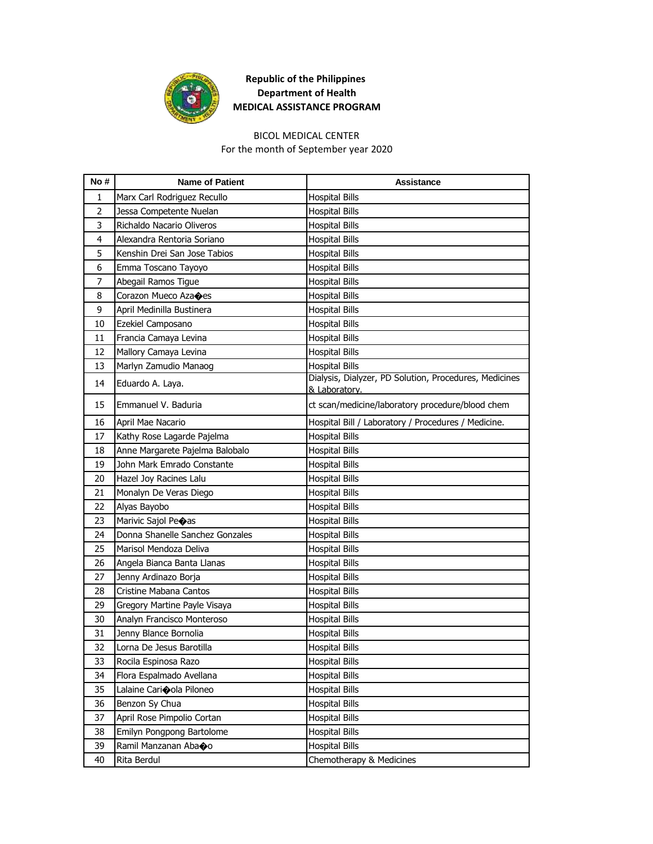

# BICOL MEDICAL CENTER

For the month of September year 2020

| No#            | <b>Name of Patient</b>                        | <b>Assistance</b>                                                       |
|----------------|-----------------------------------------------|-------------------------------------------------------------------------|
| 1              | Marx Carl Rodriguez Recullo                   | <b>Hospital Bills</b>                                                   |
| $\overline{2}$ | Jessa Competente Nuelan                       | <b>Hospital Bills</b>                                                   |
| 3              | Richaldo Nacario Oliveros                     | <b>Hospital Bills</b>                                                   |
| 4              | Alexandra Rentoria Soriano                    | <b>Hospital Bills</b>                                                   |
| 5              | Kenshin Drei San Jose Tabios                  | <b>Hospital Bills</b>                                                   |
| 6              | Emma Toscano Tayoyo                           | <b>Hospital Bills</b>                                                   |
| 7              | Abegail Ramos Tigue                           | <b>Hospital Bills</b>                                                   |
| 8              | Corazon Mueco Aza $\textcircled{\text{e}}$ es | <b>Hospital Bills</b>                                                   |
| 9              | April Medinilla Bustinera                     | <b>Hospital Bills</b>                                                   |
| 10             | Ezekiel Camposano                             | <b>Hospital Bills</b>                                                   |
| 11             | Francia Camaya Levina                         | <b>Hospital Bills</b>                                                   |
| 12             | Mallory Camaya Levina                         | <b>Hospital Bills</b>                                                   |
| 13             | Marlyn Zamudio Manaog                         | <b>Hospital Bills</b>                                                   |
| 14             | Eduardo A. Laya.                              | Dialysis, Dialyzer, PD Solution, Procedures, Medicines<br>& Laboratory. |
| 15             | Emmanuel V. Baduria                           | ct scan/medicine/laboratory procedure/blood chem                        |
| 16             | April Mae Nacario                             | Hospital Bill / Laboratory / Procedures / Medicine.                     |
| 17             | Kathy Rose Lagarde Pajelma                    | <b>Hospital Bills</b>                                                   |
| 18             | Anne Margarete Pajelma Balobalo               | <b>Hospital Bills</b>                                                   |
| 19             | John Mark Emrado Constante                    | <b>Hospital Bills</b>                                                   |
| 20             | Hazel Joy Racines Lalu                        | <b>Hospital Bills</b>                                                   |
| 21             | Monalyn De Veras Diego                        | <b>Hospital Bills</b>                                                   |
| 22             | Alyas Bayobo                                  | <b>Hospital Bills</b>                                                   |
| 23             | Marivic Sajol Peoas                           | <b>Hospital Bills</b>                                                   |
| 24             | Donna Shanelle Sanchez Gonzales               | <b>Hospital Bills</b>                                                   |
| 25             | Marisol Mendoza Deliva                        | <b>Hospital Bills</b>                                                   |
| 26             | Angela Bianca Banta Llanas                    | <b>Hospital Bills</b>                                                   |
| 27             | Jenny Ardinazo Borja                          | <b>Hospital Bills</b>                                                   |
| 28             | Cristine Mabana Cantos                        | <b>Hospital Bills</b>                                                   |
| 29             | Gregory Martine Payle Visaya                  | <b>Hospital Bills</b>                                                   |
| 30             | Analyn Francisco Monteroso                    | Hospital Bills                                                          |
| 31             | Jenny Blance Bornolia                         | <b>Hospital Bills</b>                                                   |
| 32             | Lorna De Jesus Barotilla                      | <b>Hospital Bills</b>                                                   |
| 33             | Rocila Espinosa Razo                          | <b>Hospital Bills</b>                                                   |
| 34             | Flora Espalmado Avellana                      | <b>Hospital Bills</b>                                                   |
| 35             | Lalaine Carioola Piloneo                      | <b>Hospital Bills</b>                                                   |
| 36             | Benzon Sy Chua                                | <b>Hospital Bills</b>                                                   |
| 37             | April Rose Pimpolio Cortan                    | <b>Hospital Bills</b>                                                   |
| 38             | Emilyn Pongpong Bartolome                     | <b>Hospital Bills</b>                                                   |
| 39             | Ramil Manzanan Abaoo                          | <b>Hospital Bills</b>                                                   |
| 40             | Rita Berdul                                   | Chemotherapy & Medicines                                                |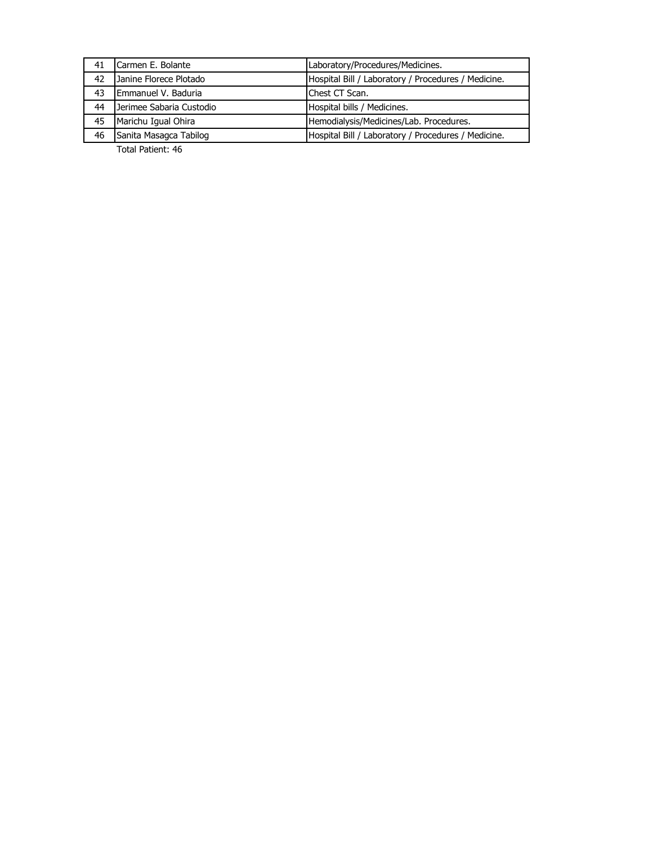| 41 | Carmen E. Bolante        | Laboratory/Procedures/Medicines.                    |
|----|--------------------------|-----------------------------------------------------|
| 42 | Janine Florece Plotado   | Hospital Bill / Laboratory / Procedures / Medicine. |
| 43 | Emmanuel V. Baduria      | Chest CT Scan.                                      |
| 44 | Jerimee Sabaria Custodio | Hospital bills / Medicines.                         |
| 45 | Marichu Igual Ohira      | Hemodialysis/Medicines/Lab. Procedures.             |
| 46 | Sanita Masagca Tabilog   | Hospital Bill / Laboratory / Procedures / Medicine. |